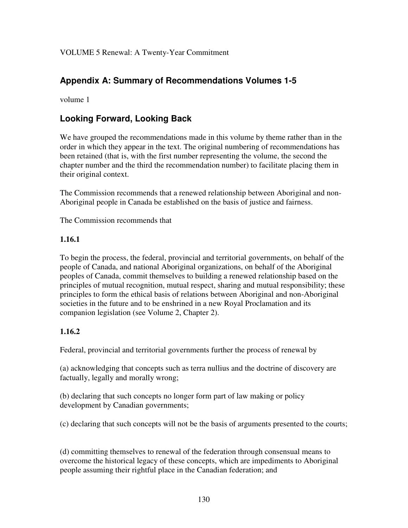# **Appendix A: Summary of Recommendations Volumes 1-5**

volume 1

# **Looking Forward, Looking Back**

We have grouped the recommendations made in this volume by theme rather than in the order in which they appear in the text. The original numbering of recommendations has been retained (that is, with the first number representing the volume, the second the chapter number and the third the recommendation number) to facilitate placing them in their original context.

The Commission recommends that a renewed relationship between Aboriginal and non-Aboriginal people in Canada be established on the basis of justice and fairness.

The Commission recommends that

#### **1.16.1**

To begin the process, the federal, provincial and territorial governments, on behalf of the people of Canada, and national Aboriginal organizations, on behalf of the Aboriginal peoples of Canada, commit themselves to building a renewed relationship based on the principles of mutual recognition, mutual respect, sharing and mutual responsibility; these principles to form the ethical basis of relations between Aboriginal and non-Aboriginal societies in the future and to be enshrined in a new Royal Proclamation and its companion legislation (see Volume 2, Chapter 2).

#### **1.16.2**

Federal, provincial and territorial governments further the process of renewal by

(a) acknowledging that concepts such as terra nullius and the doctrine of discovery are factually, legally and morally wrong;

(b) declaring that such concepts no longer form part of law making or policy development by Canadian governments;

(c) declaring that such concepts will not be the basis of arguments presented to the courts;

(d) committing themselves to renewal of the federation through consensual means to overcome the historical legacy of these concepts, which are impediments to Aboriginal people assuming their rightful place in the Canadian federation; and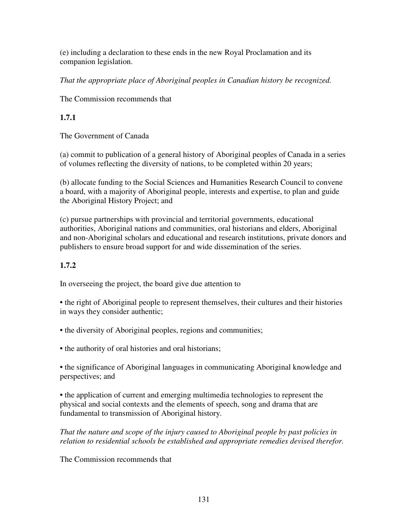(e) including a declaration to these ends in the new Royal Proclamation and its companion legislation.

*That the appropriate place of Aboriginal peoples in Canadian history be recognized.*

The Commission recommends that

# **1.7.1**

The Government of Canada

(a) commit to publication of a general history of Aboriginal peoples of Canada in a series of volumes reflecting the diversity of nations, to be completed within 20 years;

(b) allocate funding to the Social Sciences and Humanities Research Council to convene a board, with a majority of Aboriginal people, interests and expertise, to plan and guide the Aboriginal History Project; and

(c) pursue partnerships with provincial and territorial governments, educational authorities, Aboriginal nations and communities, oral historians and elders, Aboriginal and non-Aboriginal scholars and educational and research institutions, private donors and publishers to ensure broad support for and wide dissemination of the series.

## **1.7.2**

In overseeing the project, the board give due attention to

• the right of Aboriginal people to represent themselves, their cultures and their histories in ways they consider authentic;

• the diversity of Aboriginal peoples, regions and communities;

• the authority of oral histories and oral historians;

• the significance of Aboriginal languages in communicating Aboriginal knowledge and perspectives; and

• the application of current and emerging multimedia technologies to represent the physical and social contexts and the elements of speech, song and drama that are fundamental to transmission of Aboriginal history.

*That the nature and scope of the injury caused to Aboriginal people by past policies in relation to residential schools be established and appropriate remedies devised therefor.*

The Commission recommends that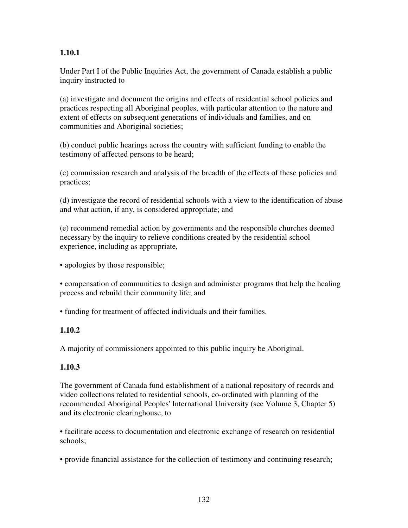## **1.10.1**

Under Part I of the Public Inquiries Act, the government of Canada establish a public inquiry instructed to

(a) investigate and document the origins and effects of residential school policies and practices respecting all Aboriginal peoples, with particular attention to the nature and extent of effects on subsequent generations of individuals and families, and on communities and Aboriginal societies;

(b) conduct public hearings across the country with sufficient funding to enable the testimony of affected persons to be heard;

(c) commission research and analysis of the breadth of the effects of these policies and practices;

(d) investigate the record of residential schools with a view to the identification of abuse and what action, if any, is considered appropriate; and

(e) recommend remedial action by governments and the responsible churches deemed necessary by the inquiry to relieve conditions created by the residential school experience, including as appropriate,

• apologies by those responsible;

• compensation of communities to design and administer programs that help the healing process and rebuild their community life; and

• funding for treatment of affected individuals and their families.

#### **1.10.2**

A majority of commissioners appointed to this public inquiry be Aboriginal.

#### **1.10.3**

The government of Canada fund establishment of a national repository of records and video collections related to residential schools, co-ordinated with planning of the recommended Aboriginal Peoples' International University (see Volume 3, Chapter 5) and its electronic clearinghouse, to

• facilitate access to documentation and electronic exchange of research on residential schools;

• provide financial assistance for the collection of testimony and continuing research;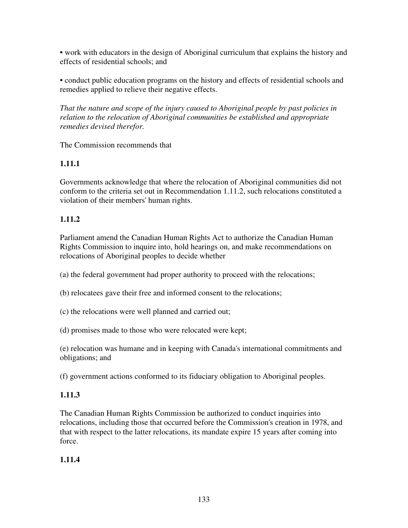• work with educators in the design of Aboriginal curriculum that explains the history and effects of residential schools; and

• conduct public education programs on the history and effects of residential schools and remedies applied to relieve their negative effects.

*That the nature and scope of the injury caused to Aboriginal people by past policies in relation to the relocation of Aboriginal communities be established and appropriate remedies devised therefor.*

The Commission recommends that

## **1.11.1**

Governments acknowledge that where the relocation of Aboriginal communities did not conform to the criteria set out in Recommendation 1.11.2, such relocations constituted a violation of their members' human rights.

## **1.11.2**

Parliament amend the Canadian Human Rights Act to authorize the Canadian Human Rights Commission to inquire into, hold hearings on, and make recommendations on relocations of Aboriginal peoples to decide whether

(a) the federal government had proper authority to proceed with the relocations;

(b) relocatees gave their free and informed consent to the relocations;

(c) the relocations were well planned and carried out;

(d) promises made to those who were relocated were kept;

(e) relocation was humane and in keeping with Canada's international commitments and obligations; and

(f) government actions conformed to its fiduciary obligation to Aboriginal peoples.

# **1.11.3**

The Canadian Human Rights Commission be authorized to conduct inquiries into relocations, including those that occurred before the Commission's creation in 1978, and that with respect to the latter relocations, its mandate expire 15 years after coming into force.

**1.11.4**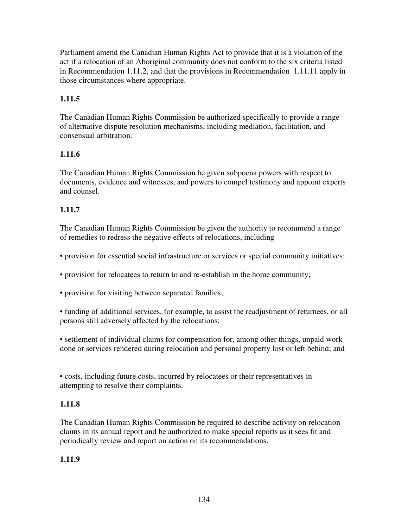Parliament amend the Canadian Human Rights Act to provide that it is a violation of the act if a relocation of an Aboriginal community does not conform to the six criteria listed in Recommendation 1.11.2, and that the provisions in Recommendation 1.11.11 apply in those circumstances where appropriate.

## **1.11.5**

The Canadian Human Rights Commission be authorized specifically to provide a range of alternative dispute resolution mechanisms, including mediation, facilitation, and consensual arbitration.

#### **1.11.6**

The Canadian Human Rights Commission be given subpoena powers with respect to documents, evidence and witnesses, and powers to compel testimony and appoint experts and counsel.

## **1.11.7**

The Canadian Human Rights Commission be given the authority to recommend a range of remedies to redress the negative effects of relocations, including

• provision for essential social infrastructure or services or special community initiatives;

• provision for relocatees to return to and re-establish in the home community;

• provision for visiting between separated families;

• funding of additional services, for example, to assist the readjustment of returnees, or all persons still adversely affected by the relocations;

• settlement of individual claims for compensation for, among other things, unpaid work done or services rendered during relocation and personal property lost or left behind; and

• costs, including future costs, incurred by relocatees or their representatives in attempting to resolve their complaints.

## **1.11.8**

The Canadian Human Rights Commission be required to describe activity on relocation claims in its annual report and be authorized to make special reports as it sees fit and periodically review and report on action on its recommendations.

#### **1.11.9**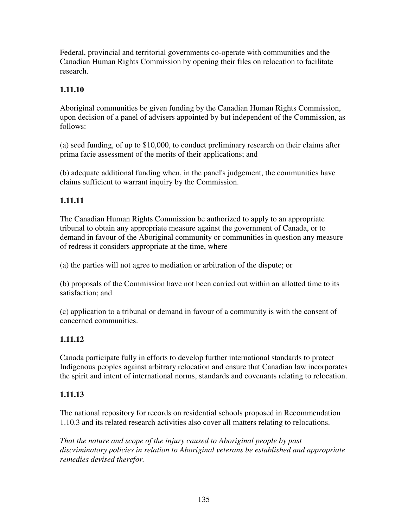Federal, provincial and territorial governments co-operate with communities and the Canadian Human Rights Commission by opening their files on relocation to facilitate research.

# **1.11.10**

Aboriginal communities be given funding by the Canadian Human Rights Commission, upon decision of a panel of advisers appointed by but independent of the Commission, as follows:

(a) seed funding, of up to \$10,000, to conduct preliminary research on their claims after prima facie assessment of the merits of their applications; and

(b) adequate additional funding when, in the panel's judgement, the communities have claims sufficient to warrant inquiry by the Commission.

## **1.11.11**

The Canadian Human Rights Commission be authorized to apply to an appropriate tribunal to obtain any appropriate measure against the government of Canada, or to demand in favour of the Aboriginal community or communities in question any measure of redress it considers appropriate at the time, where

(a) the parties will not agree to mediation or arbitration of the dispute; or

(b) proposals of the Commission have not been carried out within an allotted time to its satisfaction; and

(c) application to a tribunal or demand in favour of a community is with the consent of concerned communities.

# **1.11.12**

Canada participate fully in efforts to develop further international standards to protect Indigenous peoples against arbitrary relocation and ensure that Canadian law incorporates the spirit and intent of international norms, standards and covenants relating to relocation.

# **1.11.13**

The national repository for records on residential schools proposed in Recommendation 1.10.3 and its related research activities also cover all matters relating to relocations.

*That the nature and scope of the injury caused to Aboriginal people by past discriminatory policies in relation to Aboriginal veterans be established and appropriate remedies devised therefor.*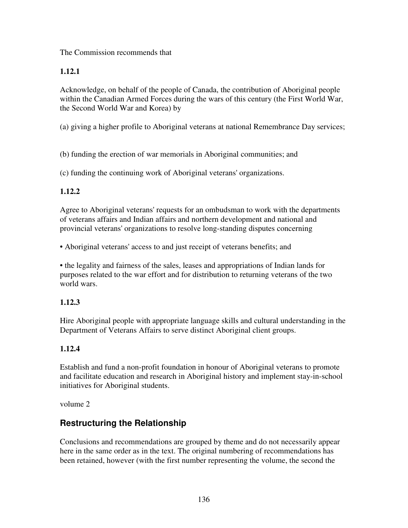The Commission recommends that

## **1.12.1**

Acknowledge, on behalf of the people of Canada, the contribution of Aboriginal people within the Canadian Armed Forces during the wars of this century (the First World War, the Second World War and Korea) by

(a) giving a higher profile to Aboriginal veterans at national Remembrance Day services;

(b) funding the erection of war memorials in Aboriginal communities; and

(c) funding the continuing work of Aboriginal veterans' organizations.

## **1.12.2**

Agree to Aboriginal veterans' requests for an ombudsman to work with the departments of veterans affairs and Indian affairs and northern development and national and provincial veterans' organizations to resolve long-standing disputes concerning

• Aboriginal veterans' access to and just receipt of veterans benefits; and

• the legality and fairness of the sales, leases and appropriations of Indian lands for purposes related to the war effort and for distribution to returning veterans of the two world wars.

## **1.12.3**

Hire Aboriginal people with appropriate language skills and cultural understanding in the Department of Veterans Affairs to serve distinct Aboriginal client groups.

# **1.12.4**

Establish and fund a non-profit foundation in honour of Aboriginal veterans to promote and facilitate education and research in Aboriginal history and implement stay-in-school initiatives for Aboriginal students.

volume 2

# **Restructuring the Relationship**

Conclusions and recommendations are grouped by theme and do not necessarily appear here in the same order as in the text. The original numbering of recommendations has been retained, however (with the first number representing the volume, the second the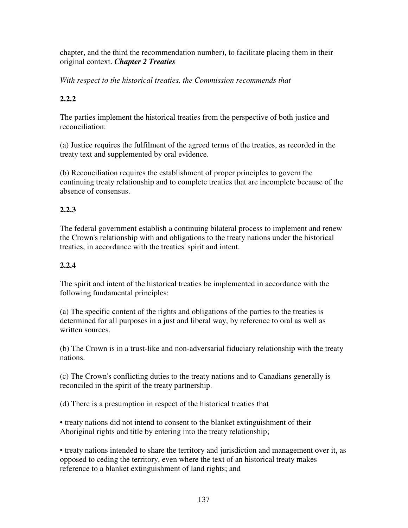chapter, and the third the recommendation number), to facilitate placing them in their original context. *Chapter 2 Treaties*

*With respect to the historical treaties, the Commission recommends that*

# **2.2.2**

The parties implement the historical treaties from the perspective of both justice and reconciliation:

(a) Justice requires the fulfilment of the agreed terms of the treaties, as recorded in the treaty text and supplemented by oral evidence.

(b) Reconciliation requires the establishment of proper principles to govern the continuing treaty relationship and to complete treaties that are incomplete because of the absence of consensus.

# **2.2.3**

The federal government establish a continuing bilateral process to implement and renew the Crown's relationship with and obligations to the treaty nations under the historical treaties, in accordance with the treaties' spirit and intent.

## **2.2.4**

The spirit and intent of the historical treaties be implemented in accordance with the following fundamental principles:

(a) The specific content of the rights and obligations of the parties to the treaties is determined for all purposes in a just and liberal way, by reference to oral as well as written sources.

(b) The Crown is in a trust-like and non-adversarial fiduciary relationship with the treaty nations.

(c) The Crown's conflicting duties to the treaty nations and to Canadians generally is reconciled in the spirit of the treaty partnership.

(d) There is a presumption in respect of the historical treaties that

• treaty nations did not intend to consent to the blanket extinguishment of their Aboriginal rights and title by entering into the treaty relationship;

• treaty nations intended to share the territory and jurisdiction and management over it, as opposed to ceding the territory, even where the text of an historical treaty makes reference to a blanket extinguishment of land rights; and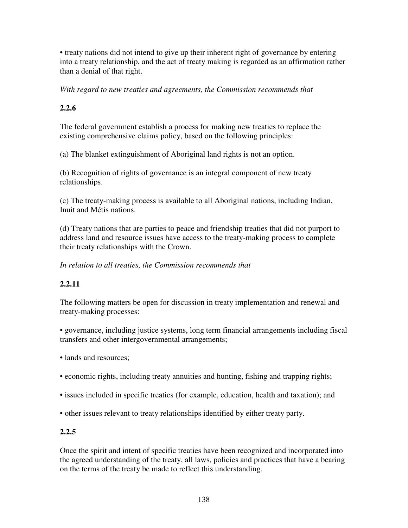• treaty nations did not intend to give up their inherent right of governance by entering into a treaty relationship, and the act of treaty making is regarded as an affirmation rather than a denial of that right.

*With regard to new treaties and agreements, the Commission recommends that*

# **2.2.6**

The federal government establish a process for making new treaties to replace the existing comprehensive claims policy, based on the following principles:

(a) The blanket extinguishment of Aboriginal land rights is not an option.

(b) Recognition of rights of governance is an integral component of new treaty relationships.

(c) The treaty-making process is available to all Aboriginal nations, including Indian, Inuit and Métis nations.

(d) Treaty nations that are parties to peace and friendship treaties that did not purport to address land and resource issues have access to the treaty-making process to complete their treaty relationships with the Crown.

*In relation to all treaties, the Commission recommends that*

# **2.2.11**

The following matters be open for discussion in treaty implementation and renewal and treaty-making processes:

• governance, including justice systems, long term financial arrangements including fiscal transfers and other intergovernmental arrangements;

- lands and resources:
- economic rights, including treaty annuities and hunting, fishing and trapping rights;
- issues included in specific treaties (for example, education, health and taxation); and
- other issues relevant to treaty relationships identified by either treaty party.

## **2.2.5**

Once the spirit and intent of specific treaties have been recognized and incorporated into the agreed understanding of the treaty, all laws, policies and practices that have a bearing on the terms of the treaty be made to reflect this understanding.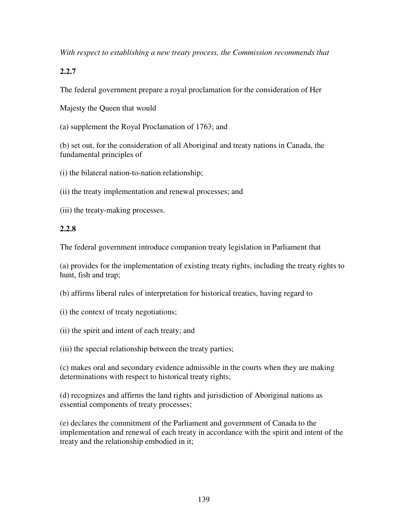*With respect to establishing a new treaty process, the Commission recommends that*

**2.2.7**

The federal government prepare a royal proclamation for the consideration of Her

Majesty the Queen that would

(a) supplement the Royal Proclamation of 1763; and

(b) set out, for the consideration of all Aboriginal and treaty nations in Canada, the fundamental principles of

(i) the bilateral nation-to-nation relationship;

(ii) the treaty implementation and renewal processes; and

(iii) the treaty-making processes.

#### **2.2.8**

The federal government introduce companion treaty legislation in Parliament that

(a) provides for the implementation of existing treaty rights, including the treaty rights to hunt, fish and trap;

(b) affirms liberal rules of interpretation for historical treaties, having regard to

(i) the context of treaty negotiations;

(ii) the spirit and intent of each treaty; and

(iii) the special relationship between the treaty parties;

(c) makes oral and secondary evidence admissible in the courts when they are making determinations with respect to historical treaty rights;

(d) recognizes and affirms the land rights and jurisdiction of Aboriginal nations as essential components of treaty processes;

(e) declares the commitment of the Parliament and government of Canada to the implementation and renewal of each treaty in accordance with the spirit and intent of the treaty and the relationship embodied in it;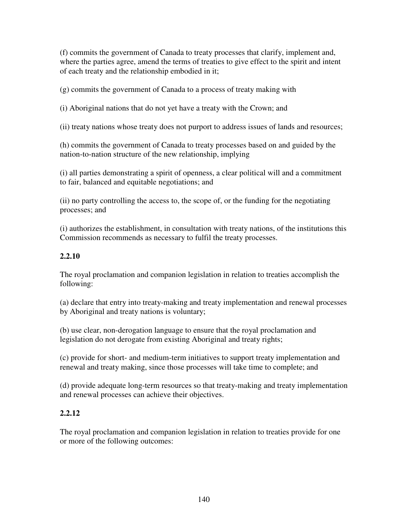(f) commits the government of Canada to treaty processes that clarify, implement and, where the parties agree, amend the terms of treaties to give effect to the spirit and intent of each treaty and the relationship embodied in it;

(g) commits the government of Canada to a process of treaty making with

(i) Aboriginal nations that do not yet have a treaty with the Crown; and

(ii) treaty nations whose treaty does not purport to address issues of lands and resources;

(h) commits the government of Canada to treaty processes based on and guided by the nation-to-nation structure of the new relationship, implying

(i) all parties demonstrating a spirit of openness, a clear political will and a commitment to fair, balanced and equitable negotiations; and

(ii) no party controlling the access to, the scope of, or the funding for the negotiating processes; and

(i) authorizes the establishment, in consultation with treaty nations, of the institutions this Commission recommends as necessary to fulfil the treaty processes.

## **2.2.10**

The royal proclamation and companion legislation in relation to treaties accomplish the following:

(a) declare that entry into treaty-making and treaty implementation and renewal processes by Aboriginal and treaty nations is voluntary;

(b) use clear, non-derogation language to ensure that the royal proclamation and legislation do not derogate from existing Aboriginal and treaty rights;

(c) provide for short- and medium-term initiatives to support treaty implementation and renewal and treaty making, since those processes will take time to complete; and

(d) provide adequate long-term resources so that treaty-making and treaty implementation and renewal processes can achieve their objectives.

## **2.2.12**

The royal proclamation and companion legislation in relation to treaties provide for one or more of the following outcomes: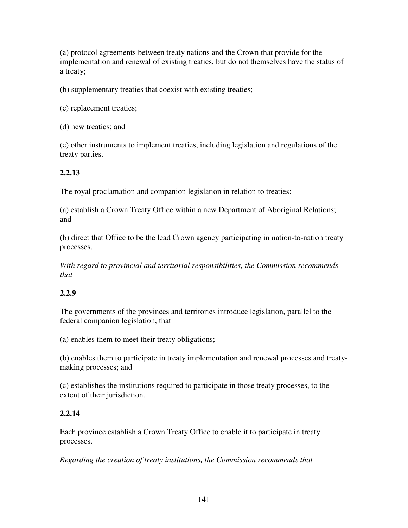(a) protocol agreements between treaty nations and the Crown that provide for the implementation and renewal of existing treaties, but do not themselves have the status of a treaty;

(b) supplementary treaties that coexist with existing treaties;

(c) replacement treaties;

(d) new treaties; and

(e) other instruments to implement treaties, including legislation and regulations of the treaty parties.

## **2.2.13**

The royal proclamation and companion legislation in relation to treaties:

(a) establish a Crown Treaty Office within a new Department of Aboriginal Relations; and

(b) direct that Office to be the lead Crown agency participating in nation-to-nation treaty processes.

*With regard to provincial and territorial responsibilities, the Commission recommends that*

## **2.2.9**

The governments of the provinces and territories introduce legislation, parallel to the federal companion legislation, that

(a) enables them to meet their treaty obligations;

(b) enables them to participate in treaty implementation and renewal processes and treatymaking processes; and

(c) establishes the institutions required to participate in those treaty processes, to the extent of their jurisdiction.

# **2.2.14**

Each province establish a Crown Treaty Office to enable it to participate in treaty processes.

*Regarding the creation of treaty institutions, the Commission recommends that*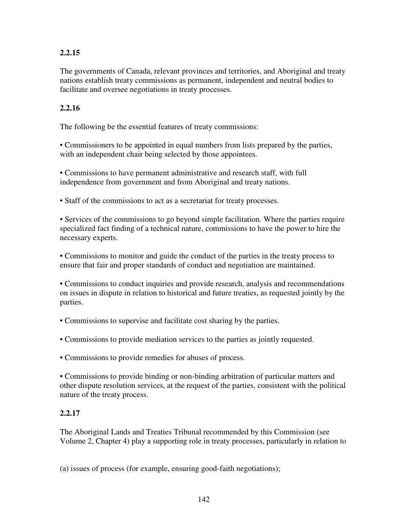## **2.2.15**

The governments of Canada, relevant provinces and territories, and Aboriginal and treaty nations establish treaty commissions as permanent, independent and neutral bodies to facilitate and oversee negotiations in treaty processes.

### **2.2.16**

The following be the essential features of treaty commissions:

• Commissioners to be appointed in equal numbers from lists prepared by the parties, with an independent chair being selected by those appointees.

• Commissions to have permanent administrative and research staff, with full independence from government and from Aboriginal and treaty nations.

• Staff of the commissions to act as a secretariat for treaty processes.

• Services of the commissions to go beyond simple facilitation. Where the parties require specialized fact finding of a technical nature, commissions to have the power to hire the necessary experts.

• Commissions to monitor and guide the conduct of the parties in the treaty process to ensure that fair and proper standards of conduct and negotiation are maintained.

• Commissions to conduct inquiries and provide research, analysis and recommendations on issues in dispute in relation to historical and future treaties, as requested jointly by the parties.

- Commissions to supervise and facilitate cost sharing by the parties.
- Commissions to provide mediation services to the parties as jointly requested.
- Commissions to provide remedies for abuses of process.

• Commissions to provide binding or non-binding arbitration of particular matters and other dispute resolution services, at the request of the parties, consistent with the political nature of the treaty process.

#### **2.2.17**

The Aboriginal Lands and Treaties Tribunal recommended by this Commission (see Volume 2, Chapter 4) play a supporting role in treaty processes, particularly in relation to

(a) issues of process (for example, ensuring good-faith negotiations);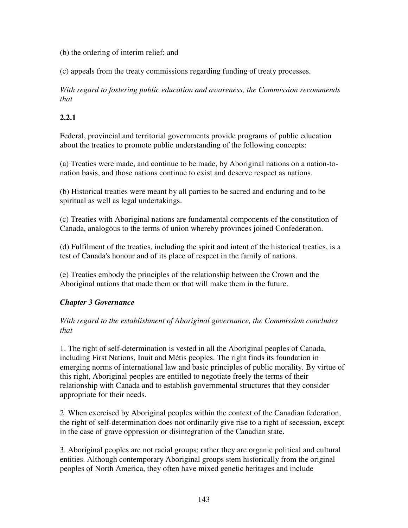(b) the ordering of interim relief; and

(c) appeals from the treaty commissions regarding funding of treaty processes.

*With regard to fostering public education and awareness, the Commission recommends that*

## **2.2.1**

Federal, provincial and territorial governments provide programs of public education about the treaties to promote public understanding of the following concepts:

(a) Treaties were made, and continue to be made, by Aboriginal nations on a nation-tonation basis, and those nations continue to exist and deserve respect as nations.

(b) Historical treaties were meant by all parties to be sacred and enduring and to be spiritual as well as legal undertakings.

(c) Treaties with Aboriginal nations are fundamental components of the constitution of Canada, analogous to the terms of union whereby provinces joined Confederation.

(d) Fulfilment of the treaties, including the spirit and intent of the historical treaties, is a test of Canada's honour and of its place of respect in the family of nations.

(e) Treaties embody the principles of the relationship between the Crown and the Aboriginal nations that made them or that will make them in the future.

## *Chapter 3 Governance*

*With regard to the establishment of Aboriginal governance, the Commission concludes that*

1. The right of self-determination is vested in all the Aboriginal peoples of Canada, including First Nations, Inuit and Métis peoples. The right finds its foundation in emerging norms of international law and basic principles of public morality. By virtue of this right, Aboriginal peoples are entitled to negotiate freely the terms of their relationship with Canada and to establish governmental structures that they consider appropriate for their needs.

2. When exercised by Aboriginal peoples within the context of the Canadian federation, the right of self-determination does not ordinarily give rise to a right of secession, except in the case of grave oppression or disintegration of the Canadian state.

3. Aboriginal peoples are not racial groups; rather they are organic political and cultural entities. Although contemporary Aboriginal groups stem historically from the original peoples of North America, they often have mixed genetic heritages and include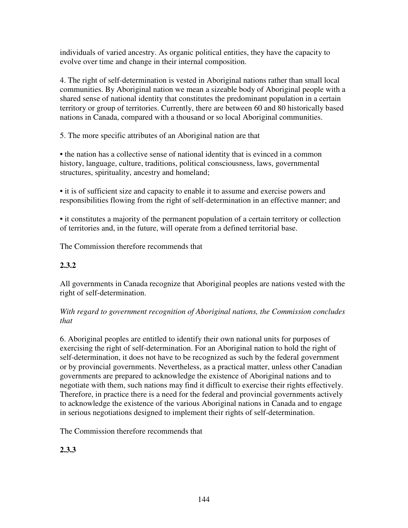individuals of varied ancestry. As organic political entities, they have the capacity to evolve over time and change in their internal composition.

4. The right of self-determination is vested in Aboriginal nations rather than small local communities. By Aboriginal nation we mean a sizeable body of Aboriginal people with a shared sense of national identity that constitutes the predominant population in a certain territory or group of territories. Currently, there are between 60 and 80 historically based nations in Canada, compared with a thousand or so local Aboriginal communities.

5. The more specific attributes of an Aboriginal nation are that

• the nation has a collective sense of national identity that is evinced in a common history, language, culture, traditions, political consciousness, laws, governmental structures, spirituality, ancestry and homeland;

• it is of sufficient size and capacity to enable it to assume and exercise powers and responsibilities flowing from the right of self-determination in an effective manner; and

• it constitutes a majority of the permanent population of a certain territory or collection of territories and, in the future, will operate from a defined territorial base.

The Commission therefore recommends that

# **2.3.2**

All governments in Canada recognize that Aboriginal peoples are nations vested with the right of self-determination.

#### *With regard to government recognition of Aboriginal nations, the Commission concludes that*

6. Aboriginal peoples are entitled to identify their own national units for purposes of exercising the right of self-determination. For an Aboriginal nation to hold the right of self-determination, it does not have to be recognized as such by the federal government or by provincial governments. Nevertheless, as a practical matter, unless other Canadian governments are prepared to acknowledge the existence of Aboriginal nations and to negotiate with them, such nations may find it difficult to exercise their rights effectively. Therefore, in practice there is a need for the federal and provincial governments actively to acknowledge the existence of the various Aboriginal nations in Canada and to engage in serious negotiations designed to implement their rights of self-determination.

The Commission therefore recommends that

# **2.3.3**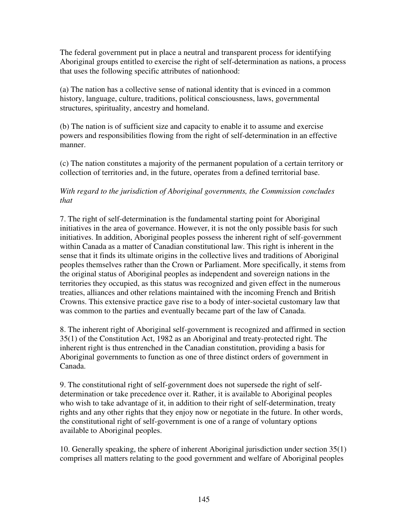The federal government put in place a neutral and transparent process for identifying Aboriginal groups entitled to exercise the right of self-determination as nations, a process that uses the following specific attributes of nationhood:

(a) The nation has a collective sense of national identity that is evinced in a common history, language, culture, traditions, political consciousness, laws, governmental structures, spirituality, ancestry and homeland.

(b) The nation is of sufficient size and capacity to enable it to assume and exercise powers and responsibilities flowing from the right of self-determination in an effective manner.

(c) The nation constitutes a majority of the permanent population of a certain territory or collection of territories and, in the future, operates from a defined territorial base.

#### *With regard to the jurisdiction of Aboriginal governments, the Commission concludes that*

7. The right of self-determination is the fundamental starting point for Aboriginal initiatives in the area of governance. However, it is not the only possible basis for such initiatives. In addition, Aboriginal peoples possess the inherent right of self-government within Canada as a matter of Canadian constitutional law. This right is inherent in the sense that it finds its ultimate origins in the collective lives and traditions of Aboriginal peoples themselves rather than the Crown or Parliament. More specifically, it stems from the original status of Aboriginal peoples as independent and sovereign nations in the territories they occupied, as this status was recognized and given effect in the numerous treaties, alliances and other relations maintained with the incoming French and British Crowns. This extensive practice gave rise to a body of inter-societal customary law that was common to the parties and eventually became part of the law of Canada.

8. The inherent right of Aboriginal self-government is recognized and affirmed in section 35(1) of the Constitution Act, 1982 as an Aboriginal and treaty-protected right. The inherent right is thus entrenched in the Canadian constitution, providing a basis for Aboriginal governments to function as one of three distinct orders of government in Canada.

9. The constitutional right of self-government does not supersede the right of selfdetermination or take precedence over it. Rather, it is available to Aboriginal peoples who wish to take advantage of it, in addition to their right of self-determination, treaty rights and any other rights that they enjoy now or negotiate in the future. In other words, the constitutional right of self-government is one of a range of voluntary options available to Aboriginal peoples.

10. Generally speaking, the sphere of inherent Aboriginal jurisdiction under section 35(1) comprises all matters relating to the good government and welfare of Aboriginal peoples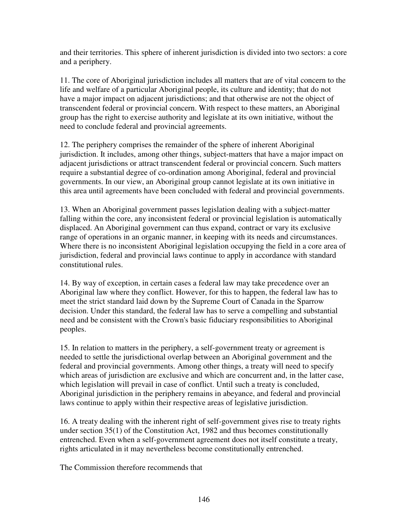and their territories. This sphere of inherent jurisdiction is divided into two sectors: a core and a periphery.

11. The core of Aboriginal jurisdiction includes all matters that are of vital concern to the life and welfare of a particular Aboriginal people, its culture and identity; that do not have a major impact on adjacent jurisdictions; and that otherwise are not the object of transcendent federal or provincial concern. With respect to these matters, an Aboriginal group has the right to exercise authority and legislate at its own initiative, without the need to conclude federal and provincial agreements.

12. The periphery comprises the remainder of the sphere of inherent Aboriginal jurisdiction. It includes, among other things, subject-matters that have a major impact on adjacent jurisdictions or attract transcendent federal or provincial concern. Such matters require a substantial degree of co-ordination among Aboriginal, federal and provincial governments. In our view, an Aboriginal group cannot legislate at its own initiative in this area until agreements have been concluded with federal and provincial governments.

13. When an Aboriginal government passes legislation dealing with a subject-matter falling within the core, any inconsistent federal or provincial legislation is automatically displaced. An Aboriginal government can thus expand, contract or vary its exclusive range of operations in an organic manner, in keeping with its needs and circumstances. Where there is no inconsistent Aboriginal legislation occupying the field in a core area of jurisdiction, federal and provincial laws continue to apply in accordance with standard constitutional rules.

14. By way of exception, in certain cases a federal law may take precedence over an Aboriginal law where they conflict. However, for this to happen, the federal law has to meet the strict standard laid down by the Supreme Court of Canada in the Sparrow decision. Under this standard, the federal law has to serve a compelling and substantial need and be consistent with the Crown's basic fiduciary responsibilities to Aboriginal peoples.

15. In relation to matters in the periphery, a self-government treaty or agreement is needed to settle the jurisdictional overlap between an Aboriginal government and the federal and provincial governments. Among other things, a treaty will need to specify which areas of jurisdiction are exclusive and which are concurrent and, in the latter case, which legislation will prevail in case of conflict. Until such a treaty is concluded, Aboriginal jurisdiction in the periphery remains in abeyance, and federal and provincial laws continue to apply within their respective areas of legislative jurisdiction.

16. A treaty dealing with the inherent right of self-government gives rise to treaty rights under section 35(1) of the Constitution Act, 1982 and thus becomes constitutionally entrenched. Even when a self-government agreement does not itself constitute a treaty, rights articulated in it may nevertheless become constitutionally entrenched.

The Commission therefore recommends that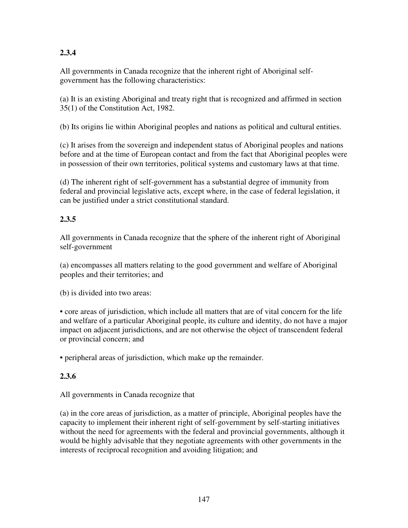## **2.3.4**

All governments in Canada recognize that the inherent right of Aboriginal selfgovernment has the following characteristics:

(a) It is an existing Aboriginal and treaty right that is recognized and affirmed in section 35(1) of the Constitution Act, 1982.

(b) Its origins lie within Aboriginal peoples and nations as political and cultural entities.

(c) It arises from the sovereign and independent status of Aboriginal peoples and nations before and at the time of European contact and from the fact that Aboriginal peoples were in possession of their own territories, political systems and customary laws at that time.

(d) The inherent right of self-government has a substantial degree of immunity from federal and provincial legislative acts, except where, in the case of federal legislation, it can be justified under a strict constitutional standard.

## **2.3.5**

All governments in Canada recognize that the sphere of the inherent right of Aboriginal self-government

(a) encompasses all matters relating to the good government and welfare of Aboriginal peoples and their territories; and

(b) is divided into two areas:

• core areas of jurisdiction, which include all matters that are of vital concern for the life and welfare of a particular Aboriginal people, its culture and identity, do not have a major impact on adjacent jurisdictions, and are not otherwise the object of transcendent federal or provincial concern; and

• peripheral areas of jurisdiction, which make up the remainder.

## **2.3.6**

All governments in Canada recognize that

(a) in the core areas of jurisdiction, as a matter of principle, Aboriginal peoples have the capacity to implement their inherent right of self-government by self-starting initiatives without the need for agreements with the federal and provincial governments, although it would be highly advisable that they negotiate agreements with other governments in the interests of reciprocal recognition and avoiding litigation; and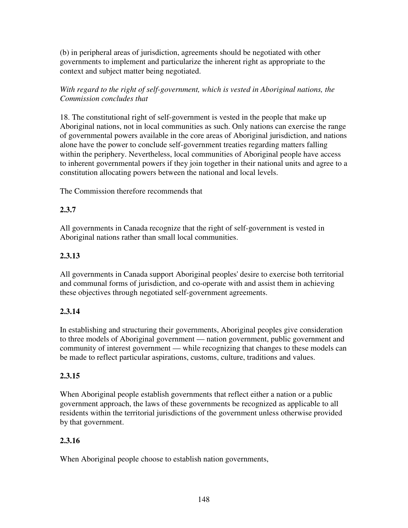(b) in peripheral areas of jurisdiction, agreements should be negotiated with other governments to implement and particularize the inherent right as appropriate to the context and subject matter being negotiated.

*With regard to the right of self-government, which is vested in Aboriginal nations, the Commission concludes that*

18. The constitutional right of self-government is vested in the people that make up Aboriginal nations, not in local communities as such. Only nations can exercise the range of governmental powers available in the core areas of Aboriginal jurisdiction, and nations alone have the power to conclude self-government treaties regarding matters falling within the periphery. Nevertheless, local communities of Aboriginal people have access to inherent governmental powers if they join together in their national units and agree to a constitution allocating powers between the national and local levels.

The Commission therefore recommends that

#### **2.3.7**

All governments in Canada recognize that the right of self-government is vested in Aboriginal nations rather than small local communities.

#### **2.3.13**

All governments in Canada support Aboriginal peoples' desire to exercise both territorial and communal forms of jurisdiction, and co-operate with and assist them in achieving these objectives through negotiated self-government agreements.

## **2.3.14**

In establishing and structuring their governments, Aboriginal peoples give consideration to three models of Aboriginal government — nation government, public government and community of interest government — while recognizing that changes to these models can be made to reflect particular aspirations, customs, culture, traditions and values.

## **2.3.15**

When Aboriginal people establish governments that reflect either a nation or a public government approach, the laws of these governments be recognized as applicable to all residents within the territorial jurisdictions of the government unless otherwise provided by that government.

## **2.3.16**

When Aboriginal people choose to establish nation governments,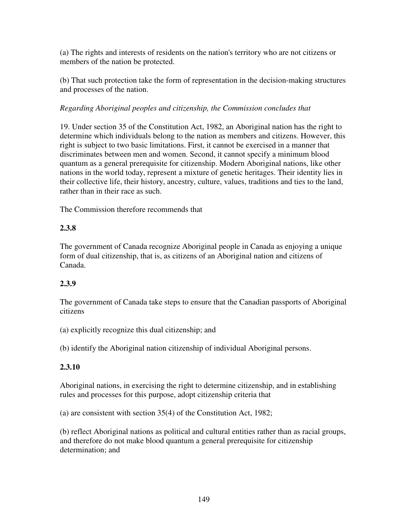(a) The rights and interests of residents on the nation's territory who are not citizens or members of the nation be protected.

(b) That such protection take the form of representation in the decision-making structures and processes of the nation.

#### *Regarding Aboriginal peoples and citizenship, the Commission concludes that*

19. Under section 35 of the Constitution Act, 1982, an Aboriginal nation has the right to determine which individuals belong to the nation as members and citizens. However, this right is subject to two basic limitations. First, it cannot be exercised in a manner that discriminates between men and women. Second, it cannot specify a minimum blood quantum as a general prerequisite for citizenship. Modern Aboriginal nations, like other nations in the world today, represent a mixture of genetic heritages. Their identity lies in their collective life, their history, ancestry, culture, values, traditions and ties to the land, rather than in their race as such.

The Commission therefore recommends that

## **2.3.8**

The government of Canada recognize Aboriginal people in Canada as enjoying a unique form of dual citizenship, that is, as citizens of an Aboriginal nation and citizens of Canada.

## **2.3.9**

The government of Canada take steps to ensure that the Canadian passports of Aboriginal citizens

(a) explicitly recognize this dual citizenship; and

(b) identify the Aboriginal nation citizenship of individual Aboriginal persons.

# **2.3.10**

Aboriginal nations, in exercising the right to determine citizenship, and in establishing rules and processes for this purpose, adopt citizenship criteria that

(a) are consistent with section 35(4) of the Constitution Act, 1982;

(b) reflect Aboriginal nations as political and cultural entities rather than as racial groups, and therefore do not make blood quantum a general prerequisite for citizenship determination; and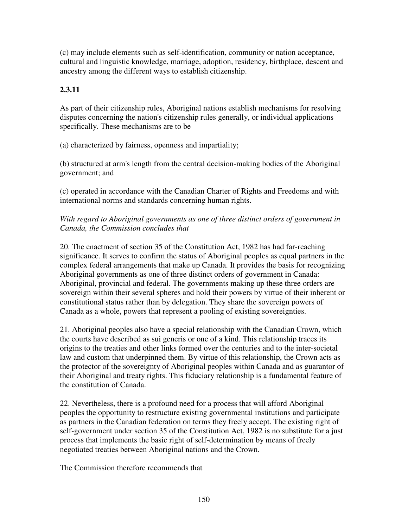(c) may include elements such as self-identification, community or nation acceptance, cultural and linguistic knowledge, marriage, adoption, residency, birthplace, descent and ancestry among the different ways to establish citizenship.

# **2.3.11**

As part of their citizenship rules, Aboriginal nations establish mechanisms for resolving disputes concerning the nation's citizenship rules generally, or individual applications specifically. These mechanisms are to be

(a) characterized by fairness, openness and impartiality;

(b) structured at arm's length from the central decision-making bodies of the Aboriginal government; and

(c) operated in accordance with the Canadian Charter of Rights and Freedoms and with international norms and standards concerning human rights.

*With regard to Aboriginal governments as one of three distinct orders of government in Canada, the Commission concludes that*

20. The enactment of section 35 of the Constitution Act, 1982 has had far-reaching significance. It serves to confirm the status of Aboriginal peoples as equal partners in the complex federal arrangements that make up Canada. It provides the basis for recognizing Aboriginal governments as one of three distinct orders of government in Canada: Aboriginal, provincial and federal. The governments making up these three orders are sovereign within their several spheres and hold their powers by virtue of their inherent or constitutional status rather than by delegation. They share the sovereign powers of Canada as a whole, powers that represent a pooling of existing sovereignties.

21. Aboriginal peoples also have a special relationship with the Canadian Crown, which the courts have described as sui generis or one of a kind. This relationship traces its origins to the treaties and other links formed over the centuries and to the inter-societal law and custom that underpinned them. By virtue of this relationship, the Crown acts as the protector of the sovereignty of Aboriginal peoples within Canada and as guarantor of their Aboriginal and treaty rights. This fiduciary relationship is a fundamental feature of the constitution of Canada.

22. Nevertheless, there is a profound need for a process that will afford Aboriginal peoples the opportunity to restructure existing governmental institutions and participate as partners in the Canadian federation on terms they freely accept. The existing right of self-government under section 35 of the Constitution Act, 1982 is no substitute for a just process that implements the basic right of self-determination by means of freely negotiated treaties between Aboriginal nations and the Crown.

The Commission therefore recommends that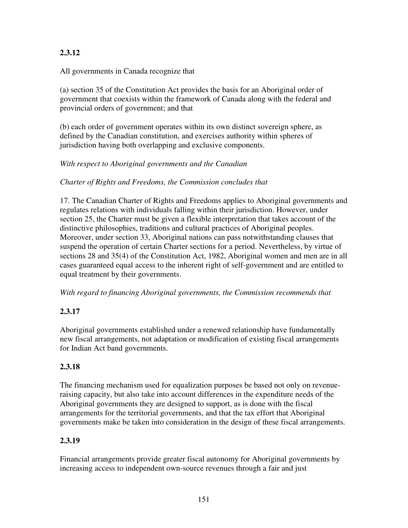## **2.3.12**

All governments in Canada recognize that

(a) section 35 of the Constitution Act provides the basis for an Aboriginal order of government that coexists within the framework of Canada along with the federal and provincial orders of government; and that

(b) each order of government operates within its own distinct sovereign sphere, as defined by the Canadian constitution, and exercises authority within spheres of jurisdiction having both overlapping and exclusive components.

#### *With respect to Aboriginal governments and the Canadian*

#### *Charter of Rights and Freedoms, the Commission concludes that*

17. The Canadian Charter of Rights and Freedoms applies to Aboriginal governments and regulates relations with individuals falling within their jurisdiction. However, under section 25, the Charter must be given a flexible interpretation that takes account of the distinctive philosophies, traditions and cultural practices of Aboriginal peoples. Moreover, under section 33, Aboriginal nations can pass notwithstanding clauses that suspend the operation of certain Charter sections for a period. Nevertheless, by virtue of sections 28 and 35(4) of the Constitution Act, 1982, Aboriginal women and men are in all cases guaranteed equal access to the inherent right of self-government and are entitled to equal treatment by their governments.

*With regard to financing Aboriginal governments, the Commission recommends that*

## **2.3.17**

Aboriginal governments established under a renewed relationship have fundamentally new fiscal arrangements, not adaptation or modification of existing fiscal arrangements for Indian Act band governments.

## **2.3.18**

The financing mechanism used for equalization purposes be based not only on revenueraising capacity, but also take into account differences in the expenditure needs of the Aboriginal governments they are designed to support, as is done with the fiscal arrangements for the territorial governments, and that the tax effort that Aboriginal governments make be taken into consideration in the design of these fiscal arrangements.

## **2.3.19**

Financial arrangements provide greater fiscal autonomy for Aboriginal governments by increasing access to independent own-source revenues through a fair and just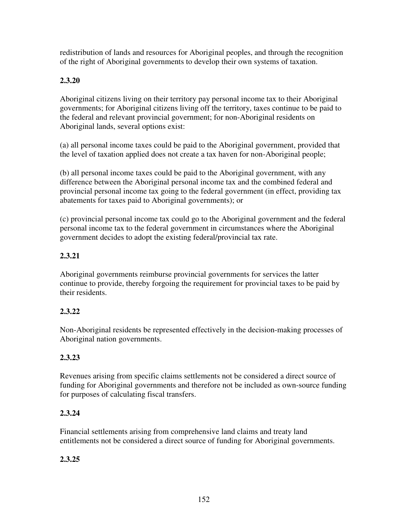redistribution of lands and resources for Aboriginal peoples, and through the recognition of the right of Aboriginal governments to develop their own systems of taxation.

# **2.3.20**

Aboriginal citizens living on their territory pay personal income tax to their Aboriginal governments; for Aboriginal citizens living off the territory, taxes continue to be paid to the federal and relevant provincial government; for non-Aboriginal residents on Aboriginal lands, several options exist:

(a) all personal income taxes could be paid to the Aboriginal government, provided that the level of taxation applied does not create a tax haven for non-Aboriginal people;

(b) all personal income taxes could be paid to the Aboriginal government, with any difference between the Aboriginal personal income tax and the combined federal and provincial personal income tax going to the federal government (in effect, providing tax abatements for taxes paid to Aboriginal governments); or

(c) provincial personal income tax could go to the Aboriginal government and the federal personal income tax to the federal government in circumstances where the Aboriginal government decides to adopt the existing federal/provincial tax rate.

## **2.3.21**

Aboriginal governments reimburse provincial governments for services the latter continue to provide, thereby forgoing the requirement for provincial taxes to be paid by their residents.

# **2.3.22**

Non-Aboriginal residents be represented effectively in the decision-making processes of Aboriginal nation governments.

# **2.3.23**

Revenues arising from specific claims settlements not be considered a direct source of funding for Aboriginal governments and therefore not be included as own-source funding for purposes of calculating fiscal transfers.

# **2.3.24**

Financial settlements arising from comprehensive land claims and treaty land entitlements not be considered a direct source of funding for Aboriginal governments.

# **2.3.25**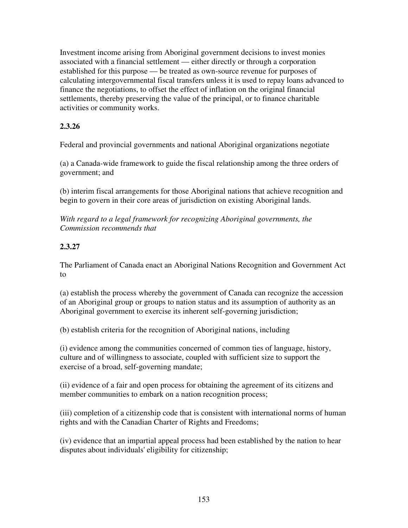Investment income arising from Aboriginal government decisions to invest monies associated with a financial settlement — either directly or through a corporation established for this purpose — be treated as own-source revenue for purposes of calculating intergovernmental fiscal transfers unless it is used to repay loans advanced to finance the negotiations, to offset the effect of inflation on the original financial settlements, thereby preserving the value of the principal, or to finance charitable activities or community works.

### **2.3.26**

Federal and provincial governments and national Aboriginal organizations negotiate

(a) a Canada-wide framework to guide the fiscal relationship among the three orders of government; and

(b) interim fiscal arrangements for those Aboriginal nations that achieve recognition and begin to govern in their core areas of jurisdiction on existing Aboriginal lands.

*With regard to a legal framework for recognizing Aboriginal governments, the Commission recommends that*

## **2.3.27**

The Parliament of Canada enact an Aboriginal Nations Recognition and Government Act to

(a) establish the process whereby the government of Canada can recognize the accession of an Aboriginal group or groups to nation status and its assumption of authority as an Aboriginal government to exercise its inherent self-governing jurisdiction;

(b) establish criteria for the recognition of Aboriginal nations, including

(i) evidence among the communities concerned of common ties of language, history, culture and of willingness to associate, coupled with sufficient size to support the exercise of a broad, self-governing mandate;

(ii) evidence of a fair and open process for obtaining the agreement of its citizens and member communities to embark on a nation recognition process;

(iii) completion of a citizenship code that is consistent with international norms of human rights and with the Canadian Charter of Rights and Freedoms;

(iv) evidence that an impartial appeal process had been established by the nation to hear disputes about individuals' eligibility for citizenship;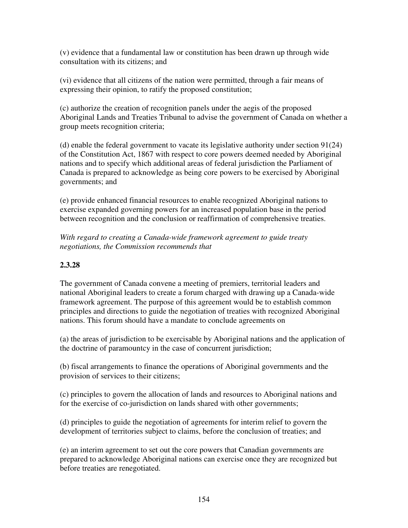(v) evidence that a fundamental law or constitution has been drawn up through wide consultation with its citizens; and

(vi) evidence that all citizens of the nation were permitted, through a fair means of expressing their opinion, to ratify the proposed constitution;

(c) authorize the creation of recognition panels under the aegis of the proposed Aboriginal Lands and Treaties Tribunal to advise the government of Canada on whether a group meets recognition criteria;

(d) enable the federal government to vacate its legislative authority under section 91(24) of the Constitution Act, 1867 with respect to core powers deemed needed by Aboriginal nations and to specify which additional areas of federal jurisdiction the Parliament of Canada is prepared to acknowledge as being core powers to be exercised by Aboriginal governments; and

(e) provide enhanced financial resources to enable recognized Aboriginal nations to exercise expanded governing powers for an increased population base in the period between recognition and the conclusion or reaffirmation of comprehensive treaties.

*With regard to creating a Canada-wide framework agreement to guide treaty negotiations, the Commission recommends that*

### **2.3.28**

The government of Canada convene a meeting of premiers, territorial leaders and national Aboriginal leaders to create a forum charged with drawing up a Canada-wide framework agreement. The purpose of this agreement would be to establish common principles and directions to guide the negotiation of treaties with recognized Aboriginal nations. This forum should have a mandate to conclude agreements on

(a) the areas of jurisdiction to be exercisable by Aboriginal nations and the application of the doctrine of paramountcy in the case of concurrent jurisdiction;

(b) fiscal arrangements to finance the operations of Aboriginal governments and the provision of services to their citizens;

(c) principles to govern the allocation of lands and resources to Aboriginal nations and for the exercise of co-jurisdiction on lands shared with other governments;

(d) principles to guide the negotiation of agreements for interim relief to govern the development of territories subject to claims, before the conclusion of treaties; and

(e) an interim agreement to set out the core powers that Canadian governments are prepared to acknowledge Aboriginal nations can exercise once they are recognized but before treaties are renegotiated.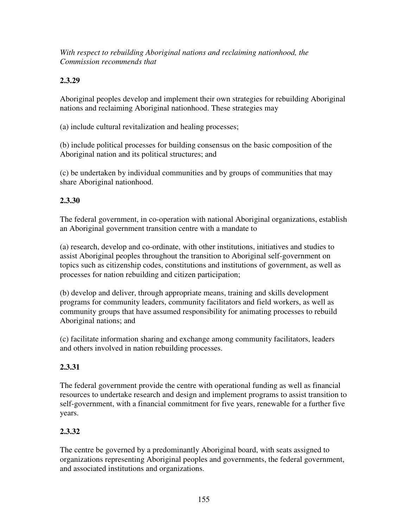*With respect to rebuilding Aboriginal nations and reclaiming nationhood, the Commission recommends that*

## **2.3.29**

Aboriginal peoples develop and implement their own strategies for rebuilding Aboriginal nations and reclaiming Aboriginal nationhood. These strategies may

(a) include cultural revitalization and healing processes;

(b) include political processes for building consensus on the basic composition of the Aboriginal nation and its political structures; and

(c) be undertaken by individual communities and by groups of communities that may share Aboriginal nationhood.

## **2.3.30**

The federal government, in co-operation with national Aboriginal organizations, establish an Aboriginal government transition centre with a mandate to

(a) research, develop and co-ordinate, with other institutions, initiatives and studies to assist Aboriginal peoples throughout the transition to Aboriginal self-government on topics such as citizenship codes, constitutions and institutions of government, as well as processes for nation rebuilding and citizen participation;

(b) develop and deliver, through appropriate means, training and skills development programs for community leaders, community facilitators and field workers, as well as community groups that have assumed responsibility for animating processes to rebuild Aboriginal nations; and

(c) facilitate information sharing and exchange among community facilitators, leaders and others involved in nation rebuilding processes.

# **2.3.31**

The federal government provide the centre with operational funding as well as financial resources to undertake research and design and implement programs to assist transition to self-government, with a financial commitment for five years, renewable for a further five years.

# **2.3.32**

The centre be governed by a predominantly Aboriginal board, with seats assigned to organizations representing Aboriginal peoples and governments, the federal government, and associated institutions and organizations.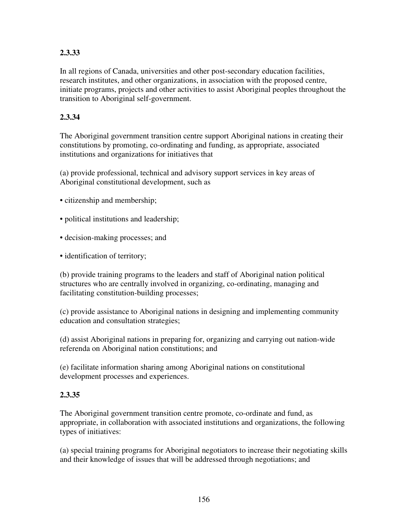## **2.3.33**

In all regions of Canada, universities and other post-secondary education facilities, research institutes, and other organizations, in association with the proposed centre, initiate programs, projects and other activities to assist Aboriginal peoples throughout the transition to Aboriginal self-government.

### **2.3.34**

The Aboriginal government transition centre support Aboriginal nations in creating their constitutions by promoting, co-ordinating and funding, as appropriate, associated institutions and organizations for initiatives that

(a) provide professional, technical and advisory support services in key areas of Aboriginal constitutional development, such as

- citizenship and membership;
- political institutions and leadership;
- decision-making processes; and
- identification of territory;

(b) provide training programs to the leaders and staff of Aboriginal nation political structures who are centrally involved in organizing, co-ordinating, managing and facilitating constitution-building processes;

(c) provide assistance to Aboriginal nations in designing and implementing community education and consultation strategies;

(d) assist Aboriginal nations in preparing for, organizing and carrying out nation-wide referenda on Aboriginal nation constitutions; and

(e) facilitate information sharing among Aboriginal nations on constitutional development processes and experiences.

## **2.3.35**

The Aboriginal government transition centre promote, co-ordinate and fund, as appropriate, in collaboration with associated institutions and organizations, the following types of initiatives:

(a) special training programs for Aboriginal negotiators to increase their negotiating skills and their knowledge of issues that will be addressed through negotiations; and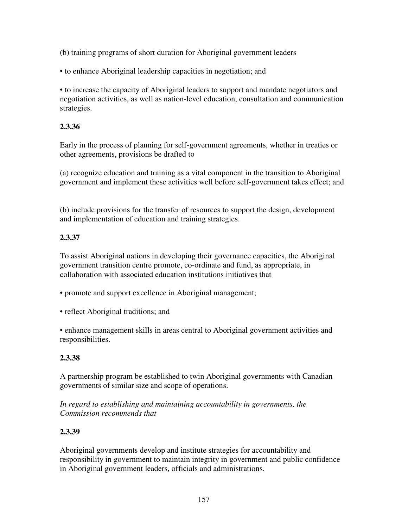(b) training programs of short duration for Aboriginal government leaders

• to enhance Aboriginal leadership capacities in negotiation; and

• to increase the capacity of Aboriginal leaders to support and mandate negotiators and negotiation activities, as well as nation-level education, consultation and communication strategies.

## **2.3.36**

Early in the process of planning for self-government agreements, whether in treaties or other agreements, provisions be drafted to

(a) recognize education and training as a vital component in the transition to Aboriginal government and implement these activities well before self-government takes effect; and

(b) include provisions for the transfer of resources to support the design, development and implementation of education and training strategies.

## **2.3.37**

To assist Aboriginal nations in developing their governance capacities, the Aboriginal government transition centre promote, co-ordinate and fund, as appropriate, in collaboration with associated education institutions initiatives that

• promote and support excellence in Aboriginal management;

• reflect Aboriginal traditions; and

• enhance management skills in areas central to Aboriginal government activities and responsibilities.

# **2.3.38**

A partnership program be established to twin Aboriginal governments with Canadian governments of similar size and scope of operations.

*In regard to establishing and maintaining accountability in governments, the Commission recommends that*

## **2.3.39**

Aboriginal governments develop and institute strategies for accountability and responsibility in government to maintain integrity in government and public confidence in Aboriginal government leaders, officials and administrations.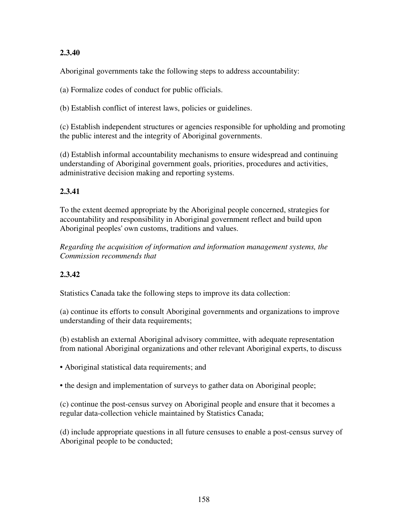#### **2.3.40**

Aboriginal governments take the following steps to address accountability:

(a) Formalize codes of conduct for public officials.

(b) Establish conflict of interest laws, policies or guidelines.

(c) Establish independent structures or agencies responsible for upholding and promoting the public interest and the integrity of Aboriginal governments.

(d) Establish informal accountability mechanisms to ensure widespread and continuing understanding of Aboriginal government goals, priorities, procedures and activities, administrative decision making and reporting systems.

## **2.3.41**

To the extent deemed appropriate by the Aboriginal people concerned, strategies for accountability and responsibility in Aboriginal government reflect and build upon Aboriginal peoples' own customs, traditions and values.

*Regarding the acquisition of information and information management systems, the Commission recommends that*

## **2.3.42**

Statistics Canada take the following steps to improve its data collection:

(a) continue its efforts to consult Aboriginal governments and organizations to improve understanding of their data requirements;

(b) establish an external Aboriginal advisory committee, with adequate representation from national Aboriginal organizations and other relevant Aboriginal experts, to discuss

• Aboriginal statistical data requirements; and

• the design and implementation of surveys to gather data on Aboriginal people;

(c) continue the post-census survey on Aboriginal people and ensure that it becomes a regular data-collection vehicle maintained by Statistics Canada;

(d) include appropriate questions in all future censuses to enable a post-census survey of Aboriginal people to be conducted;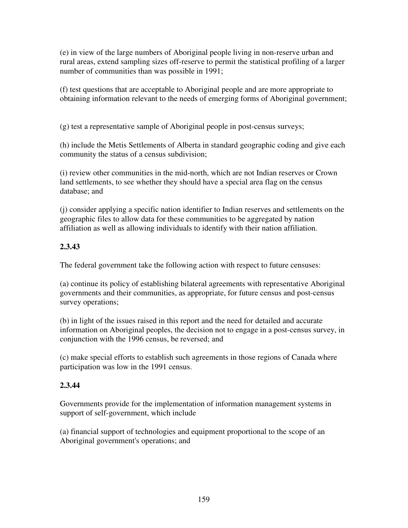(e) in view of the large numbers of Aboriginal people living in non-reserve urban and rural areas, extend sampling sizes off-reserve to permit the statistical profiling of a larger number of communities than was possible in 1991;

(f) test questions that are acceptable to Aboriginal people and are more appropriate to obtaining information relevant to the needs of emerging forms of Aboriginal government;

(g) test a representative sample of Aboriginal people in post-census surveys;

(h) include the Metis Settlements of Alberta in standard geographic coding and give each community the status of a census subdivision;

(i) review other communities in the mid-north, which are not Indian reserves or Crown land settlements, to see whether they should have a special area flag on the census database; and

(j) consider applying a specific nation identifier to Indian reserves and settlements on the geographic files to allow data for these communities to be aggregated by nation affiliation as well as allowing individuals to identify with their nation affiliation.

## **2.3.43**

The federal government take the following action with respect to future censuses:

(a) continue its policy of establishing bilateral agreements with representative Aboriginal governments and their communities, as appropriate, for future census and post-census survey operations;

(b) in light of the issues raised in this report and the need for detailed and accurate information on Aboriginal peoples, the decision not to engage in a post-census survey, in conjunction with the 1996 census, be reversed; and

(c) make special efforts to establish such agreements in those regions of Canada where participation was low in the 1991 census.

# **2.3.44**

Governments provide for the implementation of information management systems in support of self-government, which include

(a) financial support of technologies and equipment proportional to the scope of an Aboriginal government's operations; and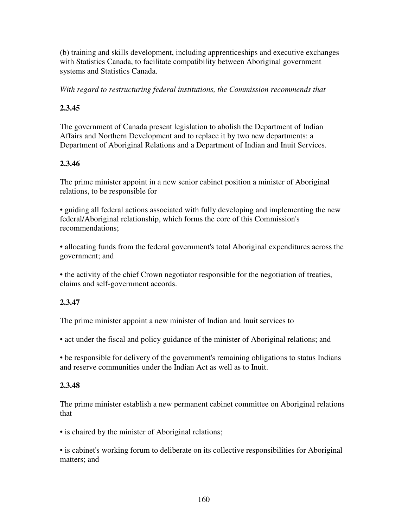(b) training and skills development, including apprenticeships and executive exchanges with Statistics Canada, to facilitate compatibility between Aboriginal government systems and Statistics Canada.

*With regard to restructuring federal institutions, the Commission recommends that*

# **2.3.45**

The government of Canada present legislation to abolish the Department of Indian Affairs and Northern Development and to replace it by two new departments: a Department of Aboriginal Relations and a Department of Indian and Inuit Services.

## **2.3.46**

The prime minister appoint in a new senior cabinet position a minister of Aboriginal relations, to be responsible for

• guiding all federal actions associated with fully developing and implementing the new federal/Aboriginal relationship, which forms the core of this Commission's recommendations;

• allocating funds from the federal government's total Aboriginal expenditures across the government; and

• the activity of the chief Crown negotiator responsible for the negotiation of treaties, claims and self-government accords.

# **2.3.47**

The prime minister appoint a new minister of Indian and Inuit services to

• act under the fiscal and policy guidance of the minister of Aboriginal relations; and

• be responsible for delivery of the government's remaining obligations to status Indians and reserve communities under the Indian Act as well as to Inuit.

## **2.3.48**

The prime minister establish a new permanent cabinet committee on Aboriginal relations that

• is chaired by the minister of Aboriginal relations;

• is cabinet's working forum to deliberate on its collective responsibilities for Aboriginal matters; and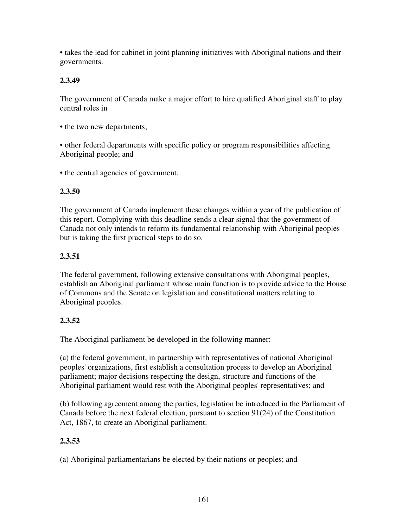• takes the lead for cabinet in joint planning initiatives with Aboriginal nations and their governments.

## **2.3.49**

The government of Canada make a major effort to hire qualified Aboriginal staff to play central roles in

• the two new departments;

• other federal departments with specific policy or program responsibilities affecting Aboriginal people; and

• the central agencies of government.

## **2.3.50**

The government of Canada implement these changes within a year of the publication of this report. Complying with this deadline sends a clear signal that the government of Canada not only intends to reform its fundamental relationship with Aboriginal peoples but is taking the first practical steps to do so.

# **2.3.51**

The federal government, following extensive consultations with Aboriginal peoples, establish an Aboriginal parliament whose main function is to provide advice to the House of Commons and the Senate on legislation and constitutional matters relating to Aboriginal peoples.

# **2.3.52**

The Aboriginal parliament be developed in the following manner:

(a) the federal government, in partnership with representatives of national Aboriginal peoples' organizations, first establish a consultation process to develop an Aboriginal parliament; major decisions respecting the design, structure and functions of the Aboriginal parliament would rest with the Aboriginal peoples' representatives; and

(b) following agreement among the parties, legislation be introduced in the Parliament of Canada before the next federal election, pursuant to section 91(24) of the Constitution Act, 1867, to create an Aboriginal parliament.

# **2.3.53**

(a) Aboriginal parliamentarians be elected by their nations or peoples; and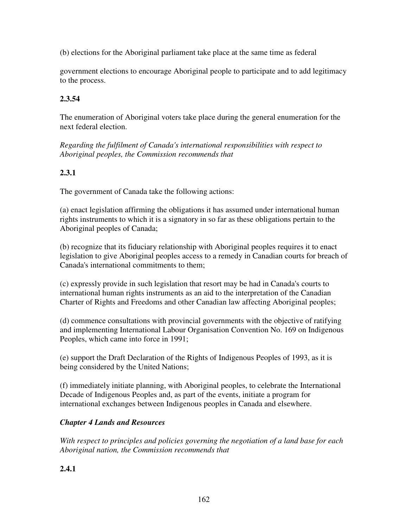(b) elections for the Aboriginal parliament take place at the same time as federal

government elections to encourage Aboriginal people to participate and to add legitimacy to the process.

# **2.3.54**

The enumeration of Aboriginal voters take place during the general enumeration for the next federal election.

*Regarding the fulfilment of Canada's international responsibilities with respect to Aboriginal peoples, the Commission recommends that*

## **2.3.1**

The government of Canada take the following actions:

(a) enact legislation affirming the obligations it has assumed under international human rights instruments to which it is a signatory in so far as these obligations pertain to the Aboriginal peoples of Canada;

(b) recognize that its fiduciary relationship with Aboriginal peoples requires it to enact legislation to give Aboriginal peoples access to a remedy in Canadian courts for breach of Canada's international commitments to them;

(c) expressly provide in such legislation that resort may be had in Canada's courts to international human rights instruments as an aid to the interpretation of the Canadian Charter of Rights and Freedoms and other Canadian law affecting Aboriginal peoples;

(d) commence consultations with provincial governments with the objective of ratifying and implementing International Labour Organisation Convention No. 169 on Indigenous Peoples, which came into force in 1991;

(e) support the Draft Declaration of the Rights of Indigenous Peoples of 1993, as it is being considered by the United Nations;

(f) immediately initiate planning, with Aboriginal peoples, to celebrate the International Decade of Indigenous Peoples and, as part of the events, initiate a program for international exchanges between Indigenous peoples in Canada and elsewhere.

## *Chapter 4 Lands and Resources*

*With respect to principles and policies governing the negotiation of a land base for each Aboriginal nation, the Commission recommends that*

# **2.4.1**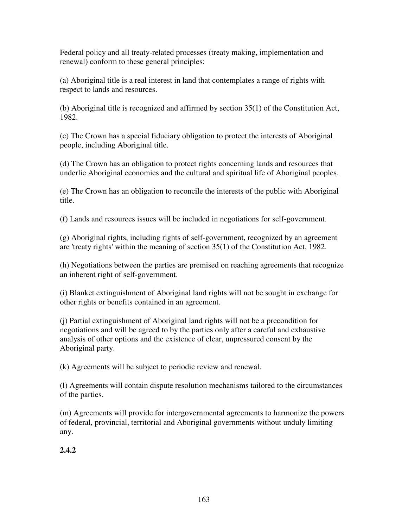Federal policy and all treaty-related processes (treaty making, implementation and renewal) conform to these general principles:

(a) Aboriginal title is a real interest in land that contemplates a range of rights with respect to lands and resources.

(b) Aboriginal title is recognized and affirmed by section 35(1) of the Constitution Act, 1982.

(c) The Crown has a special fiduciary obligation to protect the interests of Aboriginal people, including Aboriginal title.

(d) The Crown has an obligation to protect rights concerning lands and resources that underlie Aboriginal economies and the cultural and spiritual life of Aboriginal peoples.

(e) The Crown has an obligation to reconcile the interests of the public with Aboriginal title.

(f) Lands and resources issues will be included in negotiations for self-government.

(g) Aboriginal rights, including rights of self-government, recognized by an agreement are 'treaty rights' within the meaning of section 35(1) of the Constitution Act, 1982.

(h) Negotiations between the parties are premised on reaching agreements that recognize an inherent right of self-government.

(i) Blanket extinguishment of Aboriginal land rights will not be sought in exchange for other rights or benefits contained in an agreement.

(j) Partial extinguishment of Aboriginal land rights will not be a precondition for negotiations and will be agreed to by the parties only after a careful and exhaustive analysis of other options and the existence of clear, unpressured consent by the Aboriginal party.

(k) Agreements will be subject to periodic review and renewal.

(l) Agreements will contain dispute resolution mechanisms tailored to the circumstances of the parties.

(m) Agreements will provide for intergovernmental agreements to harmonize the powers of federal, provincial, territorial and Aboriginal governments without unduly limiting any.

**2.4.2**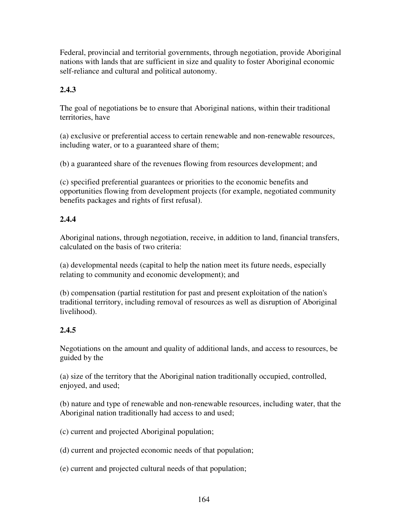Federal, provincial and territorial governments, through negotiation, provide Aboriginal nations with lands that are sufficient in size and quality to foster Aboriginal economic self-reliance and cultural and political autonomy.

# **2.4.3**

The goal of negotiations be to ensure that Aboriginal nations, within their traditional territories, have

(a) exclusive or preferential access to certain renewable and non-renewable resources, including water, or to a guaranteed share of them;

(b) a guaranteed share of the revenues flowing from resources development; and

(c) specified preferential guarantees or priorities to the economic benefits and opportunities flowing from development projects (for example, negotiated community benefits packages and rights of first refusal).

## **2.4.4**

Aboriginal nations, through negotiation, receive, in addition to land, financial transfers, calculated on the basis of two criteria:

(a) developmental needs (capital to help the nation meet its future needs, especially relating to community and economic development); and

(b) compensation (partial restitution for past and present exploitation of the nation's traditional territory, including removal of resources as well as disruption of Aboriginal livelihood).

# **2.4.5**

Negotiations on the amount and quality of additional lands, and access to resources, be guided by the

(a) size of the territory that the Aboriginal nation traditionally occupied, controlled, enjoyed, and used;

(b) nature and type of renewable and non-renewable resources, including water, that the Aboriginal nation traditionally had access to and used;

(c) current and projected Aboriginal population;

(d) current and projected economic needs of that population;

(e) current and projected cultural needs of that population;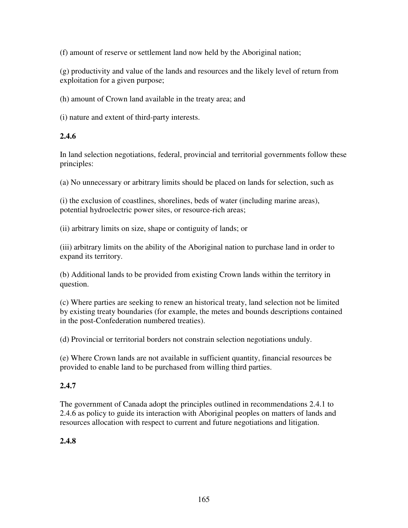(f) amount of reserve or settlement land now held by the Aboriginal nation;

(g) productivity and value of the lands and resources and the likely level of return from exploitation for a given purpose;

(h) amount of Crown land available in the treaty area; and

(i) nature and extent of third-party interests.

## **2.4.6**

In land selection negotiations, federal, provincial and territorial governments follow these principles:

(a) No unnecessary or arbitrary limits should be placed on lands for selection, such as

(i) the exclusion of coastlines, shorelines, beds of water (including marine areas), potential hydroelectric power sites, or resource-rich areas;

(ii) arbitrary limits on size, shape or contiguity of lands; or

(iii) arbitrary limits on the ability of the Aboriginal nation to purchase land in order to expand its territory.

(b) Additional lands to be provided from existing Crown lands within the territory in question.

(c) Where parties are seeking to renew an historical treaty, land selection not be limited by existing treaty boundaries (for example, the metes and bounds descriptions contained in the post-Confederation numbered treaties).

(d) Provincial or territorial borders not constrain selection negotiations unduly.

(e) Where Crown lands are not available in sufficient quantity, financial resources be provided to enable land to be purchased from willing third parties.

# **2.4.7**

The government of Canada adopt the principles outlined in recommendations 2.4.1 to 2.4.6 as policy to guide its interaction with Aboriginal peoples on matters of lands and resources allocation with respect to current and future negotiations and litigation.

# **2.4.8**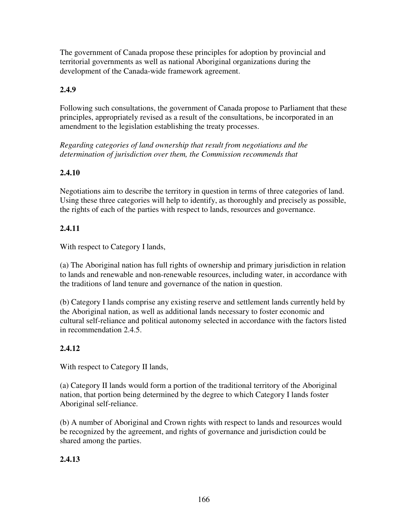The government of Canada propose these principles for adoption by provincial and territorial governments as well as national Aboriginal organizations during the development of the Canada-wide framework agreement.

## **2.4.9**

Following such consultations, the government of Canada propose to Parliament that these principles, appropriately revised as a result of the consultations, be incorporated in an amendment to the legislation establishing the treaty processes.

*Regarding categories of land ownership that result from negotiations and the determination of jurisdiction over them, the Commission recommends that*

### **2.4.10**

Negotiations aim to describe the territory in question in terms of three categories of land. Using these three categories will help to identify, as thoroughly and precisely as possible, the rights of each of the parties with respect to lands, resources and governance.

### **2.4.11**

With respect to Category I lands,

(a) The Aboriginal nation has full rights of ownership and primary jurisdiction in relation to lands and renewable and non-renewable resources, including water, in accordance with the traditions of land tenure and governance of the nation in question.

(b) Category I lands comprise any existing reserve and settlement lands currently held by the Aboriginal nation, as well as additional lands necessary to foster economic and cultural self-reliance and political autonomy selected in accordance with the factors listed in recommendation 2.4.5.

## **2.4.12**

With respect to Category II lands,

(a) Category II lands would form a portion of the traditional territory of the Aboriginal nation, that portion being determined by the degree to which Category I lands foster Aboriginal self-reliance.

(b) A number of Aboriginal and Crown rights with respect to lands and resources would be recognized by the agreement, and rights of governance and jurisdiction could be shared among the parties.

#### **2.4.13**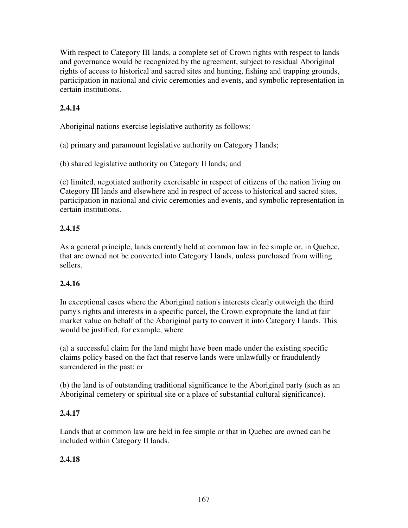With respect to Category III lands, a complete set of Crown rights with respect to lands and governance would be recognized by the agreement, subject to residual Aboriginal rights of access to historical and sacred sites and hunting, fishing and trapping grounds, participation in national and civic ceremonies and events, and symbolic representation in certain institutions.

## **2.4.14**

Aboriginal nations exercise legislative authority as follows:

(a) primary and paramount legislative authority on Category I lands;

(b) shared legislative authority on Category II lands; and

(c) limited, negotiated authority exercisable in respect of citizens of the nation living on Category III lands and elsewhere and in respect of access to historical and sacred sites, participation in national and civic ceremonies and events, and symbolic representation in certain institutions.

#### **2.4.15**

As a general principle, lands currently held at common law in fee simple or, in Quebec, that are owned not be converted into Category I lands, unless purchased from willing sellers.

## **2.4.16**

In exceptional cases where the Aboriginal nation's interests clearly outweigh the third party's rights and interests in a specific parcel, the Crown expropriate the land at fair market value on behalf of the Aboriginal party to convert it into Category I lands. This would be justified, for example, where

(a) a successful claim for the land might have been made under the existing specific claims policy based on the fact that reserve lands were unlawfully or fraudulently surrendered in the past; or

(b) the land is of outstanding traditional significance to the Aboriginal party (such as an Aboriginal cemetery or spiritual site or a place of substantial cultural significance).

## **2.4.17**

Lands that at common law are held in fee simple or that in Quebec are owned can be included within Category II lands.

#### **2.4.18**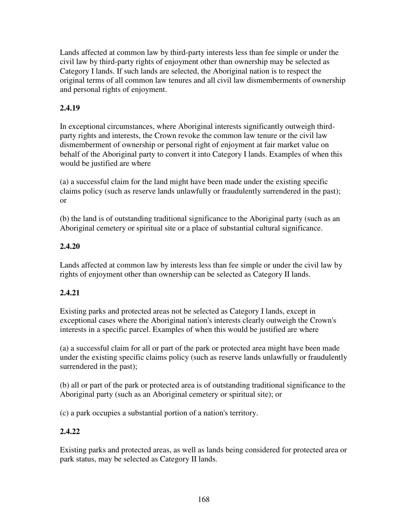Lands affected at common law by third-party interests less than fee simple or under the civil law by third-party rights of enjoyment other than ownership may be selected as Category I lands. If such lands are selected, the Aboriginal nation is to respect the original terms of all common law tenures and all civil law dismemberments of ownership and personal rights of enjoyment.

### **2.4.19**

In exceptional circumstances, where Aboriginal interests significantly outweigh thirdparty rights and interests, the Crown revoke the common law tenure or the civil law dismemberment of ownership or personal right of enjoyment at fair market value on behalf of the Aboriginal party to convert it into Category I lands. Examples of when this would be justified are where

(a) a successful claim for the land might have been made under the existing specific claims policy (such as reserve lands unlawfully or fraudulently surrendered in the past); or

(b) the land is of outstanding traditional significance to the Aboriginal party (such as an Aboriginal cemetery or spiritual site or a place of substantial cultural significance.

#### **2.4.20**

Lands affected at common law by interests less than fee simple or under the civil law by rights of enjoyment other than ownership can be selected as Category II lands.

## **2.4.21**

Existing parks and protected areas not be selected as Category I lands, except in exceptional cases where the Aboriginal nation's interests clearly outweigh the Crown's interests in a specific parcel. Examples of when this would be justified are where

(a) a successful claim for all or part of the park or protected area might have been made under the existing specific claims policy (such as reserve lands unlawfully or fraudulently surrendered in the past);

(b) all or part of the park or protected area is of outstanding traditional significance to the Aboriginal party (such as an Aboriginal cemetery or spiritual site); or

(c) a park occupies a substantial portion of a nation's territory.

## **2.4.22**

Existing parks and protected areas, as well as lands being considered for protected area or park status, may be selected as Category II lands.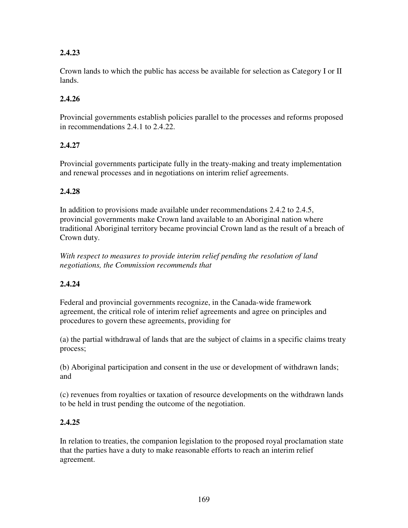## **2.4.23**

Crown lands to which the public has access be available for selection as Category I or II lands.

#### **2.4.26**

Provincial governments establish policies parallel to the processes and reforms proposed in recommendations 2.4.1 to 2.4.22.

#### **2.4.27**

Provincial governments participate fully in the treaty-making and treaty implementation and renewal processes and in negotiations on interim relief agreements.

#### **2.4.28**

In addition to provisions made available under recommendations 2.4.2 to 2.4.5, provincial governments make Crown land available to an Aboriginal nation where traditional Aboriginal territory became provincial Crown land as the result of a breach of Crown duty.

*With respect to measures to provide interim relief pending the resolution of land negotiations, the Commission recommends that*

#### **2.4.24**

Federal and provincial governments recognize, in the Canada-wide framework agreement, the critical role of interim relief agreements and agree on principles and procedures to govern these agreements, providing for

(a) the partial withdrawal of lands that are the subject of claims in a specific claims treaty process;

(b) Aboriginal participation and consent in the use or development of withdrawn lands; and

(c) revenues from royalties or taxation of resource developments on the withdrawn lands to be held in trust pending the outcome of the negotiation.

#### **2.4.25**

In relation to treaties, the companion legislation to the proposed royal proclamation state that the parties have a duty to make reasonable efforts to reach an interim relief agreement.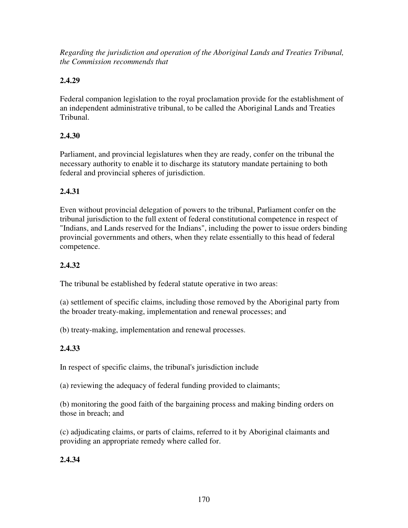*Regarding the jurisdiction and operation of the Aboriginal Lands and Treaties Tribunal, the Commission recommends that*

## **2.4.29**

Federal companion legislation to the royal proclamation provide for the establishment of an independent administrative tribunal, to be called the Aboriginal Lands and Treaties Tribunal.

## **2.4.30**

Parliament, and provincial legislatures when they are ready, confer on the tribunal the necessary authority to enable it to discharge its statutory mandate pertaining to both federal and provincial spheres of jurisdiction.

## **2.4.31**

Even without provincial delegation of powers to the tribunal, Parliament confer on the tribunal jurisdiction to the full extent of federal constitutional competence in respect of "Indians, and Lands reserved for the Indians", including the power to issue orders binding provincial governments and others, when they relate essentially to this head of federal competence.

## **2.4.32**

The tribunal be established by federal statute operative in two areas:

(a) settlement of specific claims, including those removed by the Aboriginal party from the broader treaty-making, implementation and renewal processes; and

(b) treaty-making, implementation and renewal processes.

# **2.4.33**

In respect of specific claims, the tribunal's jurisdiction include

(a) reviewing the adequacy of federal funding provided to claimants;

(b) monitoring the good faith of the bargaining process and making binding orders on those in breach; and

(c) adjudicating claims, or parts of claims, referred to it by Aboriginal claimants and providing an appropriate remedy where called for.

## **2.4.34**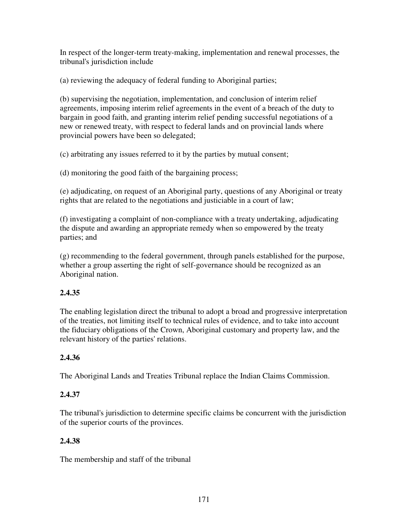In respect of the longer-term treaty-making, implementation and renewal processes, the tribunal's jurisdiction include

(a) reviewing the adequacy of federal funding to Aboriginal parties;

(b) supervising the negotiation, implementation, and conclusion of interim relief agreements, imposing interim relief agreements in the event of a breach of the duty to bargain in good faith, and granting interim relief pending successful negotiations of a new or renewed treaty, with respect to federal lands and on provincial lands where provincial powers have been so delegated;

(c) arbitrating any issues referred to it by the parties by mutual consent;

(d) monitoring the good faith of the bargaining process;

(e) adjudicating, on request of an Aboriginal party, questions of any Aboriginal or treaty rights that are related to the negotiations and justiciable in a court of law;

(f) investigating a complaint of non-compliance with a treaty undertaking, adjudicating the dispute and awarding an appropriate remedy when so empowered by the treaty parties; and

(g) recommending to the federal government, through panels established for the purpose, whether a group asserting the right of self-governance should be recognized as an Aboriginal nation.

## **2.4.35**

The enabling legislation direct the tribunal to adopt a broad and progressive interpretation of the treaties, not limiting itself to technical rules of evidence, and to take into account the fiduciary obligations of the Crown, Aboriginal customary and property law, and the relevant history of the parties' relations.

#### **2.4.36**

The Aboriginal Lands and Treaties Tribunal replace the Indian Claims Commission.

#### **2.4.37**

The tribunal's jurisdiction to determine specific claims be concurrent with the jurisdiction of the superior courts of the provinces.

## **2.4.38**

The membership and staff of the tribunal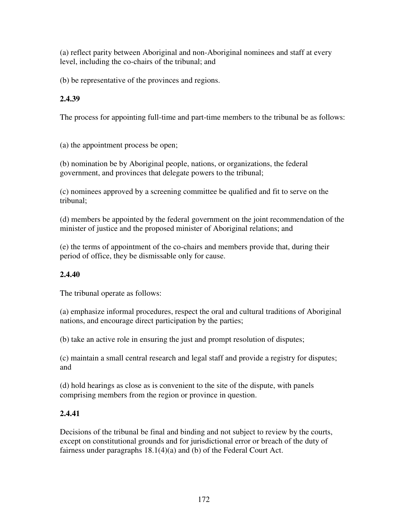(a) reflect parity between Aboriginal and non-Aboriginal nominees and staff at every level, including the co-chairs of the tribunal; and

(b) be representative of the provinces and regions.

# **2.4.39**

The process for appointing full-time and part-time members to the tribunal be as follows:

(a) the appointment process be open;

(b) nomination be by Aboriginal people, nations, or organizations, the federal government, and provinces that delegate powers to the tribunal;

(c) nominees approved by a screening committee be qualified and fit to serve on the tribunal;

(d) members be appointed by the federal government on the joint recommendation of the minister of justice and the proposed minister of Aboriginal relations; and

(e) the terms of appointment of the co-chairs and members provide that, during their period of office, they be dismissable only for cause.

## **2.4.40**

The tribunal operate as follows:

(a) emphasize informal procedures, respect the oral and cultural traditions of Aboriginal nations, and encourage direct participation by the parties;

(b) take an active role in ensuring the just and prompt resolution of disputes;

(c) maintain a small central research and legal staff and provide a registry for disputes; and

(d) hold hearings as close as is convenient to the site of the dispute, with panels comprising members from the region or province in question.

# **2.4.41**

Decisions of the tribunal be final and binding and not subject to review by the courts, except on constitutional grounds and for jurisdictional error or breach of the duty of fairness under paragraphs 18.1(4)(a) and (b) of the Federal Court Act.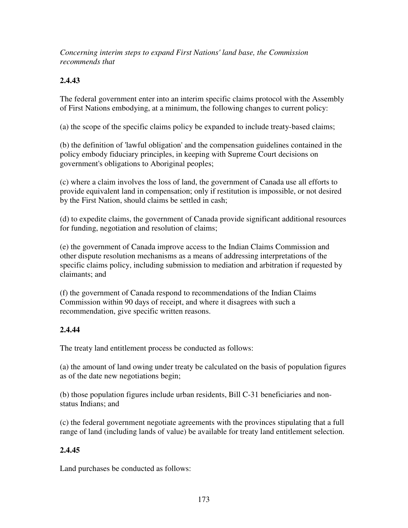*Concerning interim steps to expand First Nations' land base, the Commission recommends that*

### **2.4.43**

The federal government enter into an interim specific claims protocol with the Assembly of First Nations embodying, at a minimum, the following changes to current policy:

(a) the scope of the specific claims policy be expanded to include treaty-based claims;

(b) the definition of 'lawful obligation' and the compensation guidelines contained in the policy embody fiduciary principles, in keeping with Supreme Court decisions on government's obligations to Aboriginal peoples;

(c) where a claim involves the loss of land, the government of Canada use all efforts to provide equivalent land in compensation; only if restitution is impossible, or not desired by the First Nation, should claims be settled in cash;

(d) to expedite claims, the government of Canada provide significant additional resources for funding, negotiation and resolution of claims;

(e) the government of Canada improve access to the Indian Claims Commission and other dispute resolution mechanisms as a means of addressing interpretations of the specific claims policy, including submission to mediation and arbitration if requested by claimants; and

(f) the government of Canada respond to recommendations of the Indian Claims Commission within 90 days of receipt, and where it disagrees with such a recommendation, give specific written reasons.

## **2.4.44**

The treaty land entitlement process be conducted as follows:

(a) the amount of land owing under treaty be calculated on the basis of population figures as of the date new negotiations begin;

(b) those population figures include urban residents, Bill C-31 beneficiaries and nonstatus Indians; and

(c) the federal government negotiate agreements with the provinces stipulating that a full range of land (including lands of value) be available for treaty land entitlement selection.

#### **2.4.45**

Land purchases be conducted as follows: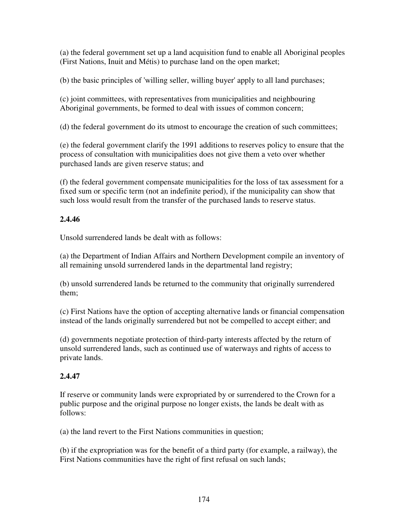(a) the federal government set up a land acquisition fund to enable all Aboriginal peoples (First Nations, Inuit and Métis) to purchase land on the open market;

(b) the basic principles of 'willing seller, willing buyer' apply to all land purchases;

(c) joint committees, with representatives from municipalities and neighbouring Aboriginal governments, be formed to deal with issues of common concern;

(d) the federal government do its utmost to encourage the creation of such committees;

(e) the federal government clarify the 1991 additions to reserves policy to ensure that the process of consultation with municipalities does not give them a veto over whether purchased lands are given reserve status; and

(f) the federal government compensate municipalities for the loss of tax assessment for a fixed sum or specific term (not an indefinite period), if the municipality can show that such loss would result from the transfer of the purchased lands to reserve status.

### **2.4.46**

Unsold surrendered lands be dealt with as follows:

(a) the Department of Indian Affairs and Northern Development compile an inventory of all remaining unsold surrendered lands in the departmental land registry;

(b) unsold surrendered lands be returned to the community that originally surrendered them;

(c) First Nations have the option of accepting alternative lands or financial compensation instead of the lands originally surrendered but not be compelled to accept either; and

(d) governments negotiate protection of third-party interests affected by the return of unsold surrendered lands, such as continued use of waterways and rights of access to private lands.

## **2.4.47**

If reserve or community lands were expropriated by or surrendered to the Crown for a public purpose and the original purpose no longer exists, the lands be dealt with as follows:

(a) the land revert to the First Nations communities in question;

(b) if the expropriation was for the benefit of a third party (for example, a railway), the First Nations communities have the right of first refusal on such lands;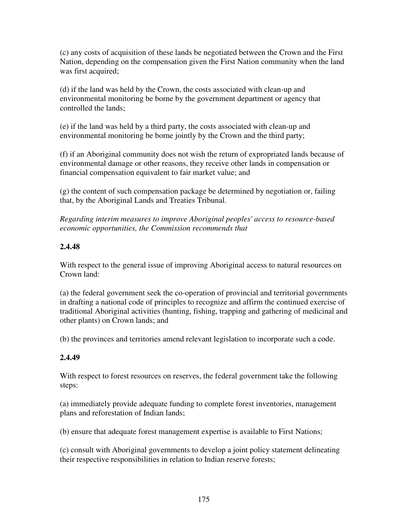(c) any costs of acquisition of these lands be negotiated between the Crown and the First Nation, depending on the compensation given the First Nation community when the land was first acquired;

(d) if the land was held by the Crown, the costs associated with clean-up and environmental monitoring be borne by the government department or agency that controlled the lands;

(e) if the land was held by a third party, the costs associated with clean-up and environmental monitoring be borne jointly by the Crown and the third party;

(f) if an Aboriginal community does not wish the return of expropriated lands because of environmental damage or other reasons, they receive other lands in compensation or financial compensation equivalent to fair market value; and

(g) the content of such compensation package be determined by negotiation or, failing that, by the Aboriginal Lands and Treaties Tribunal.

*Regarding interim measures to improve Aboriginal peoples' access to resource-based economic opportunities, the Commission recommends that*

#### **2.4.48**

With respect to the general issue of improving Aboriginal access to natural resources on Crown land:

(a) the federal government seek the co-operation of provincial and territorial governments in drafting a national code of principles to recognize and affirm the continued exercise of traditional Aboriginal activities (hunting, fishing, trapping and gathering of medicinal and other plants) on Crown lands; and

(b) the provinces and territories amend relevant legislation to incorporate such a code.

#### **2.4.49**

With respect to forest resources on reserves, the federal government take the following steps:

(a) immediately provide adequate funding to complete forest inventories, management plans and reforestation of Indian lands;

(b) ensure that adequate forest management expertise is available to First Nations;

(c) consult with Aboriginal governments to develop a joint policy statement delineating their respective responsibilities in relation to Indian reserve forests;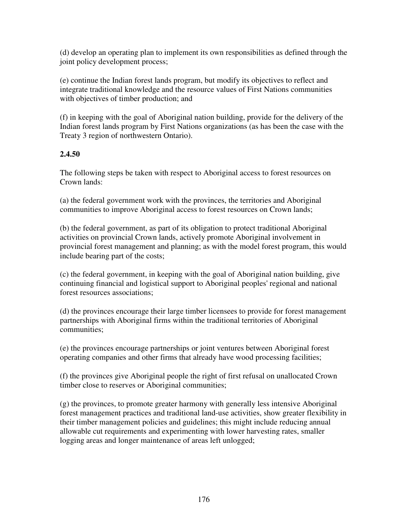(d) develop an operating plan to implement its own responsibilities as defined through the joint policy development process;

(e) continue the Indian forest lands program, but modify its objectives to reflect and integrate traditional knowledge and the resource values of First Nations communities with objectives of timber production; and

(f) in keeping with the goal of Aboriginal nation building, provide for the delivery of the Indian forest lands program by First Nations organizations (as has been the case with the Treaty 3 region of northwestern Ontario).

#### **2.4.50**

The following steps be taken with respect to Aboriginal access to forest resources on Crown lands:

(a) the federal government work with the provinces, the territories and Aboriginal communities to improve Aboriginal access to forest resources on Crown lands;

(b) the federal government, as part of its obligation to protect traditional Aboriginal activities on provincial Crown lands, actively promote Aboriginal involvement in provincial forest management and planning; as with the model forest program, this would include bearing part of the costs;

(c) the federal government, in keeping with the goal of Aboriginal nation building, give continuing financial and logistical support to Aboriginal peoples' regional and national forest resources associations;

(d) the provinces encourage their large timber licensees to provide for forest management partnerships with Aboriginal firms within the traditional territories of Aboriginal communities;

(e) the provinces encourage partnerships or joint ventures between Aboriginal forest operating companies and other firms that already have wood processing facilities;

(f) the provinces give Aboriginal people the right of first refusal on unallocated Crown timber close to reserves or Aboriginal communities;

(g) the provinces, to promote greater harmony with generally less intensive Aboriginal forest management practices and traditional land-use activities, show greater flexibility in their timber management policies and guidelines; this might include reducing annual allowable cut requirements and experimenting with lower harvesting rates, smaller logging areas and longer maintenance of areas left unlogged;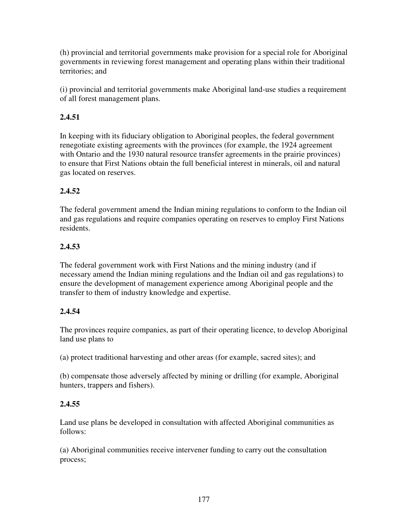(h) provincial and territorial governments make provision for a special role for Aboriginal governments in reviewing forest management and operating plans within their traditional territories; and

(i) provincial and territorial governments make Aboriginal land-use studies a requirement of all forest management plans.

# **2.4.51**

In keeping with its fiduciary obligation to Aboriginal peoples, the federal government renegotiate existing agreements with the provinces (for example, the 1924 agreement with Ontario and the 1930 natural resource transfer agreements in the prairie provinces) to ensure that First Nations obtain the full beneficial interest in minerals, oil and natural gas located on reserves.

## **2.4.52**

The federal government amend the Indian mining regulations to conform to the Indian oil and gas regulations and require companies operating on reserves to employ First Nations residents.

## **2.4.53**

The federal government work with First Nations and the mining industry (and if necessary amend the Indian mining regulations and the Indian oil and gas regulations) to ensure the development of management experience among Aboriginal people and the transfer to them of industry knowledge and expertise.

## **2.4.54**

The provinces require companies, as part of their operating licence, to develop Aboriginal land use plans to

(a) protect traditional harvesting and other areas (for example, sacred sites); and

(b) compensate those adversely affected by mining or drilling (for example, Aboriginal hunters, trappers and fishers).

## **2.4.55**

Land use plans be developed in consultation with affected Aboriginal communities as follows:

(a) Aboriginal communities receive intervener funding to carry out the consultation process;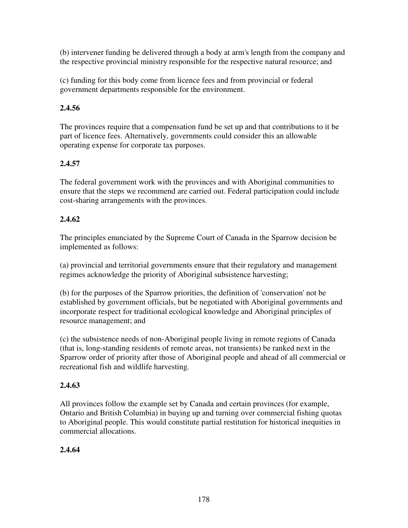(b) intervener funding be delivered through a body at arm's length from the company and the respective provincial ministry responsible for the respective natural resource; and

(c) funding for this body come from licence fees and from provincial or federal government departments responsible for the environment.

# **2.4.56**

The provinces require that a compensation fund be set up and that contributions to it be part of licence fees. Alternatively, governments could consider this an allowable operating expense for corporate tax purposes.

## **2.4.57**

The federal government work with the provinces and with Aboriginal communities to ensure that the steps we recommend are carried out. Federal participation could include cost-sharing arrangements with the provinces.

## **2.4.62**

The principles enunciated by the Supreme Court of Canada in the Sparrow decision be implemented as follows:

(a) provincial and territorial governments ensure that their regulatory and management regimes acknowledge the priority of Aboriginal subsistence harvesting;

(b) for the purposes of the Sparrow priorities, the definition of 'conservation' not be established by government officials, but be negotiated with Aboriginal governments and incorporate respect for traditional ecological knowledge and Aboriginal principles of resource management; and

(c) the subsistence needs of non-Aboriginal people living in remote regions of Canada (that is, long-standing residents of remote areas, not transients) be ranked next in the Sparrow order of priority after those of Aboriginal people and ahead of all commercial or recreational fish and wildlife harvesting.

# **2.4.63**

All provinces follow the example set by Canada and certain provinces (for example, Ontario and British Columbia) in buying up and turning over commercial fishing quotas to Aboriginal people. This would constitute partial restitution for historical inequities in commercial allocations.

## **2.4.64**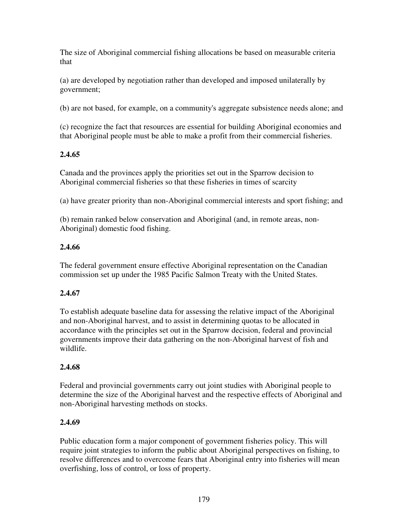The size of Aboriginal commercial fishing allocations be based on measurable criteria that

(a) are developed by negotiation rather than developed and imposed unilaterally by government;

(b) are not based, for example, on a community's aggregate subsistence needs alone; and

(c) recognize the fact that resources are essential for building Aboriginal economies and that Aboriginal people must be able to make a profit from their commercial fisheries.

## **2.4.65**

Canada and the provinces apply the priorities set out in the Sparrow decision to Aboriginal commercial fisheries so that these fisheries in times of scarcity

(a) have greater priority than non-Aboriginal commercial interests and sport fishing; and

(b) remain ranked below conservation and Aboriginal (and, in remote areas, non-Aboriginal) domestic food fishing.

# **2.4.66**

The federal government ensure effective Aboriginal representation on the Canadian commission set up under the 1985 Pacific Salmon Treaty with the United States.

# **2.4.67**

To establish adequate baseline data for assessing the relative impact of the Aboriginal and non-Aboriginal harvest, and to assist in determining quotas to be allocated in accordance with the principles set out in the Sparrow decision, federal and provincial governments improve their data gathering on the non-Aboriginal harvest of fish and wildlife.

# **2.4.68**

Federal and provincial governments carry out joint studies with Aboriginal people to determine the size of the Aboriginal harvest and the respective effects of Aboriginal and non-Aboriginal harvesting methods on stocks.

## **2.4.69**

Public education form a major component of government fisheries policy. This will require joint strategies to inform the public about Aboriginal perspectives on fishing, to resolve differences and to overcome fears that Aboriginal entry into fisheries will mean overfishing, loss of control, or loss of property.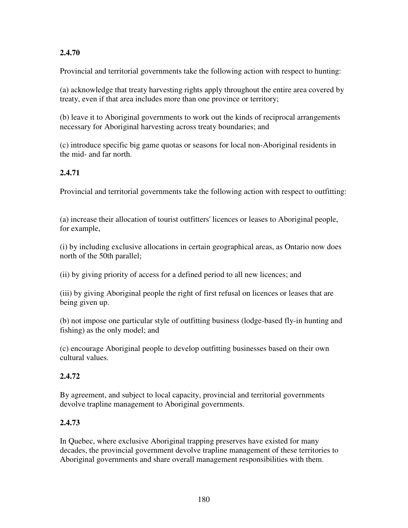#### **2.4.70**

Provincial and territorial governments take the following action with respect to hunting:

(a) acknowledge that treaty harvesting rights apply throughout the entire area covered by treaty, even if that area includes more than one province or territory;

(b) leave it to Aboriginal governments to work out the kinds of reciprocal arrangements necessary for Aboriginal harvesting across treaty boundaries; and

(c) introduce specific big game quotas or seasons for local non-Aboriginal residents in the mid- and far north.

### **2.4.71**

Provincial and territorial governments take the following action with respect to outfitting:

(a) increase their allocation of tourist outfitters' licences or leases to Aboriginal people, for example,

(i) by including exclusive allocations in certain geographical areas, as Ontario now does north of the 50th parallel;

(ii) by giving priority of access for a defined period to all new licences; and

(iii) by giving Aboriginal people the right of first refusal on licences or leases that are being given up.

(b) not impose one particular style of outfitting business (lodge-based fly-in hunting and fishing) as the only model; and

(c) encourage Aboriginal people to develop outfitting businesses based on their own cultural values.

## **2.4.72**

By agreement, and subject to local capacity, provincial and territorial governments devolve trapline management to Aboriginal governments.

## **2.4.73**

In Quebec, where exclusive Aboriginal trapping preserves have existed for many decades, the provincial government devolve trapline management of these territories to Aboriginal governments and share overall management responsibilities with them.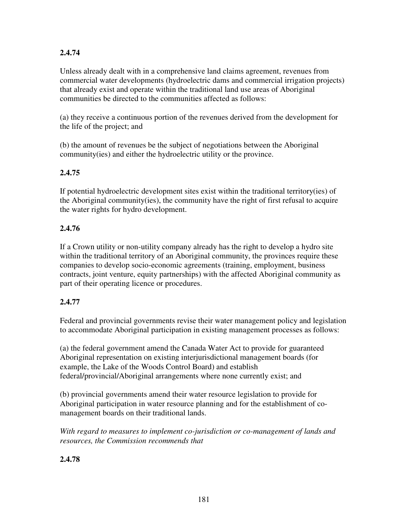### **2.4.74**

Unless already dealt with in a comprehensive land claims agreement, revenues from commercial water developments (hydroelectric dams and commercial irrigation projects) that already exist and operate within the traditional land use areas of Aboriginal communities be directed to the communities affected as follows:

(a) they receive a continuous portion of the revenues derived from the development for the life of the project; and

(b) the amount of revenues be the subject of negotiations between the Aboriginal community(ies) and either the hydroelectric utility or the province.

## **2.4.75**

If potential hydroelectric development sites exist within the traditional territory(ies) of the Aboriginal community(ies), the community have the right of first refusal to acquire the water rights for hydro development.

#### **2.4.76**

If a Crown utility or non-utility company already has the right to develop a hydro site within the traditional territory of an Aboriginal community, the provinces require these companies to develop socio-economic agreements (training, employment, business contracts, joint venture, equity partnerships) with the affected Aboriginal community as part of their operating licence or procedures.

#### **2.4.77**

Federal and provincial governments revise their water management policy and legislation to accommodate Aboriginal participation in existing management processes as follows:

(a) the federal government amend the Canada Water Act to provide for guaranteed Aboriginal representation on existing interjurisdictional management boards (for example, the Lake of the Woods Control Board) and establish federal/provincial/Aboriginal arrangements where none currently exist; and

(b) provincial governments amend their water resource legislation to provide for Aboriginal participation in water resource planning and for the establishment of comanagement boards on their traditional lands.

*With regard to measures to implement co-jurisdiction or co-management of lands and resources, the Commission recommends that*

#### **2.4.78**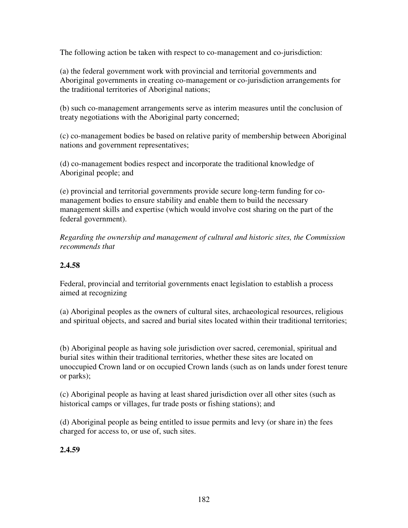The following action be taken with respect to co-management and co-jurisdiction:

(a) the federal government work with provincial and territorial governments and Aboriginal governments in creating co-management or co-jurisdiction arrangements for the traditional territories of Aboriginal nations;

(b) such co-management arrangements serve as interim measures until the conclusion of treaty negotiations with the Aboriginal party concerned;

(c) co-management bodies be based on relative parity of membership between Aboriginal nations and government representatives;

(d) co-management bodies respect and incorporate the traditional knowledge of Aboriginal people; and

(e) provincial and territorial governments provide secure long-term funding for comanagement bodies to ensure stability and enable them to build the necessary management skills and expertise (which would involve cost sharing on the part of the federal government).

*Regarding the ownership and management of cultural and historic sites, the Commission recommends that*

#### **2.4.58**

Federal, provincial and territorial governments enact legislation to establish a process aimed at recognizing

(a) Aboriginal peoples as the owners of cultural sites, archaeological resources, religious and spiritual objects, and sacred and burial sites located within their traditional territories;

(b) Aboriginal people as having sole jurisdiction over sacred, ceremonial, spiritual and burial sites within their traditional territories, whether these sites are located on unoccupied Crown land or on occupied Crown lands (such as on lands under forest tenure or parks);

(c) Aboriginal people as having at least shared jurisdiction over all other sites (such as historical camps or villages, fur trade posts or fishing stations); and

(d) Aboriginal people as being entitled to issue permits and levy (or share in) the fees charged for access to, or use of, such sites.

#### **2.4.59**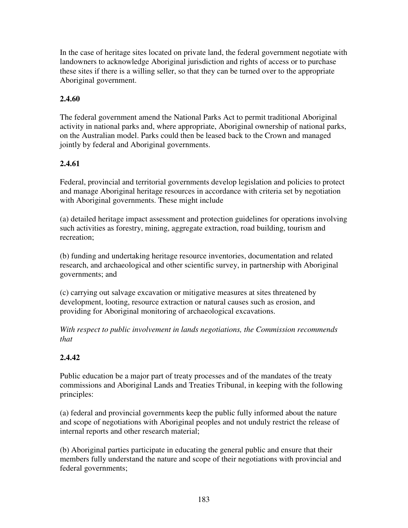In the case of heritage sites located on private land, the federal government negotiate with landowners to acknowledge Aboriginal jurisdiction and rights of access or to purchase these sites if there is a willing seller, so that they can be turned over to the appropriate Aboriginal government.

## **2.4.60**

The federal government amend the National Parks Act to permit traditional Aboriginal activity in national parks and, where appropriate, Aboriginal ownership of national parks, on the Australian model. Parks could then be leased back to the Crown and managed jointly by federal and Aboriginal governments.

## **2.4.61**

Federal, provincial and territorial governments develop legislation and policies to protect and manage Aboriginal heritage resources in accordance with criteria set by negotiation with Aboriginal governments. These might include

(a) detailed heritage impact assessment and protection guidelines for operations involving such activities as forestry, mining, aggregate extraction, road building, tourism and recreation;

(b) funding and undertaking heritage resource inventories, documentation and related research, and archaeological and other scientific survey, in partnership with Aboriginal governments; and

(c) carrying out salvage excavation or mitigative measures at sites threatened by development, looting, resource extraction or natural causes such as erosion, and providing for Aboriginal monitoring of archaeological excavations.

*With respect to public involvement in lands negotiations, the Commission recommends that*

## **2.4.42**

Public education be a major part of treaty processes and of the mandates of the treaty commissions and Aboriginal Lands and Treaties Tribunal, in keeping with the following principles:

(a) federal and provincial governments keep the public fully informed about the nature and scope of negotiations with Aboriginal peoples and not unduly restrict the release of internal reports and other research material;

(b) Aboriginal parties participate in educating the general public and ensure that their members fully understand the nature and scope of their negotiations with provincial and federal governments;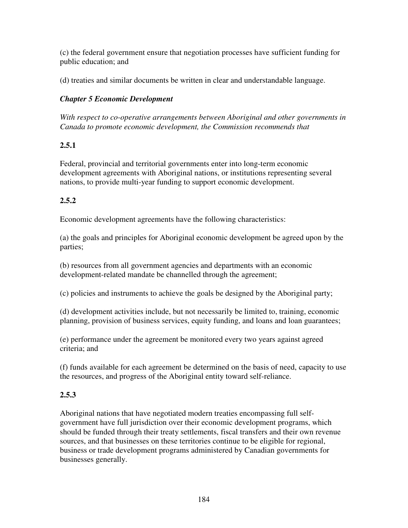(c) the federal government ensure that negotiation processes have sufficient funding for public education; and

(d) treaties and similar documents be written in clear and understandable language.

### *Chapter 5 Economic Development*

*With respect to co-operative arrangements between Aboriginal and other governments in Canada to promote economic development, the Commission recommends that*

### **2.5.1**

Federal, provincial and territorial governments enter into long-term economic development agreements with Aboriginal nations, or institutions representing several nations, to provide multi-year funding to support economic development.

### **2.5.2**

Economic development agreements have the following characteristics:

(a) the goals and principles for Aboriginal economic development be agreed upon by the parties;

(b) resources from all government agencies and departments with an economic development-related mandate be channelled through the agreement;

(c) policies and instruments to achieve the goals be designed by the Aboriginal party;

(d) development activities include, but not necessarily be limited to, training, economic planning, provision of business services, equity funding, and loans and loan guarantees;

(e) performance under the agreement be monitored every two years against agreed criteria; and

(f) funds available for each agreement be determined on the basis of need, capacity to use the resources, and progress of the Aboriginal entity toward self-reliance.

## **2.5.3**

Aboriginal nations that have negotiated modern treaties encompassing full selfgovernment have full jurisdiction over their economic development programs, which should be funded through their treaty settlements, fiscal transfers and their own revenue sources, and that businesses on these territories continue to be eligible for regional, business or trade development programs administered by Canadian governments for businesses generally.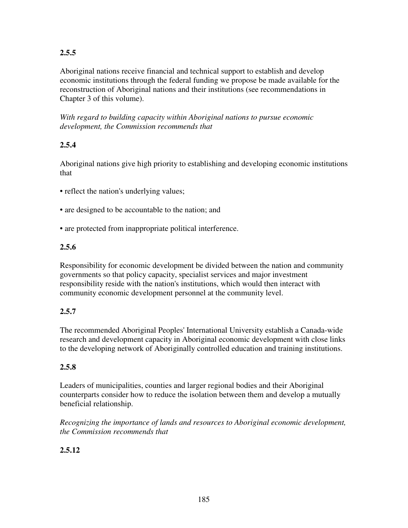### **2.5.5**

Aboriginal nations receive financial and technical support to establish and develop economic institutions through the federal funding we propose be made available for the reconstruction of Aboriginal nations and their institutions (see recommendations in Chapter 3 of this volume).

*With regard to building capacity within Aboriginal nations to pursue economic development, the Commission recommends that*

### **2.5.4**

Aboriginal nations give high priority to establishing and developing economic institutions that

- reflect the nation's underlying values;
- are designed to be accountable to the nation; and
- are protected from inappropriate political interference.

#### **2.5.6**

Responsibility for economic development be divided between the nation and community governments so that policy capacity, specialist services and major investment responsibility reside with the nation's institutions, which would then interact with community economic development personnel at the community level.

#### **2.5.7**

The recommended Aboriginal Peoples' International University establish a Canada-wide research and development capacity in Aboriginal economic development with close links to the developing network of Aboriginally controlled education and training institutions.

#### **2.5.8**

Leaders of municipalities, counties and larger regional bodies and their Aboriginal counterparts consider how to reduce the isolation between them and develop a mutually beneficial relationship.

*Recognizing the importance of lands and resources to Aboriginal economic development, the Commission recommends that*

#### **2.5.12**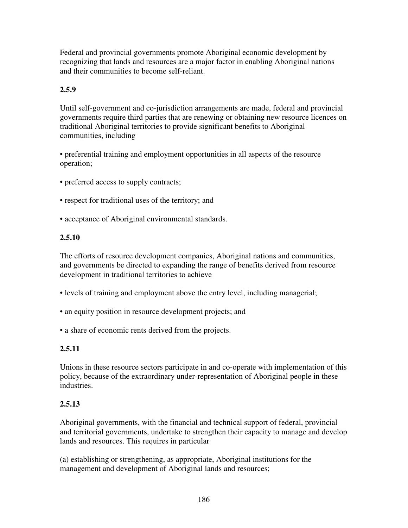Federal and provincial governments promote Aboriginal economic development by recognizing that lands and resources are a major factor in enabling Aboriginal nations and their communities to become self-reliant.

### **2.5.9**

Until self-government and co-jurisdiction arrangements are made, federal and provincial governments require third parties that are renewing or obtaining new resource licences on traditional Aboriginal territories to provide significant benefits to Aboriginal communities, including

• preferential training and employment opportunities in all aspects of the resource operation;

- preferred access to supply contracts;
- respect for traditional uses of the territory; and
- acceptance of Aboriginal environmental standards.

### **2.5.10**

The efforts of resource development companies, Aboriginal nations and communities, and governments be directed to expanding the range of benefits derived from resource development in traditional territories to achieve

- levels of training and employment above the entry level, including managerial;
- an equity position in resource development projects; and
- a share of economic rents derived from the projects.

#### **2.5.11**

Unions in these resource sectors participate in and co-operate with implementation of this policy, because of the extraordinary under-representation of Aboriginal people in these industries.

#### **2.5.13**

Aboriginal governments, with the financial and technical support of federal, provincial and territorial governments, undertake to strengthen their capacity to manage and develop lands and resources. This requires in particular

(a) establishing or strengthening, as appropriate, Aboriginal institutions for the management and development of Aboriginal lands and resources;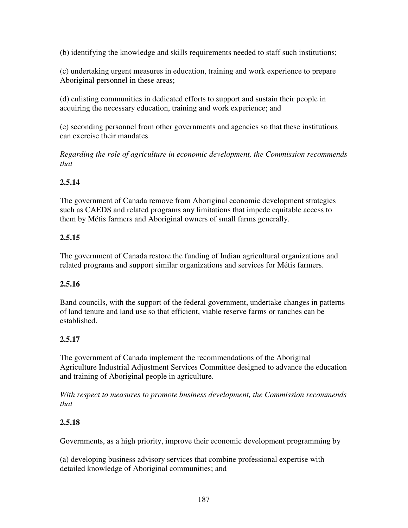(b) identifying the knowledge and skills requirements needed to staff such institutions;

(c) undertaking urgent measures in education, training and work experience to prepare Aboriginal personnel in these areas;

(d) enlisting communities in dedicated efforts to support and sustain their people in acquiring the necessary education, training and work experience; and

(e) seconding personnel from other governments and agencies so that these institutions can exercise their mandates.

*Regarding the role of agriculture in economic development, the Commission recommends that*

#### **2.5.14**

The government of Canada remove from Aboriginal economic development strategies such as CAEDS and related programs any limitations that impede equitable access to them by Métis farmers and Aboriginal owners of small farms generally.

#### **2.5.15**

The government of Canada restore the funding of Indian agricultural organizations and related programs and support similar organizations and services for Métis farmers.

#### **2.5.16**

Band councils, with the support of the federal government, undertake changes in patterns of land tenure and land use so that efficient, viable reserve farms or ranches can be established.

#### **2.5.17**

The government of Canada implement the recommendations of the Aboriginal Agriculture Industrial Adjustment Services Committee designed to advance the education and training of Aboriginal people in agriculture.

*With respect to measures to promote business development, the Commission recommends that*

#### **2.5.18**

Governments, as a high priority, improve their economic development programming by

(a) developing business advisory services that combine professional expertise with detailed knowledge of Aboriginal communities; and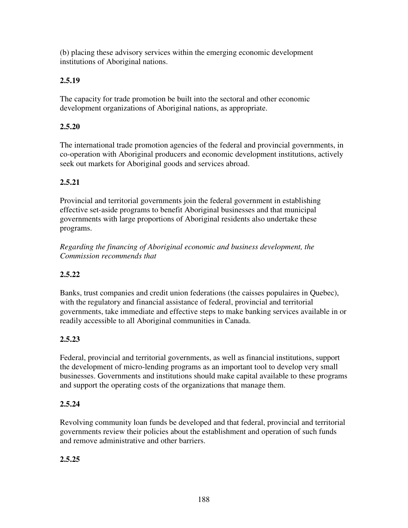(b) placing these advisory services within the emerging economic development institutions of Aboriginal nations.

# **2.5.19**

The capacity for trade promotion be built into the sectoral and other economic development organizations of Aboriginal nations, as appropriate.

### **2.5.20**

The international trade promotion agencies of the federal and provincial governments, in co-operation with Aboriginal producers and economic development institutions, actively seek out markets for Aboriginal goods and services abroad.

### **2.5.21**

Provincial and territorial governments join the federal government in establishing effective set-aside programs to benefit Aboriginal businesses and that municipal governments with large proportions of Aboriginal residents also undertake these programs.

*Regarding the financing of Aboriginal economic and business development, the Commission recommends that*

#### **2.5.22**

Banks, trust companies and credit union federations (the caisses populaires in Quebec), with the regulatory and financial assistance of federal, provincial and territorial governments, take immediate and effective steps to make banking services available in or readily accessible to all Aboriginal communities in Canada.

## **2.5.23**

Federal, provincial and territorial governments, as well as financial institutions, support the development of micro-lending programs as an important tool to develop very small businesses. Governments and institutions should make capital available to these programs and support the operating costs of the organizations that manage them.

#### **2.5.24**

Revolving community loan funds be developed and that federal, provincial and territorial governments review their policies about the establishment and operation of such funds and remove administrative and other barriers.

#### **2.5.25**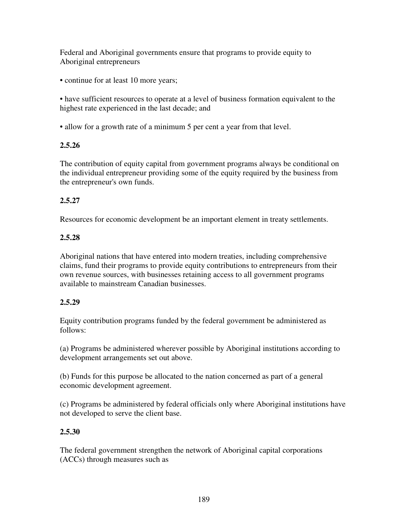Federal and Aboriginal governments ensure that programs to provide equity to Aboriginal entrepreneurs

• continue for at least 10 more years;

• have sufficient resources to operate at a level of business formation equivalent to the highest rate experienced in the last decade; and

• allow for a growth rate of a minimum 5 per cent a year from that level.

#### **2.5.26**

The contribution of equity capital from government programs always be conditional on the individual entrepreneur providing some of the equity required by the business from the entrepreneur's own funds.

#### **2.5.27**

Resources for economic development be an important element in treaty settlements.

### **2.5.28**

Aboriginal nations that have entered into modern treaties, including comprehensive claims, fund their programs to provide equity contributions to entrepreneurs from their own revenue sources, with businesses retaining access to all government programs available to mainstream Canadian businesses.

#### **2.5.29**

Equity contribution programs funded by the federal government be administered as follows:

(a) Programs be administered wherever possible by Aboriginal institutions according to development arrangements set out above.

(b) Funds for this purpose be allocated to the nation concerned as part of a general economic development agreement.

(c) Programs be administered by federal officials only where Aboriginal institutions have not developed to serve the client base.

#### **2.5.30**

The federal government strengthen the network of Aboriginal capital corporations (ACCs) through measures such as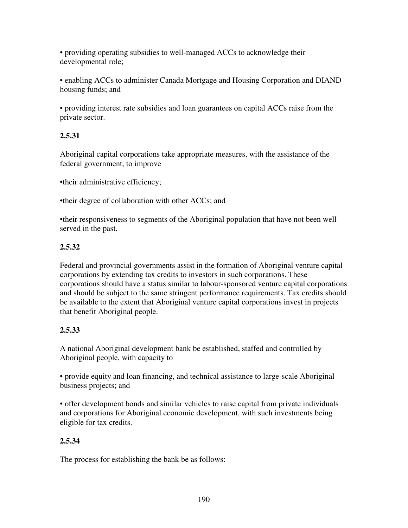• providing operating subsidies to well-managed ACCs to acknowledge their developmental role;

• enabling ACCs to administer Canada Mortgage and Housing Corporation and DIAND housing funds; and

• providing interest rate subsidies and loan guarantees on capital ACCs raise from the private sector.

# **2.5.31**

Aboriginal capital corporations take appropriate measures, with the assistance of the federal government, to improve

•their administrative efficiency;

•their degree of collaboration with other ACCs; and

•their responsiveness to segments of the Aboriginal population that have not been well served in the past.

# **2.5.32**

Federal and provincial governments assist in the formation of Aboriginal venture capital corporations by extending tax credits to investors in such corporations. These corporations should have a status similar to labour-sponsored venture capital corporations and should be subject to the same stringent performance requirements. Tax credits should be available to the extent that Aboriginal venture capital corporations invest in projects that benefit Aboriginal people.

# **2.5.33**

A national Aboriginal development bank be established, staffed and controlled by Aboriginal people, with capacity to

• provide equity and loan financing, and technical assistance to large-scale Aboriginal business projects; and

• offer development bonds and similar vehicles to raise capital from private individuals and corporations for Aboriginal economic development, with such investments being eligible for tax credits.

# **2.5.34**

The process for establishing the bank be as follows: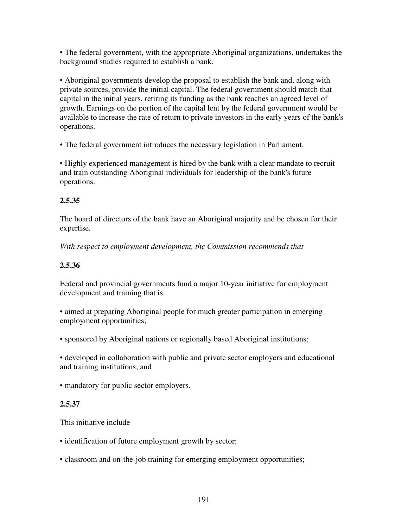• The federal government, with the appropriate Aboriginal organizations, undertakes the background studies required to establish a bank.

• Aboriginal governments develop the proposal to establish the bank and, along with private sources, provide the initial capital. The federal government should match that capital in the initial years, retiring its funding as the bank reaches an agreed level of growth. Earnings on the portion of the capital lent by the federal government would be available to increase the rate of return to private investors in the early years of the bank's operations.

• The federal government introduces the necessary legislation in Parliament.

• Highly experienced management is hired by the bank with a clear mandate to recruit and train outstanding Aboriginal individuals for leadership of the bank's future operations.

#### **2.5.35**

The board of directors of the bank have an Aboriginal majority and be chosen for their expertise.

*With respect to employment development, the Commission recommends that*

### **2.5.36**

Federal and provincial governments fund a major 10-year initiative for employment development and training that is

• aimed at preparing Aboriginal people for much greater participation in emerging employment opportunities;

• sponsored by Aboriginal nations or regionally based Aboriginal institutions;

• developed in collaboration with public and private sector employers and educational and training institutions; and

• mandatory for public sector employers.

## **2.5.37**

This initiative include

• identification of future employment growth by sector;

• classroom and on-the-job training for emerging employment opportunities;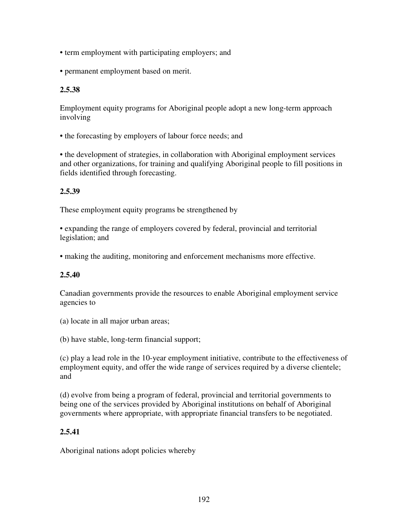- term employment with participating employers; and
- permanent employment based on merit.

#### **2.5.38**

Employment equity programs for Aboriginal people adopt a new long-term approach involving

• the forecasting by employers of labour force needs; and

• the development of strategies, in collaboration with Aboriginal employment services and other organizations, for training and qualifying Aboriginal people to fill positions in fields identified through forecasting.

#### **2.5.39**

These employment equity programs be strengthened by

• expanding the range of employers covered by federal, provincial and territorial legislation; and

• making the auditing, monitoring and enforcement mechanisms more effective.

#### **2.5.40**

Canadian governments provide the resources to enable Aboriginal employment service agencies to

(a) locate in all major urban areas;

(b) have stable, long-term financial support;

(c) play a lead role in the 10-year employment initiative, contribute to the effectiveness of employment equity, and offer the wide range of services required by a diverse clientele; and

(d) evolve from being a program of federal, provincial and territorial governments to being one of the services provided by Aboriginal institutions on behalf of Aboriginal governments where appropriate, with appropriate financial transfers to be negotiated.

#### **2.5.41**

Aboriginal nations adopt policies whereby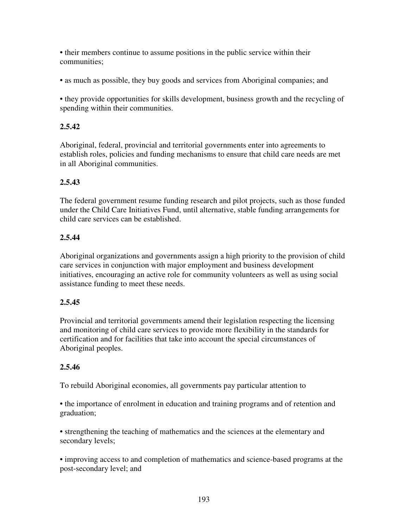• their members continue to assume positions in the public service within their communities;

• as much as possible, they buy goods and services from Aboriginal companies; and

• they provide opportunities for skills development, business growth and the recycling of spending within their communities.

## **2.5.42**

Aboriginal, federal, provincial and territorial governments enter into agreements to establish roles, policies and funding mechanisms to ensure that child care needs are met in all Aboriginal communities.

# **2.5.43**

The federal government resume funding research and pilot projects, such as those funded under the Child Care Initiatives Fund, until alternative, stable funding arrangements for child care services can be established.

## **2.5.44**

Aboriginal organizations and governments assign a high priority to the provision of child care services in conjunction with major employment and business development initiatives, encouraging an active role for community volunteers as well as using social assistance funding to meet these needs.

## **2.5.45**

Provincial and territorial governments amend their legislation respecting the licensing and monitoring of child care services to provide more flexibility in the standards for certification and for facilities that take into account the special circumstances of Aboriginal peoples.

## **2.5.46**

To rebuild Aboriginal economies, all governments pay particular attention to

• the importance of enrolment in education and training programs and of retention and graduation;

• strengthening the teaching of mathematics and the sciences at the elementary and secondary levels;

• improving access to and completion of mathematics and science-based programs at the post-secondary level; and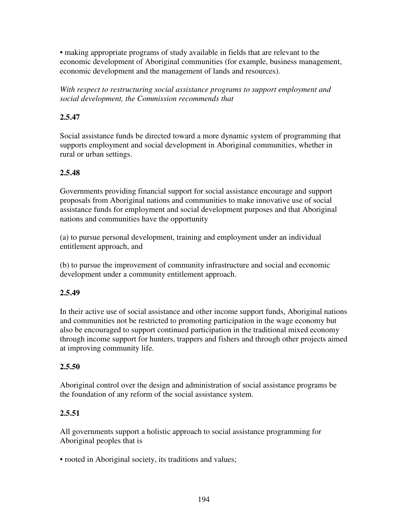• making appropriate programs of study available in fields that are relevant to the economic development of Aboriginal communities (for example, business management, economic development and the management of lands and resources).

*With respect to restructuring social assistance programs to support employment and social development, the Commission recommends that*

### **2.5.47**

Social assistance funds be directed toward a more dynamic system of programming that supports employment and social development in Aboriginal communities, whether in rural or urban settings.

### **2.5.48**

Governments providing financial support for social assistance encourage and support proposals from Aboriginal nations and communities to make innovative use of social assistance funds for employment and social development purposes and that Aboriginal nations and communities have the opportunity

(a) to pursue personal development, training and employment under an individual entitlement approach, and

(b) to pursue the improvement of community infrastructure and social and economic development under a community entitlement approach.

## **2.5.49**

In their active use of social assistance and other income support funds, Aboriginal nations and communities not be restricted to promoting participation in the wage economy but also be encouraged to support continued participation in the traditional mixed economy through income support for hunters, trappers and fishers and through other projects aimed at improving community life.

## **2.5.50**

Aboriginal control over the design and administration of social assistance programs be the foundation of any reform of the social assistance system.

## **2.5.51**

All governments support a holistic approach to social assistance programming for Aboriginal peoples that is

• rooted in Aboriginal society, its traditions and values;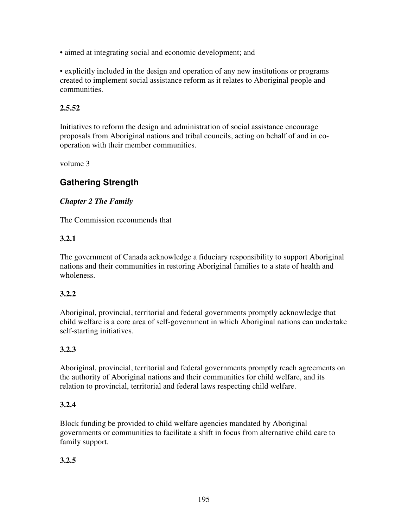• aimed at integrating social and economic development; and

• explicitly included in the design and operation of any new institutions or programs created to implement social assistance reform as it relates to Aboriginal people and communities.

#### **2.5.52**

Initiatives to reform the design and administration of social assistance encourage proposals from Aboriginal nations and tribal councils, acting on behalf of and in cooperation with their member communities.

volume 3

## **Gathering Strength**

#### *Chapter 2 The Family*

The Commission recommends that

#### **3.2.1**

The government of Canada acknowledge a fiduciary responsibility to support Aboriginal nations and their communities in restoring Aboriginal families to a state of health and wholeness.

#### **3.2.2**

Aboriginal, provincial, territorial and federal governments promptly acknowledge that child welfare is a core area of self-government in which Aboriginal nations can undertake self-starting initiatives.

#### **3.2.3**

Aboriginal, provincial, territorial and federal governments promptly reach agreements on the authority of Aboriginal nations and their communities for child welfare, and its relation to provincial, territorial and federal laws respecting child welfare.

#### **3.2.4**

Block funding be provided to child welfare agencies mandated by Aboriginal governments or communities to facilitate a shift in focus from alternative child care to family support.

#### **3.2.5**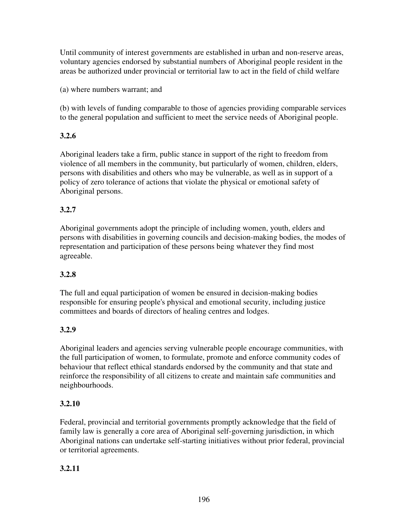Until community of interest governments are established in urban and non-reserve areas, voluntary agencies endorsed by substantial numbers of Aboriginal people resident in the areas be authorized under provincial or territorial law to act in the field of child welfare

(a) where numbers warrant; and

(b) with levels of funding comparable to those of agencies providing comparable services to the general population and sufficient to meet the service needs of Aboriginal people.

## **3.2.6**

Aboriginal leaders take a firm, public stance in support of the right to freedom from violence of all members in the community, but particularly of women, children, elders, persons with disabilities and others who may be vulnerable, as well as in support of a policy of zero tolerance of actions that violate the physical or emotional safety of Aboriginal persons.

### **3.2.7**

Aboriginal governments adopt the principle of including women, youth, elders and persons with disabilities in governing councils and decision-making bodies, the modes of representation and participation of these persons being whatever they find most agreeable.

#### **3.2.8**

The full and equal participation of women be ensured in decision-making bodies responsible for ensuring people's physical and emotional security, including justice committees and boards of directors of healing centres and lodges.

#### **3.2.9**

Aboriginal leaders and agencies serving vulnerable people encourage communities, with the full participation of women, to formulate, promote and enforce community codes of behaviour that reflect ethical standards endorsed by the community and that state and reinforce the responsibility of all citizens to create and maintain safe communities and neighbourhoods.

#### **3.2.10**

Federal, provincial and territorial governments promptly acknowledge that the field of family law is generally a core area of Aboriginal self-governing jurisdiction, in which Aboriginal nations can undertake self-starting initiatives without prior federal, provincial or territorial agreements.

## **3.2.11**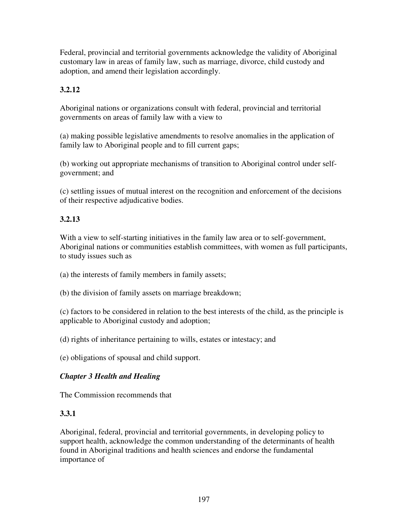Federal, provincial and territorial governments acknowledge the validity of Aboriginal customary law in areas of family law, such as marriage, divorce, child custody and adoption, and amend their legislation accordingly.

## **3.2.12**

Aboriginal nations or organizations consult with federal, provincial and territorial governments on areas of family law with a view to

(a) making possible legislative amendments to resolve anomalies in the application of family law to Aboriginal people and to fill current gaps;

(b) working out appropriate mechanisms of transition to Aboriginal control under selfgovernment; and

(c) settling issues of mutual interest on the recognition and enforcement of the decisions of their respective adjudicative bodies.

### **3.2.13**

With a view to self-starting initiatives in the family law area or to self-government, Aboriginal nations or communities establish committees, with women as full participants, to study issues such as

(a) the interests of family members in family assets;

(b) the division of family assets on marriage breakdown;

(c) factors to be considered in relation to the best interests of the child, as the principle is applicable to Aboriginal custody and adoption;

(d) rights of inheritance pertaining to wills, estates or intestacy; and

(e) obligations of spousal and child support.

## *Chapter 3 Health and Healing*

The Commission recommends that

#### **3.3.1**

Aboriginal, federal, provincial and territorial governments, in developing policy to support health, acknowledge the common understanding of the determinants of health found in Aboriginal traditions and health sciences and endorse the fundamental importance of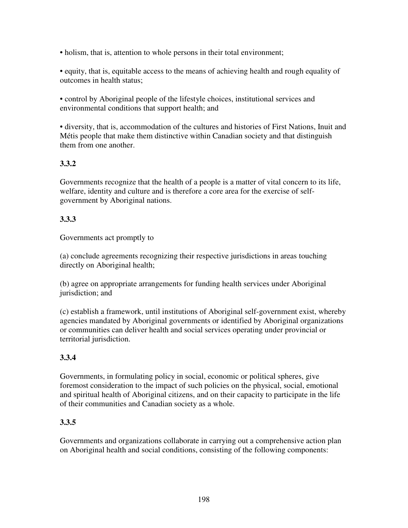• holism, that is, attention to whole persons in their total environment;

• equity, that is, equitable access to the means of achieving health and rough equality of outcomes in health status;

• control by Aboriginal people of the lifestyle choices, institutional services and environmental conditions that support health; and

• diversity, that is, accommodation of the cultures and histories of First Nations, Inuit and Métis people that make them distinctive within Canadian society and that distinguish them from one another.

#### **3.3.2**

Governments recognize that the health of a people is a matter of vital concern to its life, welfare, identity and culture and is therefore a core area for the exercise of selfgovernment by Aboriginal nations.

#### **3.3.3**

Governments act promptly to

(a) conclude agreements recognizing their respective jurisdictions in areas touching directly on Aboriginal health;

(b) agree on appropriate arrangements for funding health services under Aboriginal jurisdiction; and

(c) establish a framework, until institutions of Aboriginal self-government exist, whereby agencies mandated by Aboriginal governments or identified by Aboriginal organizations or communities can deliver health and social services operating under provincial or territorial jurisdiction.

#### **3.3.4**

Governments, in formulating policy in social, economic or political spheres, give foremost consideration to the impact of such policies on the physical, social, emotional and spiritual health of Aboriginal citizens, and on their capacity to participate in the life of their communities and Canadian society as a whole.

#### **3.3.5**

Governments and organizations collaborate in carrying out a comprehensive action plan on Aboriginal health and social conditions, consisting of the following components: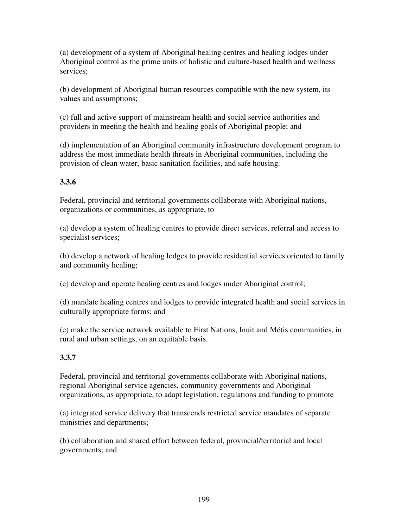(a) development of a system of Aboriginal healing centres and healing lodges under Aboriginal control as the prime units of holistic and culture-based health and wellness services;

(b) development of Aboriginal human resources compatible with the new system, its values and assumptions;

(c) full and active support of mainstream health and social service authorities and providers in meeting the health and healing goals of Aboriginal people; and

(d) implementation of an Aboriginal community infrastructure development program to address the most immediate health threats in Aboriginal communities, including the provision of clean water, basic sanitation facilities, and safe housing.

### **3.3.6**

Federal, provincial and territorial governments collaborate with Aboriginal nations, organizations or communities, as appropriate, to

(a) develop a system of healing centres to provide direct services, referral and access to specialist services;

(b) develop a network of healing lodges to provide residential services oriented to family and community healing;

(c) develop and operate healing centres and lodges under Aboriginal control;

(d) mandate healing centres and lodges to provide integrated health and social services in culturally appropriate forms; and

(e) make the service network available to First Nations, Inuit and Métis communities, in rural and urban settings, on an equitable basis.

## **3.3.7**

Federal, provincial and territorial governments collaborate with Aboriginal nations, regional Aboriginal service agencies, community governments and Aboriginal organizations, as appropriate, to adapt legislation, regulations and funding to promote

(a) integrated service delivery that transcends restricted service mandates of separate ministries and departments;

(b) collaboration and shared effort between federal, provincial/territorial and local governments; and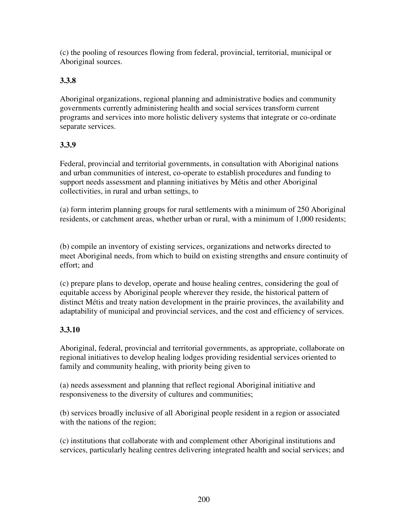(c) the pooling of resources flowing from federal, provincial, territorial, municipal or Aboriginal sources.

### **3.3.8**

Aboriginal organizations, regional planning and administrative bodies and community governments currently administering health and social services transform current programs and services into more holistic delivery systems that integrate or co-ordinate separate services.

#### **3.3.9**

Federal, provincial and territorial governments, in consultation with Aboriginal nations and urban communities of interest, co-operate to establish procedures and funding to support needs assessment and planning initiatives by Métis and other Aboriginal collectivities, in rural and urban settings, to

(a) form interim planning groups for rural settlements with a minimum of 250 Aboriginal residents, or catchment areas, whether urban or rural, with a minimum of 1,000 residents;

(b) compile an inventory of existing services, organizations and networks directed to meet Aboriginal needs, from which to build on existing strengths and ensure continuity of effort; and

(c) prepare plans to develop, operate and house healing centres, considering the goal of equitable access by Aboriginal people wherever they reside, the historical pattern of distinct Métis and treaty nation development in the prairie provinces, the availability and adaptability of municipal and provincial services, and the cost and efficiency of services.

## **3.3.10**

Aboriginal, federal, provincial and territorial governments, as appropriate, collaborate on regional initiatives to develop healing lodges providing residential services oriented to family and community healing, with priority being given to

(a) needs assessment and planning that reflect regional Aboriginal initiative and responsiveness to the diversity of cultures and communities;

(b) services broadly inclusive of all Aboriginal people resident in a region or associated with the nations of the region;

(c) institutions that collaborate with and complement other Aboriginal institutions and services, particularly healing centres delivering integrated health and social services; and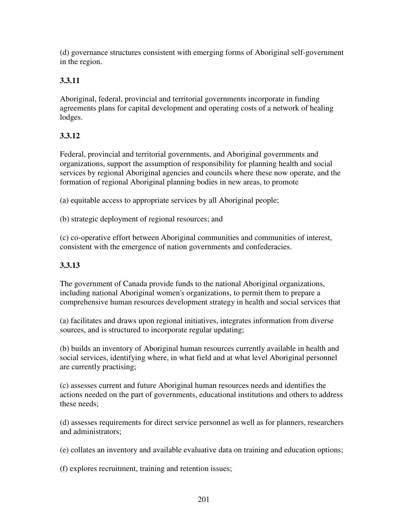(d) governance structures consistent with emerging forms of Aboriginal self-government in the region.

## **3.3.11**

Aboriginal, federal, provincial and territorial governments incorporate in funding agreements plans for capital development and operating costs of a network of healing lodges.

## **3.3.12**

Federal, provincial and territorial governments, and Aboriginal governments and organizations, support the assumption of responsibility for planning health and social services by regional Aboriginal agencies and councils where these now operate, and the formation of regional Aboriginal planning bodies in new areas, to promote

(a) equitable access to appropriate services by all Aboriginal people;

(b) strategic deployment of regional resources; and

(c) co-operative effort between Aboriginal communities and communities of interest, consistent with the emergence of nation governments and confederacies.

### **3.3.13**

The government of Canada provide funds to the national Aboriginal organizations, including national Aboriginal women's organizations, to permit them to prepare a comprehensive human resources development strategy in health and social services that

(a) facilitates and draws upon regional initiatives, integrates information from diverse sources, and is structured to incorporate regular updating;

(b) builds an inventory of Aboriginal human resources currently available in health and social services, identifying where, in what field and at what level Aboriginal personnel are currently practising;

(c) assesses current and future Aboriginal human resources needs and identifies the actions needed on the part of governments, educational institutions and others to address these needs;

(d) assesses requirements for direct service personnel as well as for planners, researchers and administrators;

(e) collates an inventory and available evaluative data on training and education options;

(f) explores recruitment, training and retention issues;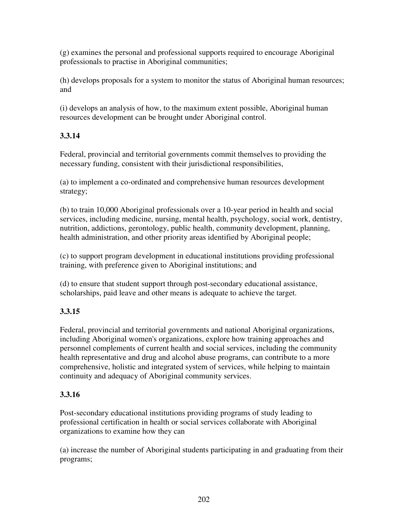(g) examines the personal and professional supports required to encourage Aboriginal professionals to practise in Aboriginal communities;

(h) develops proposals for a system to monitor the status of Aboriginal human resources; and

(i) develops an analysis of how, to the maximum extent possible, Aboriginal human resources development can be brought under Aboriginal control.

# **3.3.14**

Federal, provincial and territorial governments commit themselves to providing the necessary funding, consistent with their jurisdictional responsibilities,

(a) to implement a co-ordinated and comprehensive human resources development strategy;

(b) to train 10,000 Aboriginal professionals over a 10-year period in health and social services, including medicine, nursing, mental health, psychology, social work, dentistry, nutrition, addictions, gerontology, public health, community development, planning, health administration, and other priority areas identified by Aboriginal people;

(c) to support program development in educational institutions providing professional training, with preference given to Aboriginal institutions; and

(d) to ensure that student support through post-secondary educational assistance, scholarships, paid leave and other means is adequate to achieve the target.

# **3.3.15**

Federal, provincial and territorial governments and national Aboriginal organizations, including Aboriginal women's organizations, explore how training approaches and personnel complements of current health and social services, including the community health representative and drug and alcohol abuse programs, can contribute to a more comprehensive, holistic and integrated system of services, while helping to maintain continuity and adequacy of Aboriginal community services.

# **3.3.16**

Post-secondary educational institutions providing programs of study leading to professional certification in health or social services collaborate with Aboriginal organizations to examine how they can

(a) increase the number of Aboriginal students participating in and graduating from their programs;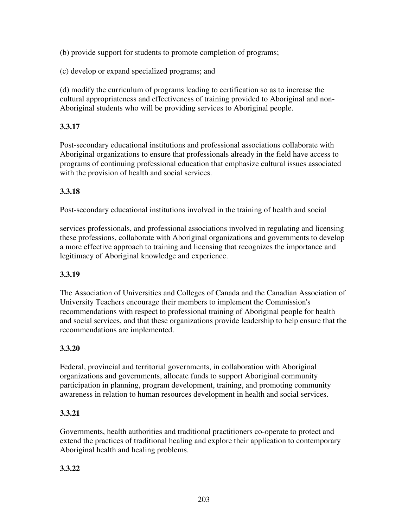(b) provide support for students to promote completion of programs;

(c) develop or expand specialized programs; and

(d) modify the curriculum of programs leading to certification so as to increase the cultural appropriateness and effectiveness of training provided to Aboriginal and non-Aboriginal students who will be providing services to Aboriginal people.

# **3.3.17**

Post-secondary educational institutions and professional associations collaborate with Aboriginal organizations to ensure that professionals already in the field have access to programs of continuing professional education that emphasize cultural issues associated with the provision of health and social services.

## **3.3.18**

Post-secondary educational institutions involved in the training of health and social

services professionals, and professional associations involved in regulating and licensing these professions, collaborate with Aboriginal organizations and governments to develop a more effective approach to training and licensing that recognizes the importance and legitimacy of Aboriginal knowledge and experience.

## **3.3.19**

The Association of Universities and Colleges of Canada and the Canadian Association of University Teachers encourage their members to implement the Commission's recommendations with respect to professional training of Aboriginal people for health and social services, and that these organizations provide leadership to help ensure that the recommendations are implemented.

## **3.3.20**

Federal, provincial and territorial governments, in collaboration with Aboriginal organizations and governments, allocate funds to support Aboriginal community participation in planning, program development, training, and promoting community awareness in relation to human resources development in health and social services.

## **3.3.21**

Governments, health authorities and traditional practitioners co-operate to protect and extend the practices of traditional healing and explore their application to contemporary Aboriginal health and healing problems.

## **3.3.22**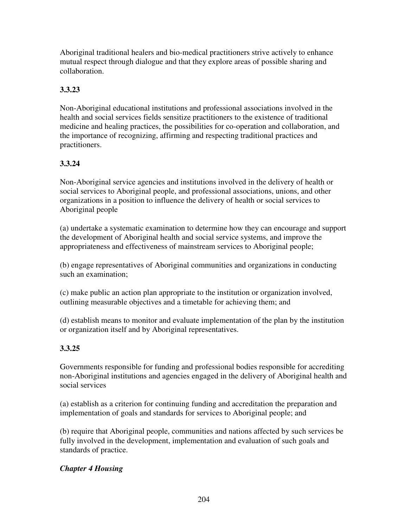Aboriginal traditional healers and bio-medical practitioners strive actively to enhance mutual respect through dialogue and that they explore areas of possible sharing and collaboration.

# **3.3.23**

Non-Aboriginal educational institutions and professional associations involved in the health and social services fields sensitize practitioners to the existence of traditional medicine and healing practices, the possibilities for co-operation and collaboration, and the importance of recognizing, affirming and respecting traditional practices and practitioners.

# **3.3.24**

Non-Aboriginal service agencies and institutions involved in the delivery of health or social services to Aboriginal people, and professional associations, unions, and other organizations in a position to influence the delivery of health or social services to Aboriginal people

(a) undertake a systematic examination to determine how they can encourage and support the development of Aboriginal health and social service systems, and improve the appropriateness and effectiveness of mainstream services to Aboriginal people;

(b) engage representatives of Aboriginal communities and organizations in conducting such an examination;

(c) make public an action plan appropriate to the institution or organization involved, outlining measurable objectives and a timetable for achieving them; and

(d) establish means to monitor and evaluate implementation of the plan by the institution or organization itself and by Aboriginal representatives.

# **3.3.25**

Governments responsible for funding and professional bodies responsible for accrediting non-Aboriginal institutions and agencies engaged in the delivery of Aboriginal health and social services

(a) establish as a criterion for continuing funding and accreditation the preparation and implementation of goals and standards for services to Aboriginal people; and

(b) require that Aboriginal people, communities and nations affected by such services be fully involved in the development, implementation and evaluation of such goals and standards of practice.

# *Chapter 4 Housing*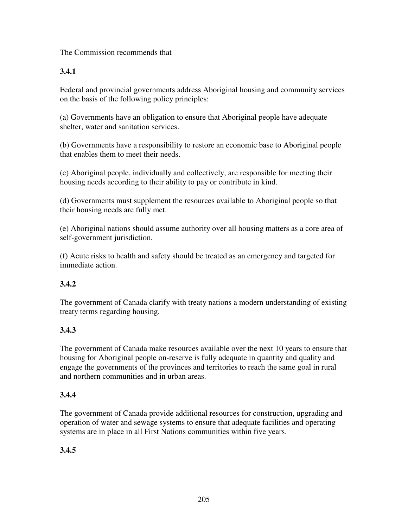The Commission recommends that

## **3.4.1**

Federal and provincial governments address Aboriginal housing and community services on the basis of the following policy principles:

(a) Governments have an obligation to ensure that Aboriginal people have adequate shelter, water and sanitation services.

(b) Governments have a responsibility to restore an economic base to Aboriginal people that enables them to meet their needs.

(c) Aboriginal people, individually and collectively, are responsible for meeting their housing needs according to their ability to pay or contribute in kind.

(d) Governments must supplement the resources available to Aboriginal people so that their housing needs are fully met.

(e) Aboriginal nations should assume authority over all housing matters as a core area of self-government jurisdiction.

(f) Acute risks to health and safety should be treated as an emergency and targeted for immediate action.

## **3.4.2**

The government of Canada clarify with treaty nations a modern understanding of existing treaty terms regarding housing.

## **3.4.3**

The government of Canada make resources available over the next 10 years to ensure that housing for Aboriginal people on-reserve is fully adequate in quantity and quality and engage the governments of the provinces and territories to reach the same goal in rural and northern communities and in urban areas.

#### **3.4.4**

The government of Canada provide additional resources for construction, upgrading and operation of water and sewage systems to ensure that adequate facilities and operating systems are in place in all First Nations communities within five years.

## **3.4.5**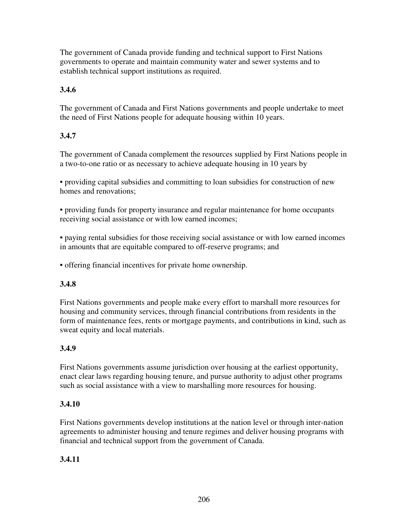The government of Canada provide funding and technical support to First Nations governments to operate and maintain community water and sewer systems and to establish technical support institutions as required.

# **3.4.6**

The government of Canada and First Nations governments and people undertake to meet the need of First Nations people for adequate housing within 10 years.

# **3.4.7**

The government of Canada complement the resources supplied by First Nations people in a two-to-one ratio or as necessary to achieve adequate housing in 10 years by

• providing capital subsidies and committing to loan subsidies for construction of new homes and renovations;

• providing funds for property insurance and regular maintenance for home occupants receiving social assistance or with low earned incomes;

• paying rental subsidies for those receiving social assistance or with low earned incomes in amounts that are equitable compared to off-reserve programs; and

• offering financial incentives for private home ownership.

## **3.4.8**

First Nations governments and people make every effort to marshall more resources for housing and community services, through financial contributions from residents in the form of maintenance fees, rents or mortgage payments, and contributions in kind, such as sweat equity and local materials.

# **3.4.9**

First Nations governments assume jurisdiction over housing at the earliest opportunity, enact clear laws regarding housing tenure, and pursue authority to adjust other programs such as social assistance with a view to marshalling more resources for housing.

## **3.4.10**

First Nations governments develop institutions at the nation level or through inter-nation agreements to administer housing and tenure regimes and deliver housing programs with financial and technical support from the government of Canada.

## **3.4.11**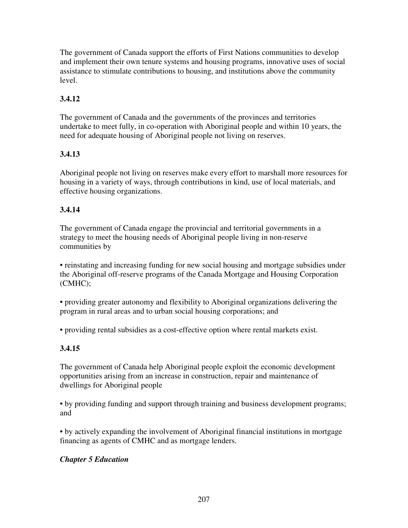The government of Canada support the efforts of First Nations communities to develop and implement their own tenure systems and housing programs, innovative uses of social assistance to stimulate contributions to housing, and institutions above the community level.

# **3.4.12**

The government of Canada and the governments of the provinces and territories undertake to meet fully, in co-operation with Aboriginal people and within 10 years, the need for adequate housing of Aboriginal people not living on reserves.

## **3.4.13**

Aboriginal people not living on reserves make every effort to marshall more resources for housing in a variety of ways, through contributions in kind, use of local materials, and effective housing organizations.

# **3.4.14**

The government of Canada engage the provincial and territorial governments in a strategy to meet the housing needs of Aboriginal people living in non-reserve communities by

• reinstating and increasing funding for new social housing and mortgage subsidies under the Aboriginal off-reserve programs of the Canada Mortgage and Housing Corporation (CMHC);

• providing greater autonomy and flexibility to Aboriginal organizations delivering the program in rural areas and to urban social housing corporations; and

• providing rental subsidies as a cost-effective option where rental markets exist.

## **3.4.15**

The government of Canada help Aboriginal people exploit the economic development opportunities arising from an increase in construction, repair and maintenance of dwellings for Aboriginal people

• by providing funding and support through training and business development programs; and

• by actively expanding the involvement of Aboriginal financial institutions in mortgage financing as agents of CMHC and as mortgage lenders.

## *Chapter 5 Education*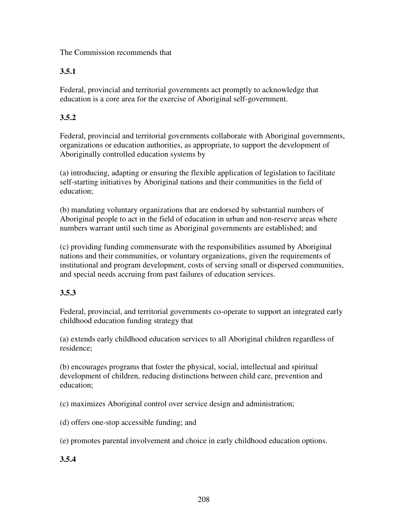The Commission recommends that

## **3.5.1**

Federal, provincial and territorial governments act promptly to acknowledge that education is a core area for the exercise of Aboriginal self-government.

#### **3.5.2**

Federal, provincial and territorial governments collaborate with Aboriginal governments, organizations or education authorities, as appropriate, to support the development of Aboriginally controlled education systems by

(a) introducing, adapting or ensuring the flexible application of legislation to facilitate self-starting initiatives by Aboriginal nations and their communities in the field of education;

(b) mandating voluntary organizations that are endorsed by substantial numbers of Aboriginal people to act in the field of education in urban and non-reserve areas where numbers warrant until such time as Aboriginal governments are established; and

(c) providing funding commensurate with the responsibilities assumed by Aboriginal nations and their communities, or voluntary organizations, given the requirements of institutional and program development, costs of serving small or dispersed communities, and special needs accruing from past failures of education services.

#### **3.5.3**

Federal, provincial, and territorial governments co-operate to support an integrated early childhood education funding strategy that

(a) extends early childhood education services to all Aboriginal children regardless of residence;

(b) encourages programs that foster the physical, social, intellectual and spiritual development of children, reducing distinctions between child care, prevention and education;

(c) maximizes Aboriginal control over service design and administration;

(d) offers one-stop accessible funding; and

(e) promotes parental involvement and choice in early childhood education options.

#### **3.5.4**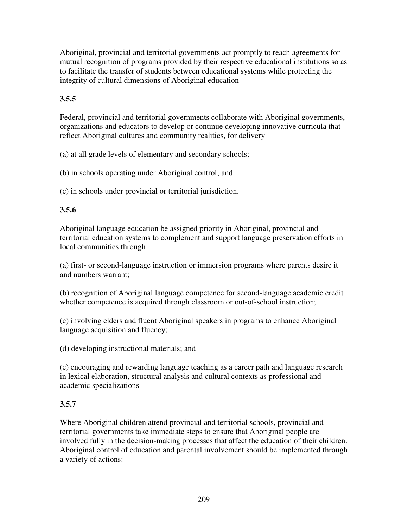Aboriginal, provincial and territorial governments act promptly to reach agreements for mutual recognition of programs provided by their respective educational institutions so as to facilitate the transfer of students between educational systems while protecting the integrity of cultural dimensions of Aboriginal education

## **3.5.5**

Federal, provincial and territorial governments collaborate with Aboriginal governments, organizations and educators to develop or continue developing innovative curricula that reflect Aboriginal cultures and community realities, for delivery

(a) at all grade levels of elementary and secondary schools;

(b) in schools operating under Aboriginal control; and

(c) in schools under provincial or territorial jurisdiction.

# **3.5.6**

Aboriginal language education be assigned priority in Aboriginal, provincial and territorial education systems to complement and support language preservation efforts in local communities through

(a) first- or second-language instruction or immersion programs where parents desire it and numbers warrant;

(b) recognition of Aboriginal language competence for second-language academic credit whether competence is acquired through classroom or out-of-school instruction;

(c) involving elders and fluent Aboriginal speakers in programs to enhance Aboriginal language acquisition and fluency;

(d) developing instructional materials; and

(e) encouraging and rewarding language teaching as a career path and language research in lexical elaboration, structural analysis and cultural contexts as professional and academic specializations

# **3.5.7**

Where Aboriginal children attend provincial and territorial schools, provincial and territorial governments take immediate steps to ensure that Aboriginal people are involved fully in the decision-making processes that affect the education of their children. Aboriginal control of education and parental involvement should be implemented through a variety of actions: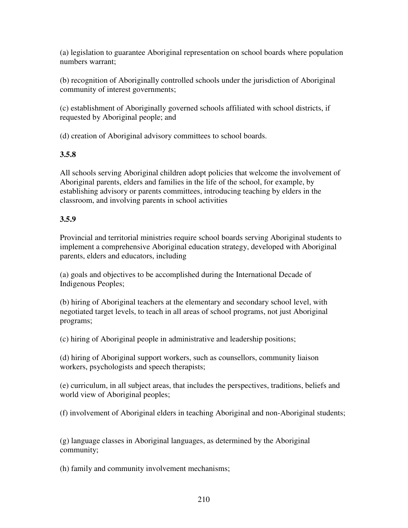(a) legislation to guarantee Aboriginal representation on school boards where population numbers warrant;

(b) recognition of Aboriginally controlled schools under the jurisdiction of Aboriginal community of interest governments;

(c) establishment of Aboriginally governed schools affiliated with school districts, if requested by Aboriginal people; and

(d) creation of Aboriginal advisory committees to school boards.

# **3.5.8**

All schools serving Aboriginal children adopt policies that welcome the involvement of Aboriginal parents, elders and families in the life of the school, for example, by establishing advisory or parents committees, introducing teaching by elders in the classroom, and involving parents in school activities

# **3.5.9**

Provincial and territorial ministries require school boards serving Aboriginal students to implement a comprehensive Aboriginal education strategy, developed with Aboriginal parents, elders and educators, including

(a) goals and objectives to be accomplished during the International Decade of Indigenous Peoples;

(b) hiring of Aboriginal teachers at the elementary and secondary school level, with negotiated target levels, to teach in all areas of school programs, not just Aboriginal programs;

(c) hiring of Aboriginal people in administrative and leadership positions;

(d) hiring of Aboriginal support workers, such as counsellors, community liaison workers, psychologists and speech therapists;

(e) curriculum, in all subject areas, that includes the perspectives, traditions, beliefs and world view of Aboriginal peoples;

(f) involvement of Aboriginal elders in teaching Aboriginal and non-Aboriginal students;

(g) language classes in Aboriginal languages, as determined by the Aboriginal community;

(h) family and community involvement mechanisms;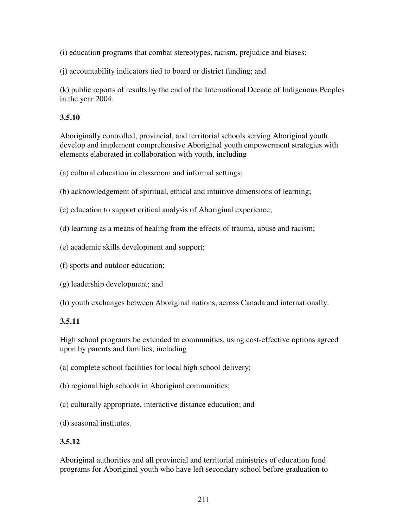(i) education programs that combat stereotypes, racism, prejudice and biases;

(j) accountability indicators tied to board or district funding; and

(k) public reports of results by the end of the International Decade of Indigenous Peoples in the year 2004.

## **3.5.10**

Aboriginally controlled, provincial, and territorial schools serving Aboriginal youth develop and implement comprehensive Aboriginal youth empowerment strategies with elements elaborated in collaboration with youth, including

(a) cultural education in classroom and informal settings;

(b) acknowledgement of spiritual, ethical and intuitive dimensions of learning;

(c) education to support critical analysis of Aboriginal experience;

(d) learning as a means of healing from the effects of trauma, abuse and racism;

- (e) academic skills development and support;
- (f) sports and outdoor education;
- (g) leadership development; and

(h) youth exchanges between Aboriginal nations, across Canada and internationally.

## **3.5.11**

High school programs be extended to communities, using cost-effective options agreed upon by parents and families, including

(a) complete school facilities for local high school delivery;

- (b) regional high schools in Aboriginal communities;
- (c) culturally appropriate, interactive distance education; and
- (d) seasonal institutes.

## **3.5.12**

Aboriginal authorities and all provincial and territorial ministries of education fund programs for Aboriginal youth who have left secondary school before graduation to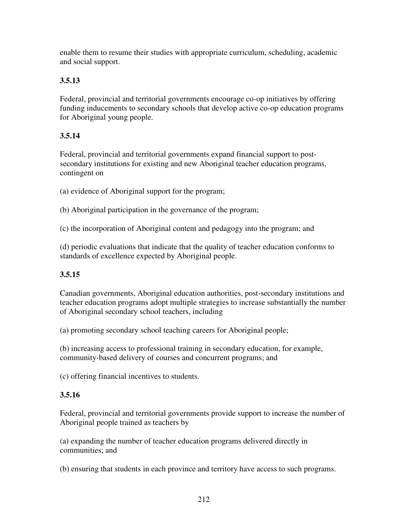enable them to resume their studies with appropriate curriculum, scheduling, academic and social support.

# **3.5.13**

Federal, provincial and territorial governments encourage co-op initiatives by offering funding inducements to secondary schools that develop active co-op education programs for Aboriginal young people.

# **3.5.14**

Federal, provincial and territorial governments expand financial support to postsecondary institutions for existing and new Aboriginal teacher education programs, contingent on

(a) evidence of Aboriginal support for the program;

(b) Aboriginal participation in the governance of the program;

(c) the incorporation of Aboriginal content and pedagogy into the program; and

(d) periodic evaluations that indicate that the quality of teacher education conforms to standards of excellence expected by Aboriginal people.

# **3.5.15**

Canadian governments, Aboriginal education authorities, post-secondary institutions and teacher education programs adopt multiple strategies to increase substantially the number of Aboriginal secondary school teachers, including

(a) promoting secondary school teaching careers for Aboriginal people;

(b) increasing access to professional training in secondary education, for example, community-based delivery of courses and concurrent programs; and

(c) offering financial incentives to students.

# **3.5.16**

Federal, provincial and territorial governments provide support to increase the number of Aboriginal people trained as teachers by

(a) expanding the number of teacher education programs delivered directly in communities; and

(b) ensuring that students in each province and territory have access to such programs.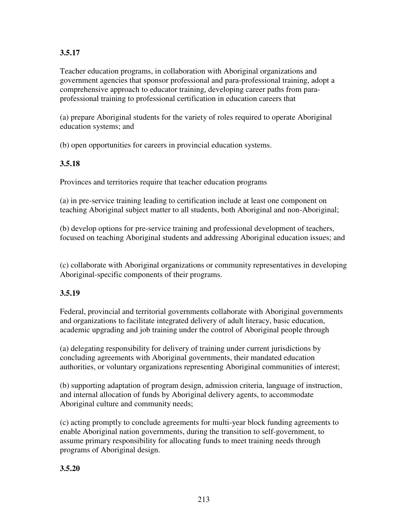# **3.5.17**

Teacher education programs, in collaboration with Aboriginal organizations and government agencies that sponsor professional and para-professional training, adopt a comprehensive approach to educator training, developing career paths from paraprofessional training to professional certification in education careers that

(a) prepare Aboriginal students for the variety of roles required to operate Aboriginal education systems; and

(b) open opportunities for careers in provincial education systems.

## **3.5.18**

Provinces and territories require that teacher education programs

(a) in pre-service training leading to certification include at least one component on teaching Aboriginal subject matter to all students, both Aboriginal and non-Aboriginal;

(b) develop options for pre-service training and professional development of teachers, focused on teaching Aboriginal students and addressing Aboriginal education issues; and

(c) collaborate with Aboriginal organizations or community representatives in developing Aboriginal-specific components of their programs.

## **3.5.19**

Federal, provincial and territorial governments collaborate with Aboriginal governments and organizations to facilitate integrated delivery of adult literacy, basic education, academic upgrading and job training under the control of Aboriginal people through

(a) delegating responsibility for delivery of training under current jurisdictions by concluding agreements with Aboriginal governments, their mandated education authorities, or voluntary organizations representing Aboriginal communities of interest;

(b) supporting adaptation of program design, admission criteria, language of instruction, and internal allocation of funds by Aboriginal delivery agents, to accommodate Aboriginal culture and community needs;

(c) acting promptly to conclude agreements for multi-year block funding agreements to enable Aboriginal nation governments, during the transition to self-government, to assume primary responsibility for allocating funds to meet training needs through programs of Aboriginal design.

## **3.5.20**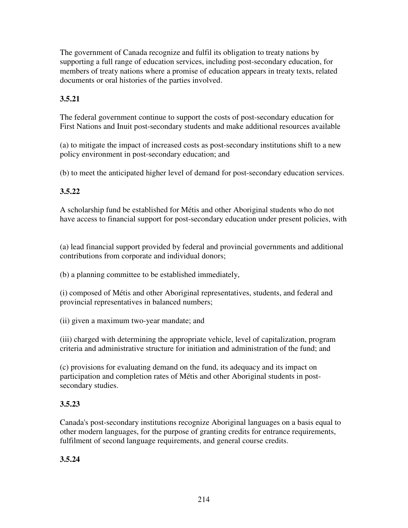The government of Canada recognize and fulfil its obligation to treaty nations by supporting a full range of education services, including post-secondary education, for members of treaty nations where a promise of education appears in treaty texts, related documents or oral histories of the parties involved.

## **3.5.21**

The federal government continue to support the costs of post-secondary education for First Nations and Inuit post-secondary students and make additional resources available

(a) to mitigate the impact of increased costs as post-secondary institutions shift to a new policy environment in post-secondary education; and

(b) to meet the anticipated higher level of demand for post-secondary education services.

# **3.5.22**

A scholarship fund be established for Métis and other Aboriginal students who do not have access to financial support for post-secondary education under present policies, with

(a) lead financial support provided by federal and provincial governments and additional contributions from corporate and individual donors;

(b) a planning committee to be established immediately,

(i) composed of Métis and other Aboriginal representatives, students, and federal and provincial representatives in balanced numbers;

(ii) given a maximum two-year mandate; and

(iii) charged with determining the appropriate vehicle, level of capitalization, program criteria and administrative structure for initiation and administration of the fund; and

(c) provisions for evaluating demand on the fund, its adequacy and its impact on participation and completion rates of Métis and other Aboriginal students in postsecondary studies.

# **3.5.23**

Canada's post-secondary institutions recognize Aboriginal languages on a basis equal to other modern languages, for the purpose of granting credits for entrance requirements, fulfilment of second language requirements, and general course credits.

## **3.5.24**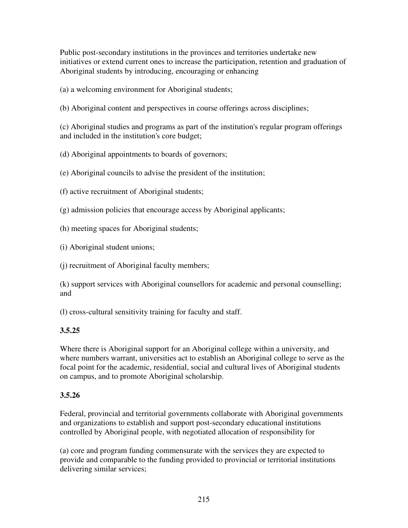Public post-secondary institutions in the provinces and territories undertake new initiatives or extend current ones to increase the participation, retention and graduation of Aboriginal students by introducing, encouraging or enhancing

(a) a welcoming environment for Aboriginal students;

(b) Aboriginal content and perspectives in course offerings across disciplines;

(c) Aboriginal studies and programs as part of the institution's regular program offerings and included in the institution's core budget;

(d) Aboriginal appointments to boards of governors;

(e) Aboriginal councils to advise the president of the institution;

(f) active recruitment of Aboriginal students;

(g) admission policies that encourage access by Aboriginal applicants;

(h) meeting spaces for Aboriginal students;

(i) Aboriginal student unions;

(j) recruitment of Aboriginal faculty members;

(k) support services with Aboriginal counsellors for academic and personal counselling; and

(l) cross-cultural sensitivity training for faculty and staff.

## **3.5.25**

Where there is Aboriginal support for an Aboriginal college within a university, and where numbers warrant, universities act to establish an Aboriginal college to serve as the focal point for the academic, residential, social and cultural lives of Aboriginal students on campus, and to promote Aboriginal scholarship.

#### **3.5.26**

Federal, provincial and territorial governments collaborate with Aboriginal governments and organizations to establish and support post-secondary educational institutions controlled by Aboriginal people, with negotiated allocation of responsibility for

(a) core and program funding commensurate with the services they are expected to provide and comparable to the funding provided to provincial or territorial institutions delivering similar services;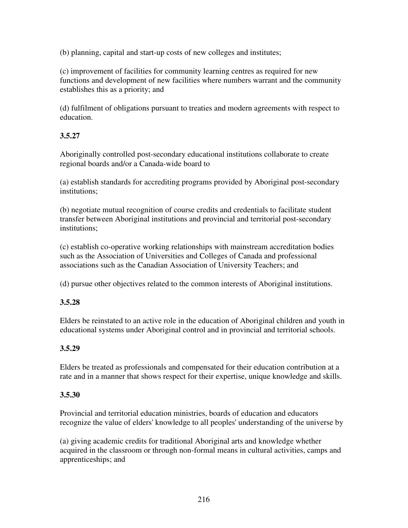(b) planning, capital and start-up costs of new colleges and institutes;

(c) improvement of facilities for community learning centres as required for new functions and development of new facilities where numbers warrant and the community establishes this as a priority; and

(d) fulfilment of obligations pursuant to treaties and modern agreements with respect to education.

## **3.5.27**

Aboriginally controlled post-secondary educational institutions collaborate to create regional boards and/or a Canada-wide board to

(a) establish standards for accrediting programs provided by Aboriginal post-secondary institutions;

(b) negotiate mutual recognition of course credits and credentials to facilitate student transfer between Aboriginal institutions and provincial and territorial post-secondary institutions;

(c) establish co-operative working relationships with mainstream accreditation bodies such as the Association of Universities and Colleges of Canada and professional associations such as the Canadian Association of University Teachers; and

(d) pursue other objectives related to the common interests of Aboriginal institutions.

#### **3.5.28**

Elders be reinstated to an active role in the education of Aboriginal children and youth in educational systems under Aboriginal control and in provincial and territorial schools.

#### **3.5.29**

Elders be treated as professionals and compensated for their education contribution at a rate and in a manner that shows respect for their expertise, unique knowledge and skills.

#### **3.5.30**

Provincial and territorial education ministries, boards of education and educators recognize the value of elders' knowledge to all peoples' understanding of the universe by

(a) giving academic credits for traditional Aboriginal arts and knowledge whether acquired in the classroom or through non-formal means in cultural activities, camps and apprenticeships; and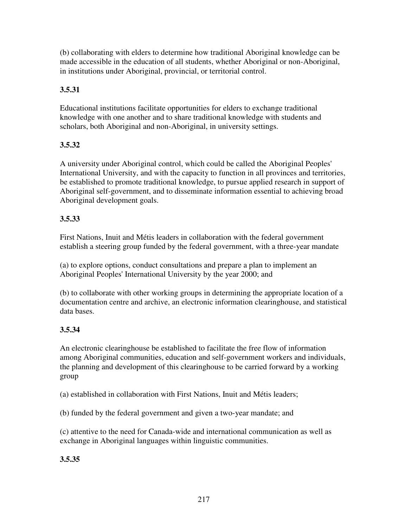(b) collaborating with elders to determine how traditional Aboriginal knowledge can be made accessible in the education of all students, whether Aboriginal or non-Aboriginal, in institutions under Aboriginal, provincial, or territorial control.

# **3.5.31**

Educational institutions facilitate opportunities for elders to exchange traditional knowledge with one another and to share traditional knowledge with students and scholars, both Aboriginal and non-Aboriginal, in university settings.

# **3.5.32**

A university under Aboriginal control, which could be called the Aboriginal Peoples' International University, and with the capacity to function in all provinces and territories, be established to promote traditional knowledge, to pursue applied research in support of Aboriginal self-government, and to disseminate information essential to achieving broad Aboriginal development goals.

## **3.5.33**

First Nations, Inuit and Métis leaders in collaboration with the federal government establish a steering group funded by the federal government, with a three-year mandate

(a) to explore options, conduct consultations and prepare a plan to implement an Aboriginal Peoples' International University by the year 2000; and

(b) to collaborate with other working groups in determining the appropriate location of a documentation centre and archive, an electronic information clearinghouse, and statistical data bases.

# **3.5.34**

An electronic clearinghouse be established to facilitate the free flow of information among Aboriginal communities, education and self-government workers and individuals, the planning and development of this clearinghouse to be carried forward by a working group

(a) established in collaboration with First Nations, Inuit and Métis leaders;

(b) funded by the federal government and given a two-year mandate; and

(c) attentive to the need for Canada-wide and international communication as well as exchange in Aboriginal languages within linguistic communities.

**3.5.35**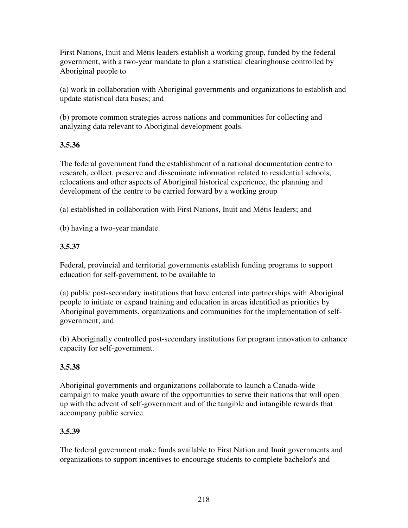First Nations, Inuit and Métis leaders establish a working group, funded by the federal government, with a two-year mandate to plan a statistical clearinghouse controlled by Aboriginal people to

(a) work in collaboration with Aboriginal governments and organizations to establish and update statistical data bases; and

(b) promote common strategies across nations and communities for collecting and analyzing data relevant to Aboriginal development goals.

## **3.5.36**

The federal government fund the establishment of a national documentation centre to research, collect, preserve and disseminate information related to residential schools, relocations and other aspects of Aboriginal historical experience, the planning and development of the centre to be carried forward by a working group

(a) established in collaboration with First Nations, Inuit and Métis leaders; and

(b) having a two-year mandate.

# **3.5.37**

Federal, provincial and territorial governments establish funding programs to support education for self-government, to be available to

(a) public post-secondary institutions that have entered into partnerships with Aboriginal people to initiate or expand training and education in areas identified as priorities by Aboriginal governments, organizations and communities for the implementation of selfgovernment; and

(b) Aboriginally controlled post-secondary institutions for program innovation to enhance capacity for self-government.

# **3.5.38**

Aboriginal governments and organizations collaborate to launch a Canada-wide campaign to make youth aware of the opportunities to serve their nations that will open up with the advent of self-government and of the tangible and intangible rewards that accompany public service.

# **3.5.39**

The federal government make funds available to First Nation and Inuit governments and organizations to support incentives to encourage students to complete bachelor's and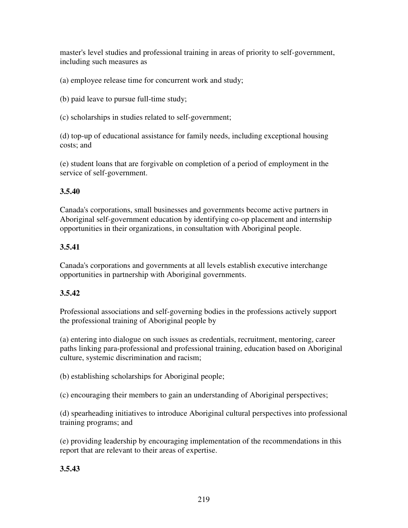master's level studies and professional training in areas of priority to self-government, including such measures as

(a) employee release time for concurrent work and study;

(b) paid leave to pursue full-time study;

(c) scholarships in studies related to self-government;

(d) top-up of educational assistance for family needs, including exceptional housing costs; and

(e) student loans that are forgivable on completion of a period of employment in the service of self-government.

# **3.5.40**

Canada's corporations, small businesses and governments become active partners in Aboriginal self-government education by identifying co-op placement and internship opportunities in their organizations, in consultation with Aboriginal people.

# **3.5.41**

Canada's corporations and governments at all levels establish executive interchange opportunities in partnership with Aboriginal governments.

# **3.5.42**

Professional associations and self-governing bodies in the professions actively support the professional training of Aboriginal people by

(a) entering into dialogue on such issues as credentials, recruitment, mentoring, career paths linking para-professional and professional training, education based on Aboriginal culture, systemic discrimination and racism;

(b) establishing scholarships for Aboriginal people;

(c) encouraging their members to gain an understanding of Aboriginal perspectives;

(d) spearheading initiatives to introduce Aboriginal cultural perspectives into professional training programs; and

(e) providing leadership by encouraging implementation of the recommendations in this report that are relevant to their areas of expertise.

# **3.5.43**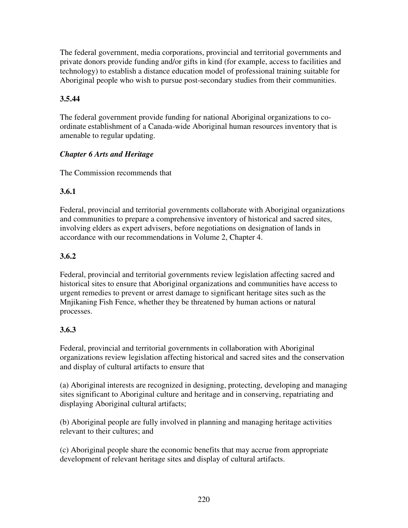The federal government, media corporations, provincial and territorial governments and private donors provide funding and/or gifts in kind (for example, access to facilities and technology) to establish a distance education model of professional training suitable for Aboriginal people who wish to pursue post-secondary studies from their communities.

# **3.5.44**

The federal government provide funding for national Aboriginal organizations to coordinate establishment of a Canada-wide Aboriginal human resources inventory that is amenable to regular updating.

## *Chapter 6 Arts and Heritage*

The Commission recommends that

# **3.6.1**

Federal, provincial and territorial governments collaborate with Aboriginal organizations and communities to prepare a comprehensive inventory of historical and sacred sites, involving elders as expert advisers, before negotiations on designation of lands in accordance with our recommendations in Volume 2, Chapter 4.

## **3.6.2**

Federal, provincial and territorial governments review legislation affecting sacred and historical sites to ensure that Aboriginal organizations and communities have access to urgent remedies to prevent or arrest damage to significant heritage sites such as the Mnjikaning Fish Fence, whether they be threatened by human actions or natural processes.

# **3.6.3**

Federal, provincial and territorial governments in collaboration with Aboriginal organizations review legislation affecting historical and sacred sites and the conservation and display of cultural artifacts to ensure that

(a) Aboriginal interests are recognized in designing, protecting, developing and managing sites significant to Aboriginal culture and heritage and in conserving, repatriating and displaying Aboriginal cultural artifacts;

(b) Aboriginal people are fully involved in planning and managing heritage activities relevant to their cultures; and

(c) Aboriginal people share the economic benefits that may accrue from appropriate development of relevant heritage sites and display of cultural artifacts.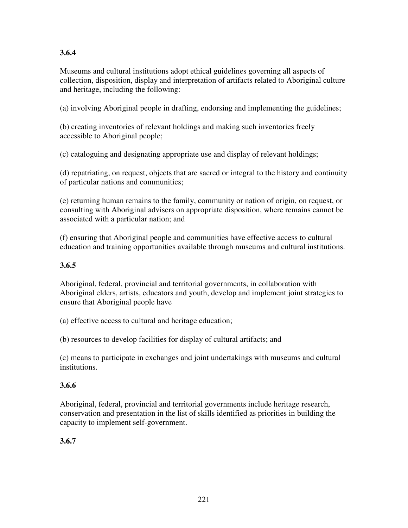# **3.6.4**

Museums and cultural institutions adopt ethical guidelines governing all aspects of collection, disposition, display and interpretation of artifacts related to Aboriginal culture and heritage, including the following:

(a) involving Aboriginal people in drafting, endorsing and implementing the guidelines;

(b) creating inventories of relevant holdings and making such inventories freely accessible to Aboriginal people;

(c) cataloguing and designating appropriate use and display of relevant holdings;

(d) repatriating, on request, objects that are sacred or integral to the history and continuity of particular nations and communities;

(e) returning human remains to the family, community or nation of origin, on request, or consulting with Aboriginal advisers on appropriate disposition, where remains cannot be associated with a particular nation; and

(f) ensuring that Aboriginal people and communities have effective access to cultural education and training opportunities available through museums and cultural institutions.

# **3.6.5**

Aboriginal, federal, provincial and territorial governments, in collaboration with Aboriginal elders, artists, educators and youth, develop and implement joint strategies to ensure that Aboriginal people have

(a) effective access to cultural and heritage education;

(b) resources to develop facilities for display of cultural artifacts; and

(c) means to participate in exchanges and joint undertakings with museums and cultural institutions.

# **3.6.6**

Aboriginal, federal, provincial and territorial governments include heritage research, conservation and presentation in the list of skills identified as priorities in building the capacity to implement self-government.

# **3.6.7**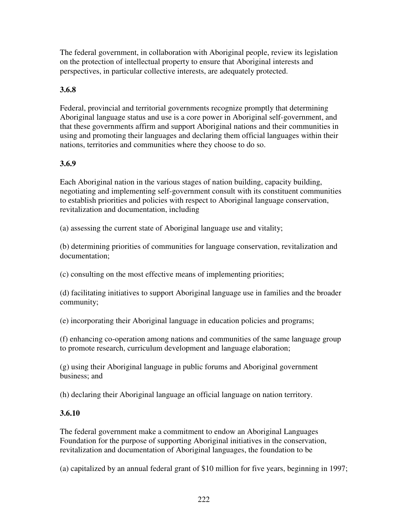The federal government, in collaboration with Aboriginal people, review its legislation on the protection of intellectual property to ensure that Aboriginal interests and perspectives, in particular collective interests, are adequately protected.

#### **3.6.8**

Federal, provincial and territorial governments recognize promptly that determining Aboriginal language status and use is a core power in Aboriginal self-government, and that these governments affirm and support Aboriginal nations and their communities in using and promoting their languages and declaring them official languages within their nations, territories and communities where they choose to do so.

#### **3.6.9**

Each Aboriginal nation in the various stages of nation building, capacity building, negotiating and implementing self-government consult with its constituent communities to establish priorities and policies with respect to Aboriginal language conservation, revitalization and documentation, including

(a) assessing the current state of Aboriginal language use and vitality;

(b) determining priorities of communities for language conservation, revitalization and documentation;

(c) consulting on the most effective means of implementing priorities;

(d) facilitating initiatives to support Aboriginal language use in families and the broader community;

(e) incorporating their Aboriginal language in education policies and programs;

(f) enhancing co-operation among nations and communities of the same language group to promote research, curriculum development and language elaboration;

(g) using their Aboriginal language in public forums and Aboriginal government business; and

(h) declaring their Aboriginal language an official language on nation territory.

## **3.6.10**

The federal government make a commitment to endow an Aboriginal Languages Foundation for the purpose of supporting Aboriginal initiatives in the conservation, revitalization and documentation of Aboriginal languages, the foundation to be

(a) capitalized by an annual federal grant of \$10 million for five years, beginning in 1997;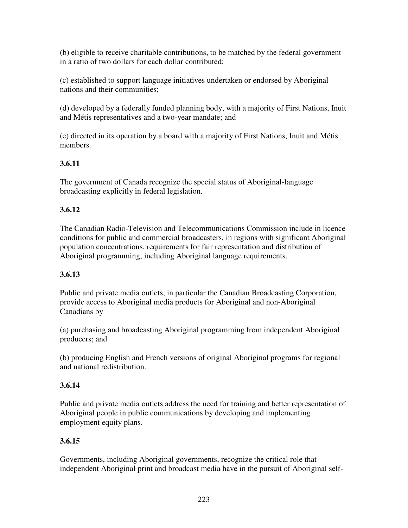(b) eligible to receive charitable contributions, to be matched by the federal government in a ratio of two dollars for each dollar contributed;

(c) established to support language initiatives undertaken or endorsed by Aboriginal nations and their communities;

(d) developed by a federally funded planning body, with a majority of First Nations, Inuit and Métis representatives and a two-year mandate; and

(e) directed in its operation by a board with a majority of First Nations, Inuit and Métis members.

# **3.6.11**

The government of Canada recognize the special status of Aboriginal-language broadcasting explicitly in federal legislation.

# **3.6.12**

The Canadian Radio-Television and Telecommunications Commission include in licence conditions for public and commercial broadcasters, in regions with significant Aboriginal population concentrations, requirements for fair representation and distribution of Aboriginal programming, including Aboriginal language requirements.

## **3.6.13**

Public and private media outlets, in particular the Canadian Broadcasting Corporation, provide access to Aboriginal media products for Aboriginal and non-Aboriginal Canadians by

(a) purchasing and broadcasting Aboriginal programming from independent Aboriginal producers; and

(b) producing English and French versions of original Aboriginal programs for regional and national redistribution.

# **3.6.14**

Public and private media outlets address the need for training and better representation of Aboriginal people in public communications by developing and implementing employment equity plans.

# **3.6.15**

Governments, including Aboriginal governments, recognize the critical role that independent Aboriginal print and broadcast media have in the pursuit of Aboriginal self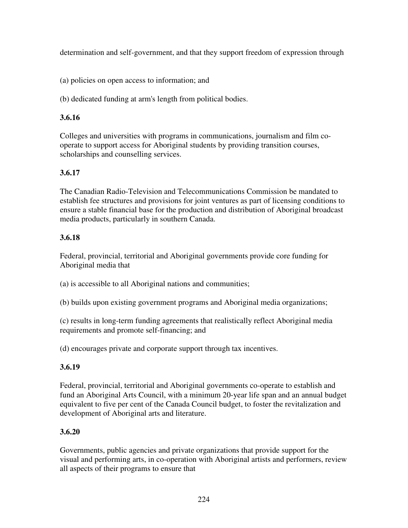determination and self-government, and that they support freedom of expression through

(a) policies on open access to information; and

(b) dedicated funding at arm's length from political bodies.

## **3.6.16**

Colleges and universities with programs in communications, journalism and film cooperate to support access for Aboriginal students by providing transition courses, scholarships and counselling services.

# **3.6.17**

The Canadian Radio-Television and Telecommunications Commission be mandated to establish fee structures and provisions for joint ventures as part of licensing conditions to ensure a stable financial base for the production and distribution of Aboriginal broadcast media products, particularly in southern Canada.

# **3.6.18**

Federal, provincial, territorial and Aboriginal governments provide core funding for Aboriginal media that

(a) is accessible to all Aboriginal nations and communities;

(b) builds upon existing government programs and Aboriginal media organizations;

(c) results in long-term funding agreements that realistically reflect Aboriginal media requirements and promote self-financing; and

(d) encourages private and corporate support through tax incentives.

# **3.6.19**

Federal, provincial, territorial and Aboriginal governments co-operate to establish and fund an Aboriginal Arts Council, with a minimum 20-year life span and an annual budget equivalent to five per cent of the Canada Council budget, to foster the revitalization and development of Aboriginal arts and literature.

## **3.6.20**

Governments, public agencies and private organizations that provide support for the visual and performing arts, in co-operation with Aboriginal artists and performers, review all aspects of their programs to ensure that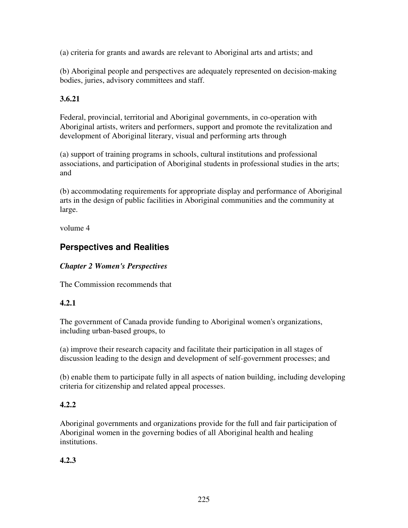(a) criteria for grants and awards are relevant to Aboriginal arts and artists; and

(b) Aboriginal people and perspectives are adequately represented on decision-making bodies, juries, advisory committees and staff.

# **3.6.21**

Federal, provincial, territorial and Aboriginal governments, in co-operation with Aboriginal artists, writers and performers, support and promote the revitalization and development of Aboriginal literary, visual and performing arts through

(a) support of training programs in schools, cultural institutions and professional associations, and participation of Aboriginal students in professional studies in the arts; and

(b) accommodating requirements for appropriate display and performance of Aboriginal arts in the design of public facilities in Aboriginal communities and the community at large.

volume 4

# **Perspectives and Realities**

## *Chapter 2 Women's Perspectives*

The Commission recommends that

## **4.2.1**

The government of Canada provide funding to Aboriginal women's organizations, including urban-based groups, to

(a) improve their research capacity and facilitate their participation in all stages of discussion leading to the design and development of self-government processes; and

(b) enable them to participate fully in all aspects of nation building, including developing criteria for citizenship and related appeal processes.

## **4.2.2**

Aboriginal governments and organizations provide for the full and fair participation of Aboriginal women in the governing bodies of all Aboriginal health and healing institutions.

# **4.2.3**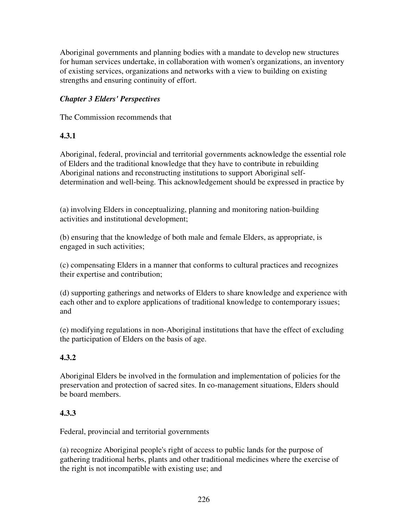Aboriginal governments and planning bodies with a mandate to develop new structures for human services undertake, in collaboration with women's organizations, an inventory of existing services, organizations and networks with a view to building on existing strengths and ensuring continuity of effort.

# *Chapter 3 Elders' Perspectives*

The Commission recommends that

# **4.3.1**

Aboriginal, federal, provincial and territorial governments acknowledge the essential role of Elders and the traditional knowledge that they have to contribute in rebuilding Aboriginal nations and reconstructing institutions to support Aboriginal selfdetermination and well-being. This acknowledgement should be expressed in practice by

(a) involving Elders in conceptualizing, planning and monitoring nation-building activities and institutional development;

(b) ensuring that the knowledge of both male and female Elders, as appropriate, is engaged in such activities;

(c) compensating Elders in a manner that conforms to cultural practices and recognizes their expertise and contribution;

(d) supporting gatherings and networks of Elders to share knowledge and experience with each other and to explore applications of traditional knowledge to contemporary issues; and

(e) modifying regulations in non-Aboriginal institutions that have the effect of excluding the participation of Elders on the basis of age.

## **4.3.2**

Aboriginal Elders be involved in the formulation and implementation of policies for the preservation and protection of sacred sites. In co-management situations, Elders should be board members.

## **4.3.3**

Federal, provincial and territorial governments

(a) recognize Aboriginal people's right of access to public lands for the purpose of gathering traditional herbs, plants and other traditional medicines where the exercise of the right is not incompatible with existing use; and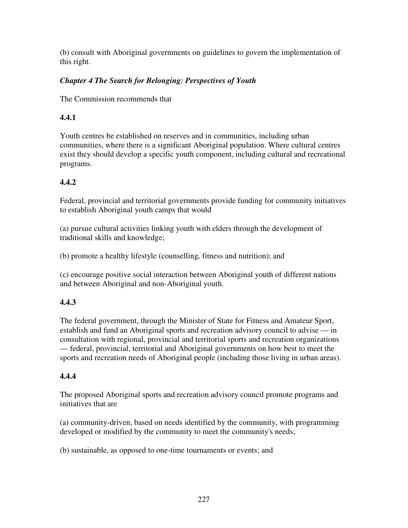(b) consult with Aboriginal governments on guidelines to govern the implementation of this right.

# *Chapter 4 The Search for Belonging: Perspectives of Youth*

The Commission recommends that

# **4.4.1**

Youth centres be established on reserves and in communities, including urban communities, where there is a significant Aboriginal population. Where cultural centres exist they should develop a specific youth component, including cultural and recreational programs.

# **4.4.2**

Federal, provincial and territorial governments provide funding for community initiatives to establish Aboriginal youth camps that would

(a) pursue cultural activities linking youth with elders through the development of traditional skills and knowledge;

(b) promote a healthy lifestyle (counselling, fitness and nutrition); and

(c) encourage positive social interaction between Aboriginal youth of different nations and between Aboriginal and non-Aboriginal youth.

# **4.4.3**

The federal government, through the Minister of State for Fitness and Amateur Sport, establish and fund an Aboriginal sports and recreation advisory council to advise — in consultation with regional, provincial and territorial sports and recreation organizations — federal, provincial, territorial and Aboriginal governments on how best to meet the sports and recreation needs of Aboriginal people (including those living in urban areas).

## **4.4.4**

The proposed Aboriginal sports and recreation advisory council promote programs and initiatives that are

(a) community-driven, based on needs identified by the community, with programming developed or modified by the community to meet the community's needs;

(b) sustainable, as opposed to one-time tournaments or events; and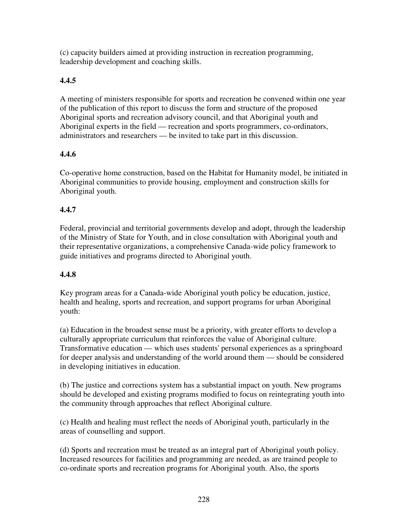(c) capacity builders aimed at providing instruction in recreation programming, leadership development and coaching skills.

# **4.4.5**

A meeting of ministers responsible for sports and recreation be convened within one year of the publication of this report to discuss the form and structure of the proposed Aboriginal sports and recreation advisory council, and that Aboriginal youth and Aboriginal experts in the field — recreation and sports programmers, co-ordinators, administrators and researchers — be invited to take part in this discussion.

# **4.4.6**

Co-operative home construction, based on the Habitat for Humanity model, be initiated in Aboriginal communities to provide housing, employment and construction skills for Aboriginal youth.

# **4.4.7**

Federal, provincial and territorial governments develop and adopt, through the leadership of the Ministry of State for Youth, and in close consultation with Aboriginal youth and their representative organizations, a comprehensive Canada-wide policy framework to guide initiatives and programs directed to Aboriginal youth.

## **4.4.8**

Key program areas for a Canada-wide Aboriginal youth policy be education, justice, health and healing, sports and recreation, and support programs for urban Aboriginal youth:

(a) Education in the broadest sense must be a priority, with greater efforts to develop a culturally appropriate curriculum that reinforces the value of Aboriginal culture. Transformative education — which uses students' personal experiences as a springboard for deeper analysis and understanding of the world around them — should be considered in developing initiatives in education.

(b) The justice and corrections system has a substantial impact on youth. New programs should be developed and existing programs modified to focus on reintegrating youth into the community through approaches that reflect Aboriginal culture.

(c) Health and healing must reflect the needs of Aboriginal youth, particularly in the areas of counselling and support.

(d) Sports and recreation must be treated as an integral part of Aboriginal youth policy. Increased resources for facilities and programming are needed, as are trained people to co-ordinate sports and recreation programs for Aboriginal youth. Also, the sports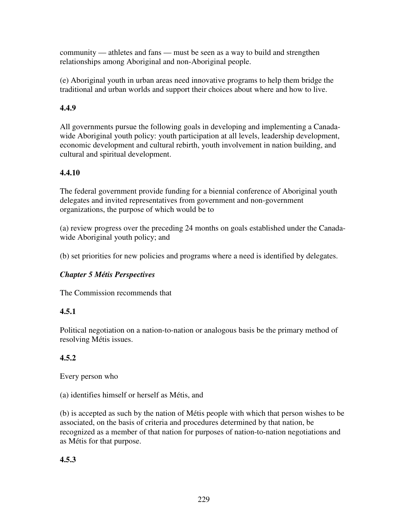community — athletes and fans — must be seen as a way to build and strengthen relationships among Aboriginal and non-Aboriginal people.

(e) Aboriginal youth in urban areas need innovative programs to help them bridge the traditional and urban worlds and support their choices about where and how to live.

# **4.4.9**

All governments pursue the following goals in developing and implementing a Canadawide Aboriginal youth policy: youth participation at all levels, leadership development, economic development and cultural rebirth, youth involvement in nation building, and cultural and spiritual development.

## **4.4.10**

The federal government provide funding for a biennial conference of Aboriginal youth delegates and invited representatives from government and non-government organizations, the purpose of which would be to

(a) review progress over the preceding 24 months on goals established under the Canadawide Aboriginal youth policy; and

(b) set priorities for new policies and programs where a need is identified by delegates.

## *Chapter 5 Métis Perspectives*

The Commission recommends that

## **4.5.1**

Political negotiation on a nation-to-nation or analogous basis be the primary method of resolving Métis issues.

#### **4.5.2**

Every person who

(a) identifies himself or herself as Métis, and

(b) is accepted as such by the nation of Métis people with which that person wishes to be associated, on the basis of criteria and procedures determined by that nation, be recognized as a member of that nation for purposes of nation-to-nation negotiations and as Métis for that purpose.

#### **4.5.3**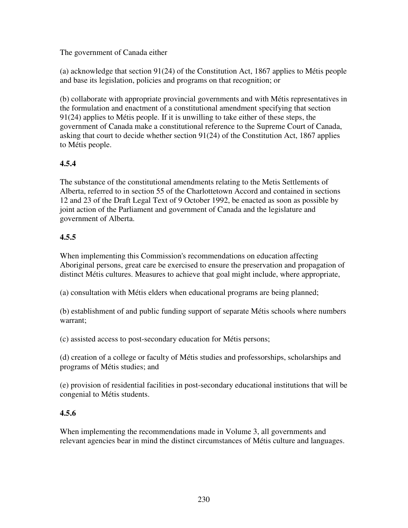#### The government of Canada either

(a) acknowledge that section 91(24) of the Constitution Act, 1867 applies to Métis people and base its legislation, policies and programs on that recognition; or

(b) collaborate with appropriate provincial governments and with Métis representatives in the formulation and enactment of a constitutional amendment specifying that section 91(24) applies to Métis people. If it is unwilling to take either of these steps, the government of Canada make a constitutional reference to the Supreme Court of Canada, asking that court to decide whether section 91(24) of the Constitution Act, 1867 applies to Métis people.

## **4.5.4**

The substance of the constitutional amendments relating to the Metis Settlements of Alberta, referred to in section 55 of the Charlottetown Accord and contained in sections 12 and 23 of the Draft Legal Text of 9 October 1992, be enacted as soon as possible by joint action of the Parliament and government of Canada and the legislature and government of Alberta.

# **4.5.5**

When implementing this Commission's recommendations on education affecting Aboriginal persons, great care be exercised to ensure the preservation and propagation of distinct Métis cultures. Measures to achieve that goal might include, where appropriate,

(a) consultation with Métis elders when educational programs are being planned;

(b) establishment of and public funding support of separate Métis schools where numbers warrant;

(c) assisted access to post-secondary education for Métis persons;

(d) creation of a college or faculty of Métis studies and professorships, scholarships and programs of Métis studies; and

(e) provision of residential facilities in post-secondary educational institutions that will be congenial to Métis students.

## **4.5.6**

When implementing the recommendations made in Volume 3, all governments and relevant agencies bear in mind the distinct circumstances of Métis culture and languages.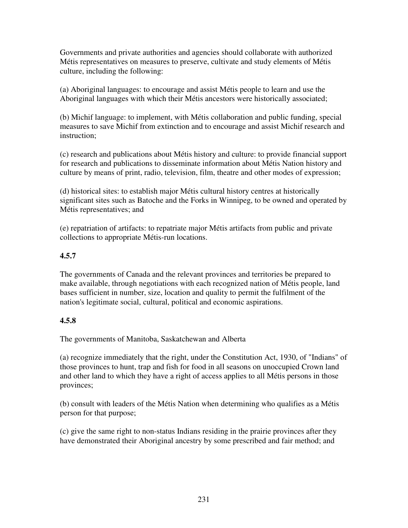Governments and private authorities and agencies should collaborate with authorized Métis representatives on measures to preserve, cultivate and study elements of Métis culture, including the following:

(a) Aboriginal languages: to encourage and assist Métis people to learn and use the Aboriginal languages with which their Métis ancestors were historically associated;

(b) Michif language: to implement, with Métis collaboration and public funding, special measures to save Michif from extinction and to encourage and assist Michif research and instruction;

(c) research and publications about Métis history and culture: to provide financial support for research and publications to disseminate information about Métis Nation history and culture by means of print, radio, television, film, theatre and other modes of expression;

(d) historical sites: to establish major Métis cultural history centres at historically significant sites such as Batoche and the Forks in Winnipeg, to be owned and operated by Métis representatives; and

(e) repatriation of artifacts: to repatriate major Métis artifacts from public and private collections to appropriate Métis-run locations.

#### **4.5.7**

The governments of Canada and the relevant provinces and territories be prepared to make available, through negotiations with each recognized nation of Métis people, land bases sufficient in number, size, location and quality to permit the fulfilment of the nation's legitimate social, cultural, political and economic aspirations.

#### **4.5.8**

The governments of Manitoba, Saskatchewan and Alberta

(a) recognize immediately that the right, under the Constitution Act, 1930, of "Indians" of those provinces to hunt, trap and fish for food in all seasons on unoccupied Crown land and other land to which they have a right of access applies to all Métis persons in those provinces;

(b) consult with leaders of the Métis Nation when determining who qualifies as a Métis person for that purpose;

(c) give the same right to non-status Indians residing in the prairie provinces after they have demonstrated their Aboriginal ancestry by some prescribed and fair method; and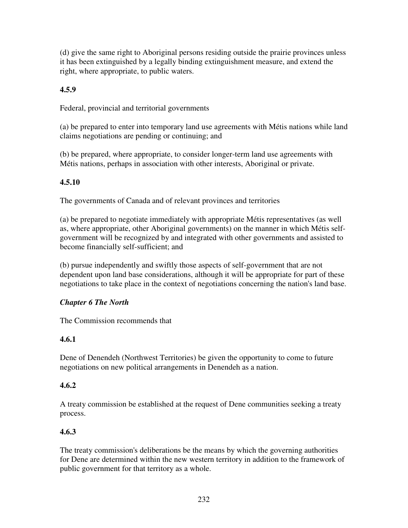(d) give the same right to Aboriginal persons residing outside the prairie provinces unless it has been extinguished by a legally binding extinguishment measure, and extend the right, where appropriate, to public waters.

#### **4.5.9**

Federal, provincial and territorial governments

(a) be prepared to enter into temporary land use agreements with Métis nations while land claims negotiations are pending or continuing; and

(b) be prepared, where appropriate, to consider longer-term land use agreements with Métis nations, perhaps in association with other interests, Aboriginal or private.

## **4.5.10**

The governments of Canada and of relevant provinces and territories

(a) be prepared to negotiate immediately with appropriate Métis representatives (as well as, where appropriate, other Aboriginal governments) on the manner in which Métis selfgovernment will be recognized by and integrated with other governments and assisted to become financially self-sufficient; and

(b) pursue independently and swiftly those aspects of self-government that are not dependent upon land base considerations, although it will be appropriate for part of these negotiations to take place in the context of negotiations concerning the nation's land base.

## *Chapter 6 The North*

The Commission recommends that

## **4.6.1**

Dene of Denendeh (Northwest Territories) be given the opportunity to come to future negotiations on new political arrangements in Denendeh as a nation.

## **4.6.2**

A treaty commission be established at the request of Dene communities seeking a treaty process.

#### **4.6.3**

The treaty commission's deliberations be the means by which the governing authorities for Dene are determined within the new western territory in addition to the framework of public government for that territory as a whole.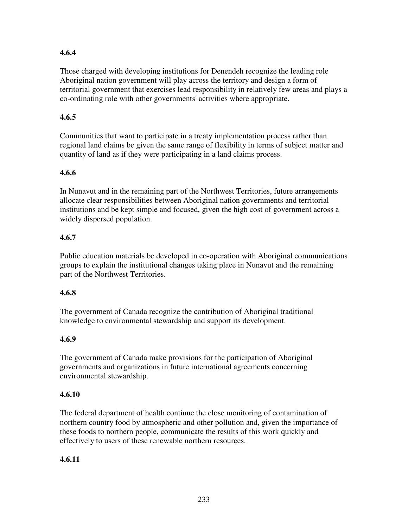## **4.6.4**

Those charged with developing institutions for Denendeh recognize the leading role Aboriginal nation government will play across the territory and design a form of territorial government that exercises lead responsibility in relatively few areas and plays a co-ordinating role with other governments' activities where appropriate.

#### **4.6.5**

Communities that want to participate in a treaty implementation process rather than regional land claims be given the same range of flexibility in terms of subject matter and quantity of land as if they were participating in a land claims process.

#### **4.6.6**

In Nunavut and in the remaining part of the Northwest Territories, future arrangements allocate clear responsibilities between Aboriginal nation governments and territorial institutions and be kept simple and focused, given the high cost of government across a widely dispersed population.

#### **4.6.7**

Public education materials be developed in co-operation with Aboriginal communications groups to explain the institutional changes taking place in Nunavut and the remaining part of the Northwest Territories.

#### **4.6.8**

The government of Canada recognize the contribution of Aboriginal traditional knowledge to environmental stewardship and support its development.

#### **4.6.9**

The government of Canada make provisions for the participation of Aboriginal governments and organizations in future international agreements concerning environmental stewardship.

#### **4.6.10**

The federal department of health continue the close monitoring of contamination of northern country food by atmospheric and other pollution and, given the importance of these foods to northern people, communicate the results of this work quickly and effectively to users of these renewable northern resources.

#### **4.6.11**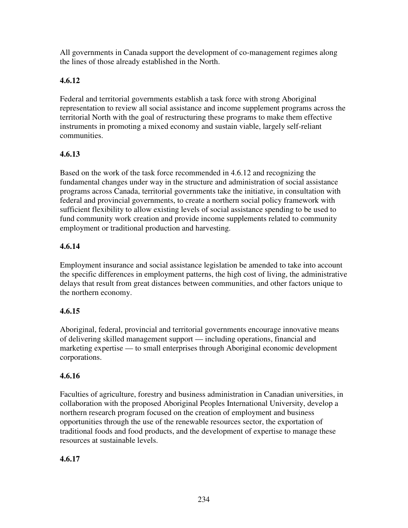All governments in Canada support the development of co-management regimes along the lines of those already established in the North.

# **4.6.12**

Federal and territorial governments establish a task force with strong Aboriginal representation to review all social assistance and income supplement programs across the territorial North with the goal of restructuring these programs to make them effective instruments in promoting a mixed economy and sustain viable, largely self-reliant communities.

# **4.6.13**

Based on the work of the task force recommended in 4.6.12 and recognizing the fundamental changes under way in the structure and administration of social assistance programs across Canada, territorial governments take the initiative, in consultation with federal and provincial governments, to create a northern social policy framework with sufficient flexibility to allow existing levels of social assistance spending to be used to fund community work creation and provide income supplements related to community employment or traditional production and harvesting.

# **4.6.14**

Employment insurance and social assistance legislation be amended to take into account the specific differences in employment patterns, the high cost of living, the administrative delays that result from great distances between communities, and other factors unique to the northern economy.

# **4.6.15**

Aboriginal, federal, provincial and territorial governments encourage innovative means of delivering skilled management support — including operations, financial and marketing expertise — to small enterprises through Aboriginal economic development corporations.

## **4.6.16**

Faculties of agriculture, forestry and business administration in Canadian universities, in collaboration with the proposed Aboriginal Peoples International University, develop a northern research program focused on the creation of employment and business opportunities through the use of the renewable resources sector, the exportation of traditional foods and food products, and the development of expertise to manage these resources at sustainable levels.

# **4.6.17**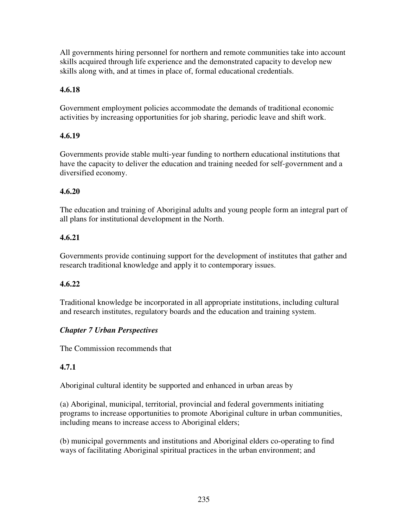All governments hiring personnel for northern and remote communities take into account skills acquired through life experience and the demonstrated capacity to develop new skills along with, and at times in place of, formal educational credentials.

#### **4.6.18**

Government employment policies accommodate the demands of traditional economic activities by increasing opportunities for job sharing, periodic leave and shift work.

## **4.6.19**

Governments provide stable multi-year funding to northern educational institutions that have the capacity to deliver the education and training needed for self-government and a diversified economy.

#### **4.6.20**

The education and training of Aboriginal adults and young people form an integral part of all plans for institutional development in the North.

## **4.6.21**

Governments provide continuing support for the development of institutes that gather and research traditional knowledge and apply it to contemporary issues.

## **4.6.22**

Traditional knowledge be incorporated in all appropriate institutions, including cultural and research institutes, regulatory boards and the education and training system.

## *Chapter 7 Urban Perspectives*

The Commission recommends that

## **4.7.1**

Aboriginal cultural identity be supported and enhanced in urban areas by

(a) Aboriginal, municipal, territorial, provincial and federal governments initiating programs to increase opportunities to promote Aboriginal culture in urban communities, including means to increase access to Aboriginal elders;

(b) municipal governments and institutions and Aboriginal elders co-operating to find ways of facilitating Aboriginal spiritual practices in the urban environment; and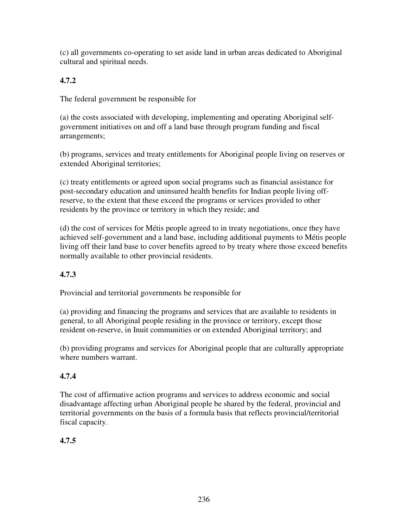(c) all governments co-operating to set aside land in urban areas dedicated to Aboriginal cultural and spiritual needs.

# **4.7.2**

The federal government be responsible for

(a) the costs associated with developing, implementing and operating Aboriginal selfgovernment initiatives on and off a land base through program funding and fiscal arrangements;

(b) programs, services and treaty entitlements for Aboriginal people living on reserves or extended Aboriginal territories;

(c) treaty entitlements or agreed upon social programs such as financial assistance for post-secondary education and uninsured health benefits for Indian people living offreserve, to the extent that these exceed the programs or services provided to other residents by the province or territory in which they reside; and

(d) the cost of services for Métis people agreed to in treaty negotiations, once they have achieved self-government and a land base, including additional payments to Métis people living off their land base to cover benefits agreed to by treaty where those exceed benefits normally available to other provincial residents.

# **4.7.3**

Provincial and territorial governments be responsible for

(a) providing and financing the programs and services that are available to residents in general, to all Aboriginal people residing in the province or territory, except those resident on-reserve, in Inuit communities or on extended Aboriginal territory; and

(b) providing programs and services for Aboriginal people that are culturally appropriate where numbers warrant.

# **4.7.4**

The cost of affirmative action programs and services to address economic and social disadvantage affecting urban Aboriginal people be shared by the federal, provincial and territorial governments on the basis of a formula basis that reflects provincial/territorial fiscal capacity.

# **4.7.5**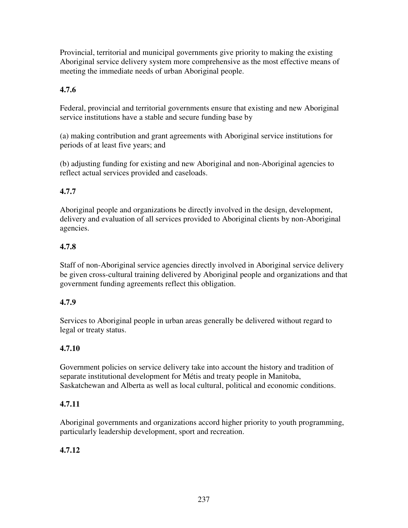Provincial, territorial and municipal governments give priority to making the existing Aboriginal service delivery system more comprehensive as the most effective means of meeting the immediate needs of urban Aboriginal people.

## **4.7.6**

Federal, provincial and territorial governments ensure that existing and new Aboriginal service institutions have a stable and secure funding base by

(a) making contribution and grant agreements with Aboriginal service institutions for periods of at least five years; and

(b) adjusting funding for existing and new Aboriginal and non-Aboriginal agencies to reflect actual services provided and caseloads.

# **4.7.7**

Aboriginal people and organizations be directly involved in the design, development, delivery and evaluation of all services provided to Aboriginal clients by non-Aboriginal agencies.

# **4.7.8**

Staff of non-Aboriginal service agencies directly involved in Aboriginal service delivery be given cross-cultural training delivered by Aboriginal people and organizations and that government funding agreements reflect this obligation.

## **4.7.9**

Services to Aboriginal people in urban areas generally be delivered without regard to legal or treaty status.

## **4.7.10**

Government policies on service delivery take into account the history and tradition of separate institutional development for Métis and treaty people in Manitoba, Saskatchewan and Alberta as well as local cultural, political and economic conditions.

## **4.7.11**

Aboriginal governments and organizations accord higher priority to youth programming, particularly leadership development, sport and recreation.

# **4.7.12**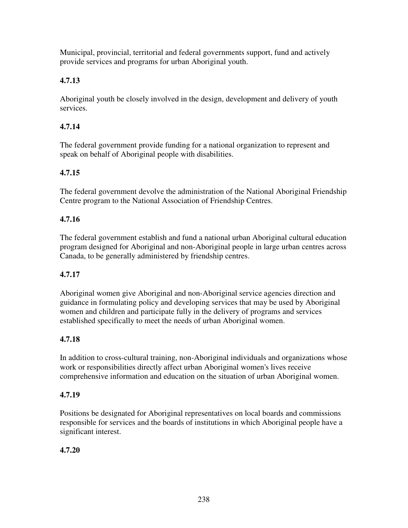Municipal, provincial, territorial and federal governments support, fund and actively provide services and programs for urban Aboriginal youth.

## **4.7.13**

Aboriginal youth be closely involved in the design, development and delivery of youth services.

## **4.7.14**

The federal government provide funding for a national organization to represent and speak on behalf of Aboriginal people with disabilities.

## **4.7.15**

The federal government devolve the administration of the National Aboriginal Friendship Centre program to the National Association of Friendship Centres.

## **4.7.16**

The federal government establish and fund a national urban Aboriginal cultural education program designed for Aboriginal and non-Aboriginal people in large urban centres across Canada, to be generally administered by friendship centres.

### **4.7.17**

Aboriginal women give Aboriginal and non-Aboriginal service agencies direction and guidance in formulating policy and developing services that may be used by Aboriginal women and children and participate fully in the delivery of programs and services established specifically to meet the needs of urban Aboriginal women.

## **4.7.18**

In addition to cross-cultural training, non-Aboriginal individuals and organizations whose work or responsibilities directly affect urban Aboriginal women's lives receive comprehensive information and education on the situation of urban Aboriginal women.

## **4.7.19**

Positions be designated for Aboriginal representatives on local boards and commissions responsible for services and the boards of institutions in which Aboriginal people have a significant interest.

## **4.7.20**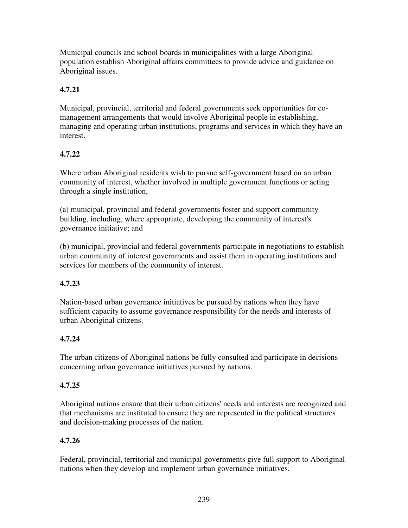Municipal councils and school boards in municipalities with a large Aboriginal population establish Aboriginal affairs committees to provide advice and guidance on Aboriginal issues.

### **4.7.21**

Municipal, provincial, territorial and federal governments seek opportunities for comanagement arrangements that would involve Aboriginal people in establishing, managing and operating urban institutions, programs and services in which they have an interest.

### **4.7.22**

Where urban Aboriginal residents wish to pursue self-government based on an urban community of interest, whether involved in multiple government functions or acting through a single institution,

(a) municipal, provincial and federal governments foster and support community building, including, where appropriate, developing the community of interest's governance initiative; and

(b) municipal, provincial and federal governments participate in negotiations to establish urban community of interest governments and assist them in operating institutions and services for members of the community of interest.

### **4.7.23**

Nation-based urban governance initiatives be pursued by nations when they have sufficient capacity to assume governance responsibility for the needs and interests of urban Aboriginal citizens.

## **4.7.24**

The urban citizens of Aboriginal nations be fully consulted and participate in decisions concerning urban governance initiatives pursued by nations.

## **4.7.25**

Aboriginal nations ensure that their urban citizens' needs and interests are recognized and that mechanisms are instituted to ensure they are represented in the political structures and decision-making processes of the nation.

## **4.7.26**

Federal, provincial, territorial and municipal governments give full support to Aboriginal nations when they develop and implement urban governance initiatives.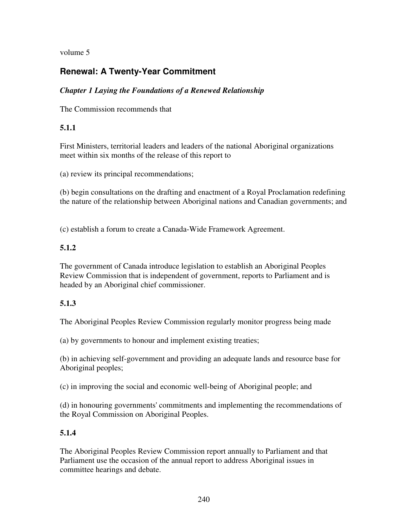volume 5

# **Renewal: A Twenty-Year Commitment**

### *Chapter 1 Laying the Foundations of a Renewed Relationship*

The Commission recommends that

### **5.1.1**

First Ministers, territorial leaders and leaders of the national Aboriginal organizations meet within six months of the release of this report to

(a) review its principal recommendations;

(b) begin consultations on the drafting and enactment of a Royal Proclamation redefining the nature of the relationship between Aboriginal nations and Canadian governments; and

(c) establish a forum to create a Canada-Wide Framework Agreement.

### **5.1.2**

The government of Canada introduce legislation to establish an Aboriginal Peoples Review Commission that is independent of government, reports to Parliament and is headed by an Aboriginal chief commissioner.

### **5.1.3**

The Aboriginal Peoples Review Commission regularly monitor progress being made

(a) by governments to honour and implement existing treaties;

(b) in achieving self-government and providing an adequate lands and resource base for Aboriginal peoples;

(c) in improving the social and economic well-being of Aboriginal people; and

(d) in honouring governments' commitments and implementing the recommendations of the Royal Commission on Aboriginal Peoples.

### **5.1.4**

The Aboriginal Peoples Review Commission report annually to Parliament and that Parliament use the occasion of the annual report to address Aboriginal issues in committee hearings and debate.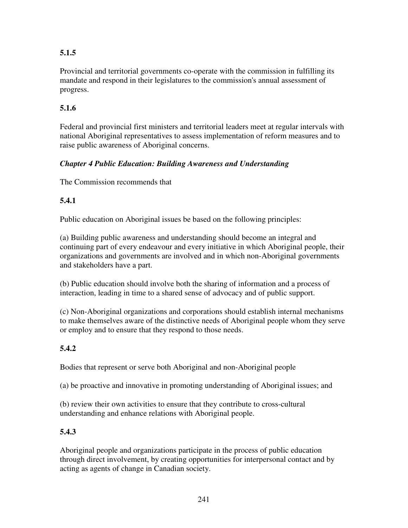## **5.1.5**

Provincial and territorial governments co-operate with the commission in fulfilling its mandate and respond in their legislatures to the commission's annual assessment of progress.

## **5.1.6**

Federal and provincial first ministers and territorial leaders meet at regular intervals with national Aboriginal representatives to assess implementation of reform measures and to raise public awareness of Aboriginal concerns.

### *Chapter 4 Public Education: Building Awareness and Understanding*

The Commission recommends that

## **5.4.1**

Public education on Aboriginal issues be based on the following principles:

(a) Building public awareness and understanding should become an integral and continuing part of every endeavour and every initiative in which Aboriginal people, their organizations and governments are involved and in which non-Aboriginal governments and stakeholders have a part.

(b) Public education should involve both the sharing of information and a process of interaction, leading in time to a shared sense of advocacy and of public support.

(c) Non-Aboriginal organizations and corporations should establish internal mechanisms to make themselves aware of the distinctive needs of Aboriginal people whom they serve or employ and to ensure that they respond to those needs.

## **5.4.2**

Bodies that represent or serve both Aboriginal and non-Aboriginal people

(a) be proactive and innovative in promoting understanding of Aboriginal issues; and

(b) review their own activities to ensure that they contribute to cross-cultural understanding and enhance relations with Aboriginal people.

### **5.4.3**

Aboriginal people and organizations participate in the process of public education through direct involvement, by creating opportunities for interpersonal contact and by acting as agents of change in Canadian society.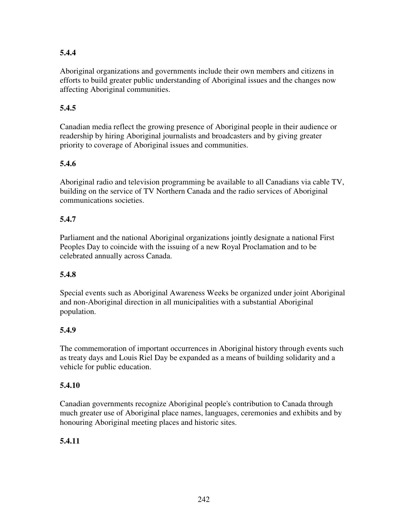## **5.4.4**

Aboriginal organizations and governments include their own members and citizens in efforts to build greater public understanding of Aboriginal issues and the changes now affecting Aboriginal communities.

### **5.4.5**

Canadian media reflect the growing presence of Aboriginal people in their audience or readership by hiring Aboriginal journalists and broadcasters and by giving greater priority to coverage of Aboriginal issues and communities.

### **5.4.6**

Aboriginal radio and television programming be available to all Canadians via cable TV, building on the service of TV Northern Canada and the radio services of Aboriginal communications societies.

#### **5.4.7**

Parliament and the national Aboriginal organizations jointly designate a national First Peoples Day to coincide with the issuing of a new Royal Proclamation and to be celebrated annually across Canada.

#### **5.4.8**

Special events such as Aboriginal Awareness Weeks be organized under joint Aboriginal and non-Aboriginal direction in all municipalities with a substantial Aboriginal population.

### **5.4.9**

The commemoration of important occurrences in Aboriginal history through events such as treaty days and Louis Riel Day be expanded as a means of building solidarity and a vehicle for public education.

### **5.4.10**

Canadian governments recognize Aboriginal people's contribution to Canada through much greater use of Aboriginal place names, languages, ceremonies and exhibits and by honouring Aboriginal meeting places and historic sites.

### **5.4.11**